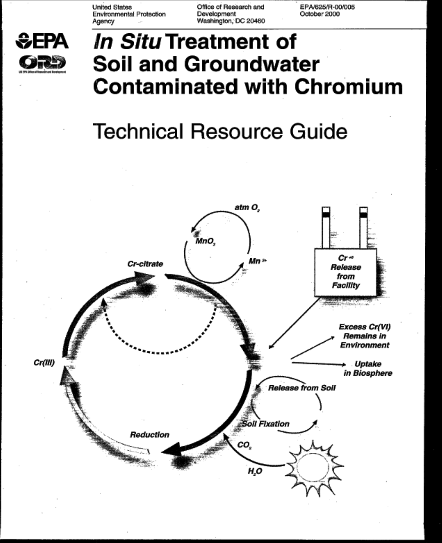**United States** Environmental Protection Agency

Office of Research and Development Washington, DC 20460 EPA/625/R-00/005 October 2000



# In Situ Treatment of **Soil and Groundwater Contaminated with Chromium**

# **Technical Resource Guide**

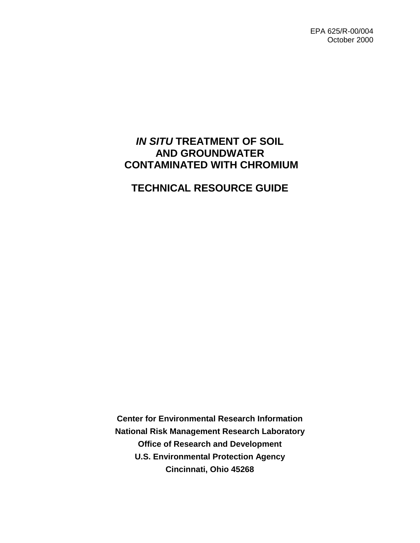EPA 625/R-00/004 October 2000

# **IN SITU TREATMENT OF SOIL AND GROUNDWATER CONTAMINATED WITH CHROMIUM**

# **TECHNICAL RESOURCE GUIDE**

**Center for Environmental Research Information National Risk Management Research Laboratory Office of Research and Development U.S. Environmental Protection Agency Cincinnati, Ohio 45268**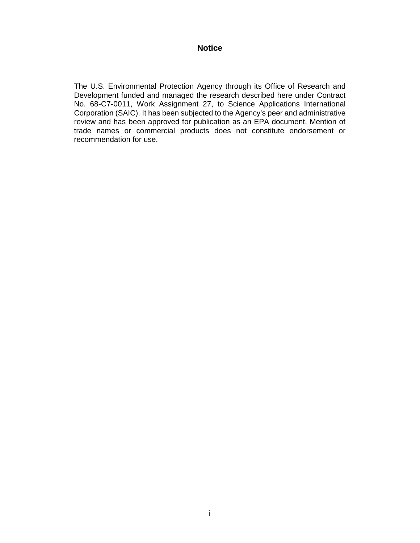#### **Notice**

The U.S. Environmental Protection Agency through its Office of Research and Development funded and managed the research described here under Contract No. 68-C7-0011, Work Assignment 27, to Science Applications International Corporation (SAIC). It has been subjected to the Agency's peer and administrative review and has been approved for publication as an EPA document. Mention of trade names or commercial products does not constitute endorsement or recommendation for use.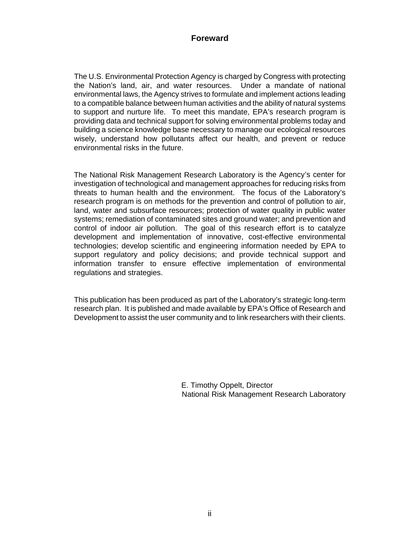#### **Foreward**

The U.S. Environmental Protection Agency is charged by Congress with protecting the Nation's land, air, and water resources. Under a mandate of national environmental laws, the Agency strives to formulate and implement actions leading to a compatible balance between human activities and the ability of natural systems to support and nurture life. To meet this mandate, EPA's research program is providing data and technical support for solving environmental problems today and building a science knowledge base necessary to manage our ecological resources wisely, understand how pollutants affect our health, and prevent or reduce environmental risks in the future.

The National Risk Management Research Laboratory is the Agency's center for investigation of technological and management approaches for reducing risks from threats to human health and the environment. The focus of the Laboratory's research program is on methods for the prevention and control of pollution to air, land, water and subsurface resources; protection of water quality in public water systems; remediation of contaminated sites and ground water; and prevention and control of indoor air pollution. The goal of this research effort is to catalyze development and implementation of innovative, cost-effective environmental technologies; develop scientific and engineering information needed by EPA to support regulatory and policy decisions; and provide technical support and information transfer to ensure effective implementation of environmental regulations and strategies.

This publication has been produced as part of the Laboratory's strategic long-term research plan. It is published and made available by EPA's Office of Research and Development to assist the user community and to link researchers with their clients.

> E. Timothy Oppelt, Director National Risk Management Research Laboratory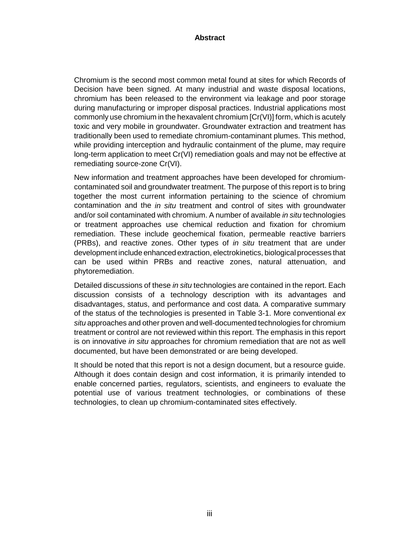#### **Abstract**

Chromium is the second most common metal found at sites for which Records of Decision have been signed. At many industrial and waste disposal locations, chromium has been released to the environment via leakage and poor storage during manufacturing or improper disposal practices. Industrial applications most commonly use chromium in the hexavalent chromium [Cr(VI)] form, which is acutely toxic and very mobile in groundwater. Groundwater extraction and treatment has traditionally been used to remediate chromium-contaminant plumes. This method, while providing interception and hydraulic containment of the plume, may require long-term application to meet Cr(VI) remediation goals and may not be effective at remediating source-zone Cr(VI).

New information and treatment approaches have been developed for chromiumcontaminated soil and groundwater treatment. The purpose of this report is to bring together the most current information pertaining to the science of chromium contamination and the *in situ* treatment and control of sites with groundwater and/or soil contaminated with chromium. A number of available in situ technologies or treatment approaches use chemical reduction and fixation for chromium remediation. These include geochemical fixation, permeable reactive barriers (PRBs), and reactive zones. Other types of in situ treatment that are under development include enhanced extraction, electrokinetics, biological processes that can be used within PRBs and reactive zones, natural attenuation, and phytoremediation.

Detailed discussions of these in situ technologies are contained in the report. Each discussion consists of a technology description with its advantages and disadvantages, status, and performance and cost data. A comparative summary of the status of the technologies is presented in Table 3-1. More conventional ex situ approaches and other proven and well-documented technologies for chromium treatment or control are not reviewed within this report. The emphasis in this report is on innovative in situ approaches for chromium remediation that are not as well documented, but have been demonstrated or are being developed.

It should be noted that this report is not a design document, but a resource guide. Although it does contain design and cost information, it is primarily intended to enable concerned parties, regulators, scientists, and engineers to evaluate the potential use of various treatment technologies, or combinations of these technologies, to clean up chromium-contaminated sites effectively.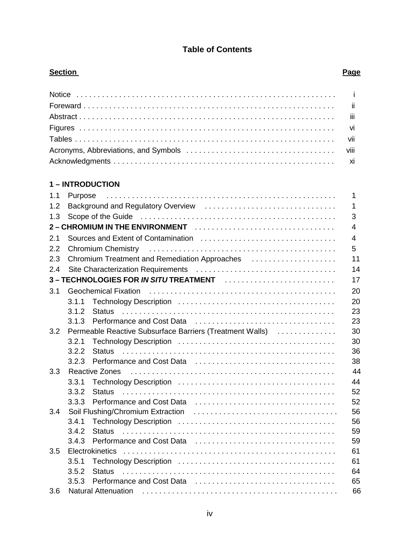### **Table of Contents**

#### **Section Page 2018**

## **1 – INTRODUCTION**

| 1.1 | Purpose                                                                                                        | 1              |
|-----|----------------------------------------------------------------------------------------------------------------|----------------|
| 1.2 |                                                                                                                | 1              |
| 1.3 |                                                                                                                | 3              |
|     |                                                                                                                | 4              |
| 2.1 |                                                                                                                | $\overline{4}$ |
| 2.2 | Chromium Chemistry (and all and all and all and all and all and all and all and all and all and all and all an | 5              |
| 2.3 | Chromium Treatment and Remediation Approaches                                                                  | 11             |
| 2.4 |                                                                                                                | 14             |
|     |                                                                                                                | 17             |
| 3.1 |                                                                                                                | 20             |
|     | 3.1.1                                                                                                          | 20             |
|     | 3.1.2                                                                                                          | 23             |
|     | 3.1.3                                                                                                          | 23             |
| 3.2 | Permeable Reactive Subsurface Barriers (Treatment Walls)                                                       | 30             |
|     | 3.2.1                                                                                                          | 30             |
|     | 3.2.2                                                                                                          | 36             |
|     | 3.2.3                                                                                                          | 38             |
| 3.3 |                                                                                                                | 44             |
|     | 3.3.1                                                                                                          | 44             |
|     | 3.3.2                                                                                                          | 52             |
|     | 3.3.3                                                                                                          | 52             |
| 3.4 |                                                                                                                | 56             |
|     | 3.4.1                                                                                                          | 56             |
|     | 3.4.2<br><b>Status</b>                                                                                         | 59             |
|     | 3.4.3                                                                                                          | 59             |
| 3.5 |                                                                                                                | 61             |
|     | 3.5.1                                                                                                          | 61             |
|     | 3.5.2                                                                                                          | 64             |
|     | 3.5.3                                                                                                          | 65             |
| 3.6 |                                                                                                                | 66             |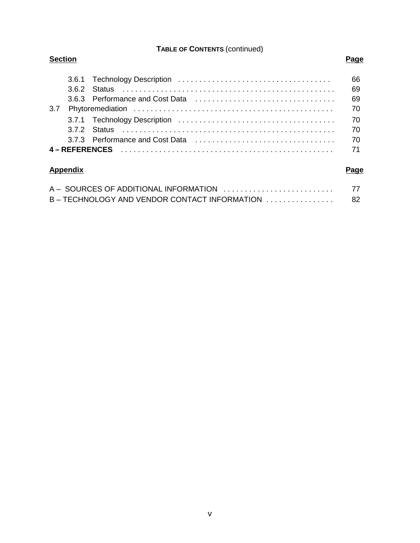#### **TABLE OF CONTENTS** (continued)

| <b>Section</b> |     |          |          |
|----------------|-----|----------|----------|
|                | 362 | – Status | 66<br>69 |
|                |     |          | 69       |
| 3.7            |     |          | 70       |
|                |     |          | 70       |
|                |     |          | 70       |
|                |     |          | 70       |
|                |     |          | 71       |

# **Appendix Page**

| A - SOURCES OF ADDITIONAL INFORMATION                                         | 77 |
|-------------------------------------------------------------------------------|----|
| $B - TECHNOLOGY$ AND VENDOR CONTACT INFORMATION $\ldots \ldots \ldots \ldots$ | 82 |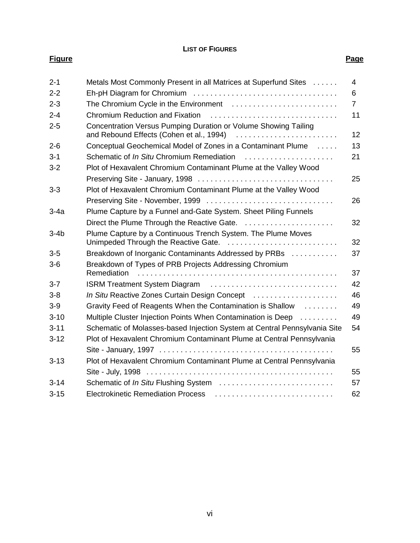#### **LIST OF FIGURES Figure Page**

| $2 - 1$  | Metals Most Commonly Present in all Matrices at Superfund Sites                                      | 4              |
|----------|------------------------------------------------------------------------------------------------------|----------------|
| $2 - 2$  |                                                                                                      | 6              |
| $2 - 3$  |                                                                                                      | $\overline{7}$ |
| $2 - 4$  |                                                                                                      | 11             |
| $2 - 5$  | Concentration Versus Pumping Duration or Volume Showing Tailing                                      | 12             |
| $2 - 6$  | Conceptual Geochemical Model of Zones in a Contaminant Plume                                         | 13             |
| $3 - 1$  | Schematic of <i>In Situ</i> Chromium Remediation                                                     | 21             |
| $3 - 2$  | Plot of Hexavalent Chromium Contaminant Plume at the Valley Wood                                     |                |
|          |                                                                                                      | 25             |
| $3 - 3$  | Plot of Hexavalent Chromium Contaminant Plume at the Valley Wood                                     |                |
|          |                                                                                                      | 26             |
| $3-4a$   | Plume Capture by a Funnel and-Gate System. Sheet Piling Funnels                                      |                |
|          | Direct the Plume Through the Reactive Gate.                                                          | 32             |
| $3-4b$   | Plume Capture by a Continuous Trench System. The Plume Moves<br>Unimpeded Through the Reactive Gate. | 32             |
| $3-5$    | Breakdown of Inorganic Contaminants Addressed by PRBs                                                | 37             |
| $3-6$    | Breakdown of Types of PRB Projects Addressing Chromium<br>Remediation                                | 37             |
| $3 - 7$  | ISRM Treatment System Diagram                                                                        | 42             |
| $3 - 8$  | In Situ Reactive Zones Curtain Design Concept                                                        | 46             |
| $3-9$    | Gravity Feed of Reagents When the Contamination is Shallow                                           | 49             |
| $3 - 10$ | Multiple Cluster Injection Points When Contamination is Deep                                         | 49             |
| $3 - 11$ | Schematic of Molasses-based Injection System at Central Pennsylvania Site                            | 54             |
| $3 - 12$ | Plot of Hexavalent Chromium Contaminant Plume at Central Pennsylvania                                |                |
|          |                                                                                                      | 55             |
| $3 - 13$ | Plot of Hexavalent Chromium Contaminant Plume at Central Pennsylvania                                |                |
|          |                                                                                                      | 55             |
| $3 - 14$ | Schematic of In Situ Flushing System                                                                 | 57             |
| $3 - 15$ | <b>Electrokinetic Remediation Process</b>                                                            | 62             |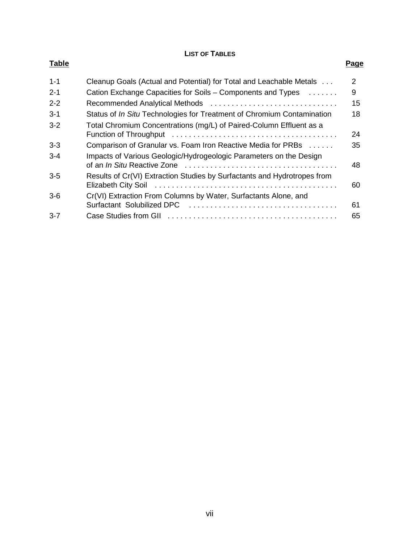#### **LIST OF TABLES**

| <b>Table</b> |                                                                          | Page           |
|--------------|--------------------------------------------------------------------------|----------------|
| $1 - 1$      | Cleanup Goals (Actual and Potential) for Total and Leachable Metals      | $\overline{2}$ |
| $2 - 1$      | Cation Exchange Capacities for Soils – Components and Types              | 9              |
| $2 - 2$      | Recommended Analytical Methods                                           | 15             |
| $3 - 1$      | Status of In Situ Technologies for Treatment of Chromium Contamination   | 18             |
| $3 - 2$      | Total Chromium Concentrations (mg/L) of Paired-Column Effluent as a      | 24             |
| $3 - 3$      | Comparison of Granular vs. Foam Iron Reactive Media for PRBs             | 35             |
| $3 - 4$      | Impacts of Various Geologic/Hydrogeologic Parameters on the Design       | 48             |
| $3-5$        | Results of Cr(VI) Extraction Studies by Surfactants and Hydrotropes from | 60             |
| $3-6$        | Cr(VI) Extraction From Columns by Water, Surfactants Alone, and          | 61             |
| $3 - 7$      |                                                                          | 65             |
|              |                                                                          |                |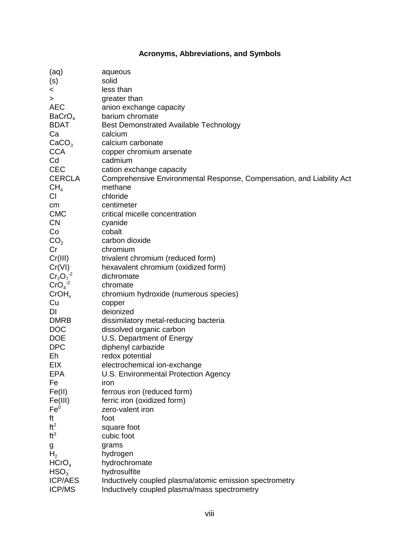## **Acronyms, Abbreviations, and Symbols**

| (aq)               | aqueous                                                               |
|--------------------|-----------------------------------------------------------------------|
| (s)                | solid                                                                 |
| $\lt$              | less than                                                             |
| ⋗                  | greater than                                                          |
| <b>AEC</b>         | anion exchange capacity                                               |
| BaCrO <sub>4</sub> | barium chromate                                                       |
| <b>BDAT</b>        | <b>Best Demonstrated Available Technology</b>                         |
| Ca                 | calcium                                                               |
|                    | calcium carbonate                                                     |
| CaCO <sub>3</sub>  |                                                                       |
| <b>CCA</b>         | copper chromium arsenate                                              |
| Cd                 | cadmium                                                               |
| <b>CEC</b>         | cation exchange capacity                                              |
| <b>CERCLA</b>      | Comprehensive Environmental Response, Compensation, and Liability Act |
| CH <sub>4</sub>    | methane                                                               |
| CI.                | chloride                                                              |
| cm                 | centimeter                                                            |
| <b>CMC</b>         | critical micelle concentration                                        |
| <b>CN</b>          | cyanide                                                               |
| Co                 | cobalt                                                                |
| CO <sub>2</sub>    | carbon dioxide                                                        |
| Cr                 | chromium                                                              |
| Cr(III)            | trivalent chromium (reduced form)                                     |
| Cr(VI)             | hexavalent chromium (oxidized form)                                   |
| $Cr_2O_7^{-2}$     | dichromate                                                            |
| $CrO4-2$           | chromate                                                              |
| CrOH <sub>x</sub>  | chromium hydroxide (numerous species)                                 |
| Cu                 | copper                                                                |
| DI                 | deionized                                                             |
| <b>DMRB</b>        | dissimilatory metal-reducing bacteria                                 |
| <b>DOC</b>         | dissolved organic carbon                                              |
| <b>DOE</b>         | U.S. Department of Energy                                             |
| <b>DPC</b>         |                                                                       |
|                    | diphenyl carbazide                                                    |
| Eh                 | redox potential                                                       |
| <b>EIX</b>         | electrochemical ion-exchange                                          |
| <b>EPA</b>         | U.S. Environmental Protection Agency                                  |
| Fe                 | iron                                                                  |
| Fe(II)             | ferrous iron (reduced form)                                           |
| Fe(III)            | ferric iron (oxidized form)                                           |
| Fe <sup>0</sup>    | zero-valent iron                                                      |
| ft                 | foot                                                                  |
| ft <sup>2</sup>    | square foot                                                           |
| ft <sup>3</sup>    | cubic foot                                                            |
| g                  | grams                                                                 |
| H <sub>2</sub>     | hydrogen                                                              |
| HCrO <sub>4</sub>  | hydrochromate                                                         |
| HSO <sub>3</sub>   | hydrosulfite                                                          |
| <b>ICP/AES</b>     | Inductively coupled plasma/atomic emission spectrometry               |
| <b>ICP/MS</b>      | Inductively coupled plasma/mass spectrometry                          |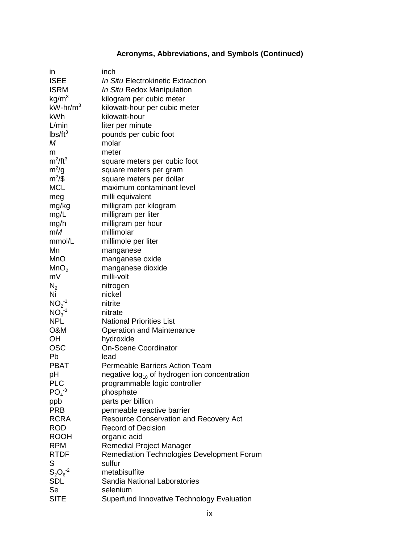# **Acronyms, Abbreviations, and Symbols (Continued)**

| in                | inch                                                     |
|-------------------|----------------------------------------------------------|
| <b>ISEE</b>       | In Situ Electrokinetic Extraction                        |
| <b>ISRM</b>       | In Situ Redox Manipulation                               |
| kg/m <sup>3</sup> | kilogram per cubic meter                                 |
| $kW-hr/m3$        | kilowatt-hour per cubic meter                            |
| kWh               | kilowatt-hour                                            |
| L/min             | liter per minute                                         |
| $lbs/ft^3$        | pounds per cubic foot                                    |
| М                 | molar                                                    |
| m                 | meter                                                    |
| $m^2/ft^3$        | square meters per cubic foot                             |
| $m^2/g$           | square meters per gram                                   |
| $m^2/\$           | square meters per dollar                                 |
| <b>MCL</b>        | maximum contaminant level                                |
| meg               | milli equivalent                                         |
| mg/kg             | milligram per kilogram                                   |
| mg/L              | milligram per liter                                      |
| mg/h              | milligram per hour                                       |
| mM                | millimolar                                               |
| mmol/L            | millimole per liter                                      |
| Mn                | manganese                                                |
| MnO               | manganese oxide                                          |
| MnO <sub>2</sub>  | manganese dioxide                                        |
| mV                | milli-volt                                               |
| $N_{2}$           | nitrogen                                                 |
| Ni                | nickel                                                   |
| $NO2-1$           | nitrite                                                  |
| $NO3-1$           | nitrate                                                  |
| <b>NPL</b>        | <b>National Priorities List</b>                          |
| <b>O&amp;M</b>    | <b>Operation and Maintenance</b>                         |
| OH                | hydroxide                                                |
| <b>OSC</b>        | <b>On-Scene Coordinator</b>                              |
| Pb                | lead                                                     |
| <b>PBAT</b>       | <b>Permeable Barriers Action Team</b>                    |
| pH                | negative log <sub>10</sub> of hydrogen ion concentration |
| <b>PLC</b>        | programmable logic controller                            |
| $PO4-3$           | phosphate                                                |
| ppb               | parts per billion                                        |
| <b>PRB</b>        | permeable reactive barrier                               |
| <b>RCRA</b>       | <b>Resource Conservation and Recovery Act</b>            |
| <b>ROD</b>        | <b>Record of Decision</b>                                |
| <b>ROOH</b>       | organic acid                                             |
| <b>RPM</b>        | Remedial Project Manager                                 |
| <b>RTDF</b>       | Remediation Technologies Development Forum               |
| S                 | sulfur                                                   |
| $S_2O_6^{-2}$     | metabisulfite                                            |
| <b>SDL</b>        | Sandia National Laboratories                             |
| Se                | selenium                                                 |
| <b>SITE</b>       | Superfund Innovative Technology Evaluation               |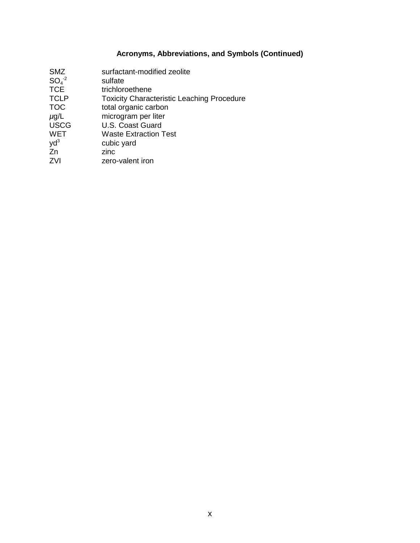#### **Acronyms, Abbreviations, and Symbols (Continued)**

SMZ surfactant-modified zeolite  $SO_4^{-2}$ <br>TCE  $e<sup>-2</sup>$  sulfate TCE trichloroethene TCLP Toxicity Characteristic Leaching Procedure TOC total organic carbon  $\mu$ g/L microgram per liter USCG U.S. Coast Guard WET Waste Extraction Test<br>yd<sup>3</sup> cubic yard yd<sup>3</sup> cubic yard Zn zinc ZVI zero-valent iron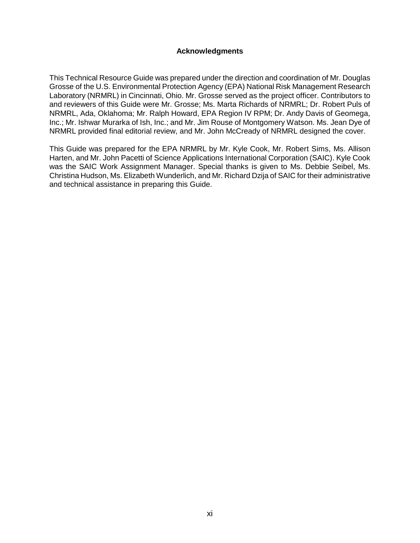#### **Acknowledgments**

This Technical Resource Guide was prepared under the direction and coordination of Mr. Douglas Grosse of the U.S. Environmental Protection Agency (EPA) National Risk Management Research Laboratory (NRMRL) in Cincinnati, Ohio. Mr. Grosse served as the project officer. Contributors to and reviewers of this Guide were Mr. Grosse; Ms. Marta Richards of NRMRL; Dr. Robert Puls of NRMRL, Ada, Oklahoma; Mr. Ralph Howard, EPA Region IV RPM; Dr. Andy Davis of Geomega, Inc.; Mr. Ishwar Murarka of Ish, Inc.; and Mr. Jim Rouse of Montgomery Watson. Ms. Jean Dye of NRMRL provided final editorial review, and Mr. John McCready of NRMRL designed the cover.

This Guide was prepared for the EPA NRMRL by Mr. Kyle Cook, Mr. Robert Sims, Ms. Allison Harten, and Mr. John Pacetti of Science Applications International Corporation (SAIC). Kyle Cook was the SAIC Work Assignment Manager. Special thanks is given to Ms. Debbie Seibel, Ms. Christina Hudson, Ms. Elizabeth Wunderlich, and Mr. Richard Dzija of SAIC for their administrative and technical assistance in preparing this Guide.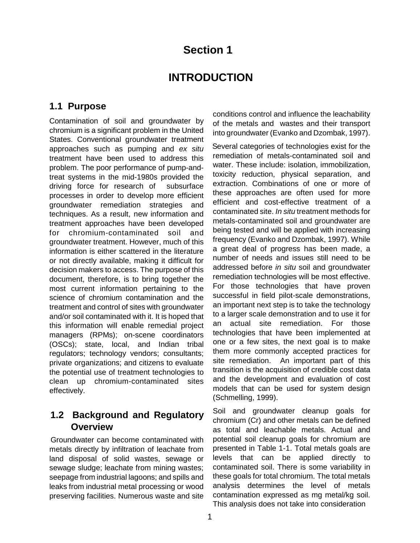# **Section 1**

# **INTRODUCTION**

## **1.1 Purpose**

Contamination of soil and groundwater by chromium is a significant problem in the United States. Conventional groundwater treatment approaches such as pumping and ex situ treatment have been used to address this problem. The poor performance of pump-andtreat systems in the mid-1980s provided the driving force for research of subsurface processes in order to develop more efficient groundwater remediation strategies and techniques. As a result, new information and treatment approaches have been developed for chromium-contaminated soil and groundwater treatment. However, much of this information is either scattered in the literature or not directly available, making it difficult for decision makers to access. The purpose of this document, therefore, is to bring together the most current information pertaining to the science of chromium contamination and the treatment and control of sites with groundwater and/or soil contaminated with it. It is hoped that this information will enable remedial project managers (RPMs); on-scene coordinators (OSCs); state, local, and Indian tribal regulators; technology vendors; consultants; private organizations; and citizens to evaluate the potential use of treatment technologies to clean up chromium-contaminated sites effectively.

# **1.2 Background and Regulatory Overview**

Groundwater can become contaminated with metals directly by infiltration of leachate from land disposal of solid wastes, sewage or sewage sludge; leachate from mining wastes; seepage from industrial lagoons; and spills and leaks from industrial metal processing or wood preserving facilities. Numerous waste and site conditions control and influence the leachability of the metals and wastes and their transport into groundwater (Evanko and Dzombak, 1997).

Several categories of technologies exist for the remediation of metals-contaminated soil and water. These include: isolation, immobilization, toxicity reduction, physical separation, and extraction. Combinations of one or more of these approaches are often used for more efficient and cost-effective treatment of a contaminated site. In situ treatment methods for metals-contaminated soil and groundwater are being tested and will be applied with increasing frequency (Evanko and Dzombak, 1997). While a great deal of progress has been made, a number of needs and issues still need to be addressed before in situ soil and groundwater remediation technologies will be most effective. For those technologies that have proven successful in field pilot-scale demonstrations, an important next step is to take the technology to a larger scale demonstration and to use it for an actual site remediation. For those technologies that have been implemented at one or a few sites, the next goal is to make them more commonly accepted practices for site remediation. An important part of this transition is the acquisition of credible cost data and the development and evaluation of cost models that can be used for system design (Schmelling, 1999).

Soil and groundwater cleanup goals for chromium (Cr) and other metals can be defined as total and leachable metals. Actual and potential soil cleanup goals for chromium are presented in Table 1-1. Total metals goals are levels that can be applied directly to contaminated soil. There is some variability in these goals for total chromium. The total metals analysis determines the level of metals contamination expressed as mg metal/kg soil. This analysis does not take into consideration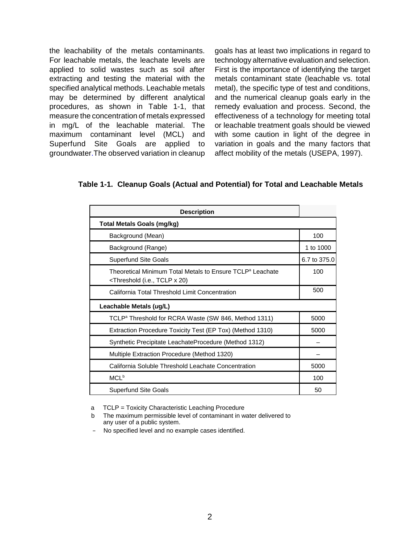the leachability of the metals contaminants. For leachable metals, the leachate levels are applied to solid wastes such as soil after extracting and testing the material with the specified analytical methods. Leachable metals may be determined by different analytical procedures, as shown in Table 1-1, that measure the concentration of metals expressed in mg/L of the leachable material. The maximum contaminant level (MCL) and Superfund Site Goals are applied to groundwater.The observed variation in cleanup goals has at least two implications in regard to technology alternative evaluation and selection. First is the importance of identifying the target metals contaminant state (leachable vs. total metal), the specific type of test and conditions, and the numerical cleanup goals early in the remedy evaluation and process. Second, the effectiveness of a technology for meeting total or leachable treatment goals should be viewed with some caution in light of the degree in variation in goals and the many factors that affect mobility of the metals (USEPA, 1997).

**Table 1-1. Cleanup Goals (Actual and Potential) for Total and Leachable Metals** 

| <b>Description</b>                                                                                                                                |              |
|---------------------------------------------------------------------------------------------------------------------------------------------------|--------------|
| Total Metals Goals (mg/kg)                                                                                                                        |              |
| Background (Mean)                                                                                                                                 | 100          |
| Background (Range)                                                                                                                                | 1 to 1000    |
| <b>Superfund Site Goals</b>                                                                                                                       | 6.7 to 375.0 |
| Theoretical Minimum Total Metals to Ensure TCLP <sup>a</sup> Leachate<br><threshold (i.e.,="" 20)<="" tclp="" td="" x=""><td>100</td></threshold> | 100          |
| California Total Threshold Limit Concentration                                                                                                    | 500          |
| Leachable Metals (ug/L)                                                                                                                           |              |
| TCLP <sup>a</sup> Threshold for RCRA Waste (SW 846, Method 1311)                                                                                  | 5000         |
| Extraction Procedure Toxicity Test (EP Tox) (Method 1310)                                                                                         | 5000         |
| Synthetic Precipitate LeachateProcedure (Method 1312)                                                                                             |              |
| Multiple Extraction Procedure (Method 1320)                                                                                                       |              |
| California Soluble Threshold Leachate Concentration                                                                                               | 5000         |
| MCL <sup>b</sup>                                                                                                                                  | 100          |
| <b>Superfund Site Goals</b>                                                                                                                       | 50           |

a TCLP = Toxicity Characteristic Leaching Procedure

b The maximum permissible level of contaminant in water delivered to any user of a public system.

– No specified level and no example cases identified.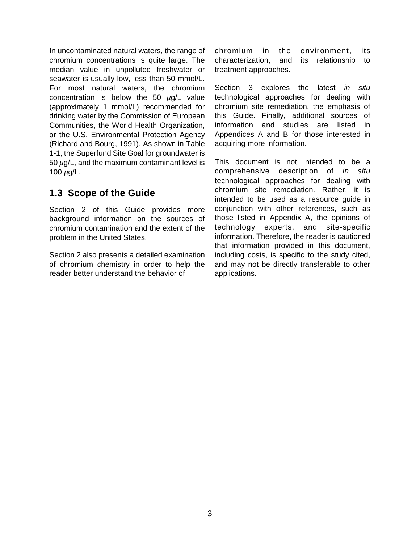In uncontaminated natural waters, the range of chromium concentrations is quite large. The median value in unpolluted freshwater or seawater is usually low, less than 50 mmol/L. For most natural waters, the chromium concentration is below the 50  $\mu$ g/L value (approximately 1 mmol/L) recommended for drinking water by the Commission of European Communities, the World Health Organization, or the U.S. Environmental Protection Agency (Richard and Bourg, 1991). As shown in Table 1-1, the Superfund Site Goal for groundwater is 50  $\mu$ g/L, and the maximum contaminant level is 100  $\mu$ g/L.

# **1.3 Scope of the Guide**

Section 2 of this Guide provides more background information on the sources of chromium contamination and the extent of the problem in the United States.

Section 2 also presents a detailed examination of chromium chemistry in order to help the reader better understand the behavior of

chromium in the environment, its characterization, and its relationship to treatment approaches.

Section 3 explores the latest in situ technological approaches for dealing with chromium site remediation, the emphasis of this Guide. Finally, additional sources of information and studies are listed in Appendices A and B for those interested in acquiring more information.

This document is not intended to be a comprehensive description of in situ technological approaches for dealing with chromium site remediation. Rather, it is intended to be used as a resource guide in conjunction with other references, such as those listed in Appendix A, the opinions of technology experts, and site-specific information. Therefore, the reader is cautioned that information provided in this document, including costs, is specific to the study cited, and may not be directly transferable to other applications.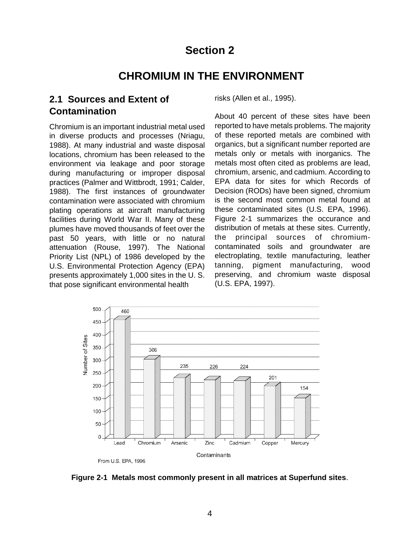# **Section 2**

# **CHROMIUM IN THE ENVIRONMENT**

# **2.1 Sources and Extent of Contamination**

Chromium is an important industrial metal used in diverse products and processes (Nriagu, 1988). At many industrial and waste disposal locations, chromium has been released to the environment via leakage and poor storage during manufacturing or improper disposal practices (Palmer and Wittbrodt, 1991; Calder, 1988). The first instances of groundwater contamination were associated with chromium plating operations at aircraft manufacturing facilities during World War II. Many of these plumes have moved thousands of feet over the past 50 years, with little or no natural attenuation (Rouse, 1997). The National Priority List (NPL) of 1986 developed by the U.S. Environmental Protection Agency (EPA) presents approximately 1,000 sites in the U. S. that pose significant environmental health

risks (Allen et al., 1995).

About 40 percent of these sites have been reported to have metals problems. The majority of these reported metals are combined with organics, but a significant number reported are metals only or metals with inorganics. The metals most often cited as problems are lead, chromium, arsenic, and cadmium. According to EPA data for sites for which Records of Decision (RODs) have been signed, chromium is the second most common metal found at these contaminated sites (U.S. EPA, 1996). Figure 2-1 summarizes the occurance and distribution of metals at these sites. Currently, the principal sources of chromiumcontaminated soils and groundwater are electroplating, textile manufacturing, leather tanning, pigment manufacturing, wood preserving, and chromium waste disposal (U.S. EPA, 1997).



**Figure 2-1 Metals most commonly present in all matrices at Superfund sites**.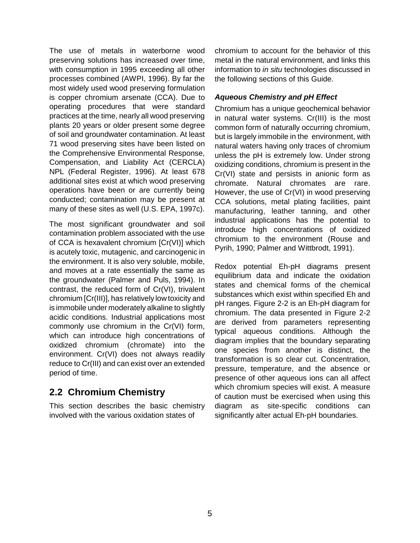The use of metals in waterborne wood preserving solutions has increased over time, with consumption in 1995 exceeding all other processes combined (AWPI, 1996). By far the most widely used wood preserving formulation is copper chromium arsenate (CCA). Due to operating procedures that were standard practices at the time, nearly all wood preserving plants 20 years or older present some degree of soil and groundwater contamination. At least 71 wood preserving sites have been listed on the Comprehensive Environmental Response, Compensation, and Liability Act (CERCLA) NPL (Federal Register, 1996). At least 678 additional sites exist at which wood preserving operations have been or are currently being conducted; contamination may be present at many of these sites as well (U.S. EPA, 1997c).

The most significant groundwater and soil contamination problem associated with the use of CCA is hexavalent chromium [Cr(VI)] which is acutely toxic, mutagenic, and carcinogenic in the environment. It is also very soluble, mobile, and moves at a rate essentially the same as the groundwater (Palmer and Puls, 1994). In contrast, the reduced form of Cr(VI), trivalent chromium [Cr(III)], has relatively low toxicity and is immobile under moderately alkaline to slightly acidic conditions. Industrial applications most commonly use chromium in the Cr(VI) form, which can introduce high concentrations of oxidized chromium (chromate) into the environment. Cr(VI) does not always readily reduce to Cr(III) and can exist over an extended period of time.

# **2.2 Chromium Chemistry**

This section describes the basic chemistry involved with the various oxidation states of

chromium to account for the behavior of this metal in the natural environment, and links this information to in situ technologies discussed in the following sections of this Guide.

#### **Aqueous Chemistry and pH Effect**

Chromium has a unique geochemical behavior in natural water systems. Cr(III) is the most common form of naturally occurring chromium, but is largely immobile in the environment, with natural waters having only traces of chromium unless the pH is extremely low. Under strong oxidizing conditions, chromium is present in the Cr(VI) state and persists in anionic form as chromate. Natural chromates are rare. However, the use of Cr(VI) in wood preserving CCA solutions, metal plating facilities, paint manufacturing, leather tanning, and other industrial applications has the potential to introduce high concentrations of oxidized chromium to the environment (Rouse and Pyrih, 1990; Palmer and Wittbrodt, 1991).

Redox potential Eh-pH diagrams present equilibrium data and indicate the oxidation states and chemical forms of the chemical substances which exist within specified Eh and pH ranges. Figure 2-2 is an Eh-pH diagram for chromium. The data presented in Figure 2-2 are derived from parameters representing typical aqueous conditions. Although the diagram implies that the boundary separating one species from another is distinct, the transformation is so clear cut. Concentration, pressure, temperature, and the absence or presence of other aqueous ions can all affect which chromium species will exist. A measure of caution must be exercised when using this diagram as site-specific conditions can significantly alter actual Eh-pH boundaries.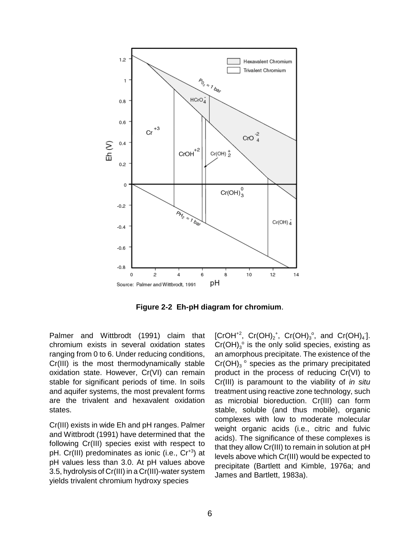

**Figure 2-2 Eh-pH diagram for chromium**.

Palmer and Wittbrodt (1991) claim that chromium exists in several oxidation states ranging from 0 to 6. Under reducing conditions, Cr(III) is the most thermodynamically stable oxidation state. However, Cr(VI) can remain stable for significant periods of time. In soils and aquifer systems, the most prevalent forms are the trivalent and hexavalent oxidation states.

Cr(III) exists in wide Eh and pH ranges. Palmer and Wittbrodt (1991) have determined that the following Cr(III) species exist with respect to pH. Cr(III) predominates as ionic (i.e., Cr<sup>+3</sup>) at pH values less than 3.0. At pH values above 3.5, hydrolysis of Cr(III) in a Cr(III)-water system yields trivalent chromium hydroxy species

[CrOH<sup>+2</sup>, Cr(OH)<sub>2</sub><sup>+</sup>, Cr(OH)<sub>3</sub><sup>o</sup>, and Cr(OH)<sub>4</sub><sup>-</sup>  $Cr(OH)_{3}^{\circ}$  is the only solid species, existing as an amorphous precipitate. The existence of the  $Cr(OH)<sub>3</sub>$ <sup>o</sup> species as the primary precipitated product in the process of reducing Cr(VI) to Cr(III) is paramount to the viability of in situ treatment using reactive zone technology, such as microbial bioreduction. Cr(III) can form stable, soluble (and thus mobile), organic complexes with low to moderate molecular weight organic acids (i.e., citric and fulvic acids). The significance of these complexes is that they allow Cr(III) to remain in solution at pH levels above which Cr(III) would be expected to precipitate (Bartlett and Kimble, 1976a; and James and Bartlett, 1983a).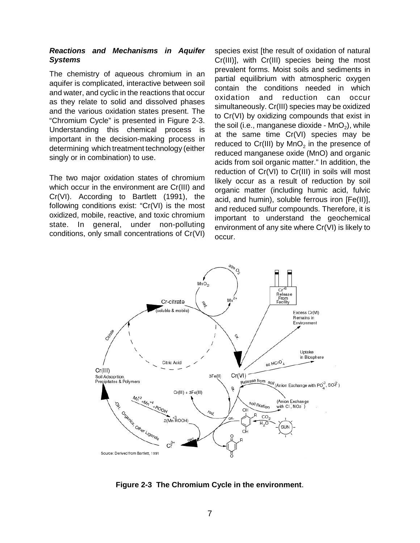#### **Reactions and Mechanisms in Aquifer Systems**

The chemistry of aqueous chromium in an aquifer is complicated, interactive between soil and water, and cyclic in the reactions that occur as they relate to solid and dissolved phases and the various oxidation states present. The "Chromium Cycle" is presented in Figure 2-3. Understanding this chemical process is important in the decision-making process in determining which treatment technology (either singly or in combination) to use.

The two major oxidation states of chromium which occur in the environment are Cr(III) and Cr(VI). According to Bartlett (1991), the following conditions exist: "Cr(VI) is the most oxidized, mobile, reactive, and toxic chromium state. In general, under non-polluting conditions, only small concentrations of Cr(VI) species exist [the result of oxidation of natural Cr(III)], with Cr(III) species being the most prevalent forms. Moist soils and sediments in partial equilibrium with atmospheric oxygen contain the conditions needed in which oxidation and reduction can occur simultaneously. Cr(III) species may be oxidized to Cr(VI) by oxidizing compounds that exist in the soil (i.e., manganese dioxide -  $MnO<sub>2</sub>$ ), while at the same time Cr(VI) species may be reduced to  $Cr(III)$  by  $MnO<sub>2</sub>$  in the presence of reduced manganese oxide (MnO) and organic acids from soil organic matter." In addition, the reduction of Cr(VI) to Cr(III) in soils will most likely occur as a result of reduction by soil organic matter (including humic acid, fulvic acid, and humin), soluble ferrous iron [Fe(II)], and reduced sulfur compounds. Therefore, it is important to understand the geochemical environment of any site where Cr(VI) is likely to occur.



**Figure 2-3 The Chromium Cycle in the environment**.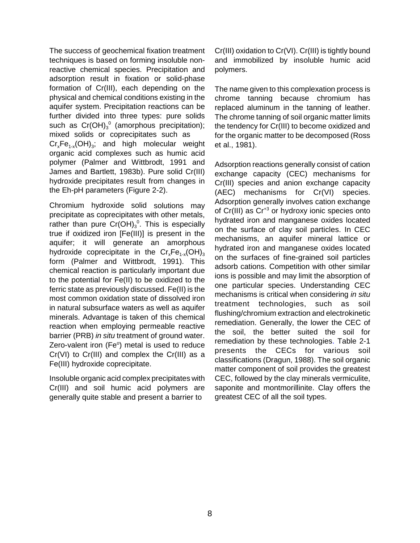The success of geochemical fixation treatment techniques is based on forming insoluble nonreactive chemical species. Precipitation and adsorption result in fixation or solid-phase formation of Cr(III), each depending on the physical and chemical conditions existing in the aquifer system. Precipitation reactions can be further divided into three types: pure solids such as  $Cr(OH)<sub>3</sub>$ <sup>o</sup> (amorphous precipitation); mixed solids or coprecipitates such as  $Cr<sub>x</sub>Fe<sub>1-x</sub>(OH)<sub>3</sub>;$  and high molecular weight organic acid complexes such as humic acid polymer (Palmer and Wittbrodt, 1991 and James and Bartlett, 1983b). Pure solid Cr(III) hydroxide precipitates result from changes in the Eh-pH parameters (Figure 2-2).

Chromium hydroxide solid solutions may precipitate as coprecipitates with other metals, rather than pure  $Cr(OH)_3^0$ . This is especially true if oxidized iron [Fe(III)] is present in the aquifer; it will generate an amorphous hydroxide coprecipitate in the  $Cr_xFe_{1-x}(OH)_{3-x}$ form (Palmer and Wittbrodt, 1991). This chemical reaction is particularly important due to the potential for Fe(II) to be oxidized to the ferric state as previously discussed. Fe(II) is the most common oxidation state of dissolved iron in natural subsurface waters as well as aquifer minerals. Advantage is taken of this chemical reaction when employing permeable reactive barrier (PRB) in situ treatment of ground water. Zero-valent iron  $(Fe<sup>o</sup>)$  metal is used to reduce Cr(VI) to Cr(III) and complex the Cr(III) as a Fe(III) hydroxide coprecipitate.

Insoluble organic acid complex precipitates with Cr(III) and soil humic acid polymers are generally quite stable and present a barrier to

Cr(III) oxidation to Cr(VI). Cr(III) is tightly bound and immobilized by insoluble humic acid polymers.

The name given to this complexation process is chrome tanning because chromium has replaced aluminum in the tanning of leather. The chrome tanning of soil organic matter limits the tendency for Cr(III) to become oxidized and for the organic matter to be decomposed (Ross et al., 1981).

Adsorption reactions generally consist of cation exchange capacity (CEC) mechanisms for Cr(III) species and anion exchange capacity (AEC) mechanisms for Cr(VI) species. Adsorption generally involves cation exchange of  $Cr(III)$  as  $Cr^{+3}$  or hydroxy ionic species onto hydrated iron and manganese oxides located on the surface of clay soil particles. In CEC mechanisms, an aquifer mineral lattice or hydrated iron and manganese oxides located on the surfaces of fine-grained soil particles adsorb cations. Competition with other similar ions is possible and may limit the absorption of one particular species. Understanding CEC mechanisms is critical when considering in situ treatment technologies, such as soil flushing/chromium extraction and electrokinetic remediation. Generally, the lower the CEC of the soil, the better suited the soil for remediation by these technologies. Table 2-1 presents the CECs for various soil classifications (Dragun, 1988). The soil organic matter component of soil provides the greatest CEC, followed by the clay minerals vermiculite, saponite and montmorillinite. Clay offers the greatest CEC of all the soil types.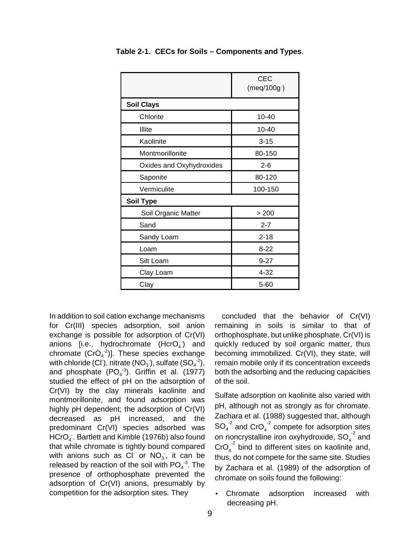|                          | <b>CEC</b><br>(meq/100g) |
|--------------------------|--------------------------|
| <b>Soil Clays</b>        |                          |
| Chlorite                 | 10-40                    |
| Illite                   | $10 - 40$                |
| Kaolinite                | $3 - 15$                 |
| Montmorillonite          | 80-150                   |
| Oxides and Oxyhydroxides | $2 - 6$                  |
| Saponite                 | 80-120                   |
| Vermiculite              | 100-150                  |
| <b>Soil Type</b>         |                          |
| Soil Organic Matter      | > 200                    |
| Sand                     | $2 - 7$                  |
| Sandy Loam               | $2 - 18$                 |
| Loam                     | $8 - 22$                 |
| Silt Loam                | $9 - 27$                 |
| Clay Loam                | $4 - 32$                 |
| Clay                     | 5-60                     |

**Table 2-1. CECs for Soils – Components and Types**.

In addition to soil cation exchange mechanisms for Cr(III) species adsorption, soil anion exchange is possible for adsorption of Cr(VI) anions [i.e., hydrochromate  $(HcrO<sub>4</sub>)$  and chromate  $(CrO<sub>4</sub><sup>-2</sup>)$ . These species exchange with chloride (CI), nitrate ( $NO<sub>3</sub>$ ), sulfate ( $SO<sub>4</sub>$ <sup>-2</sup>), and phosphate  $(PO<sub>4</sub><sup>-3</sup>)$ . Griffin et al. (1977) studied the effect of pH on the adsorption of Cr(VI) by the clay minerals kaolinite and montmorillonite, and found adsorption was highly pH dependent; the adsorption of Cr(VI) decreased as pH increased, and the predominant  $Cr(VI)$  species adsorbed was  $HCrO<sub>4</sub>$ . Bartlett and Kimble (1976b) also found that while chromate is tightly bound compared with anions such as Cl or  $NO<sub>3</sub>$ , it can be released by reaction of the soil with  $PO_4^{-3}$ . The presence of orthophosphate prevented the adsorption of Cr(VI) anions, presumably by competition for the adsorption sites. They

concluded that the behavior of Cr(VI) remaining in soils is similar to that of orthophosphate, but unlike phosphate, Cr(VI) is quickly reduced by soil organic matter, thus becoming immobilized. Cr(VI), they state, will remain mobile only if its concentration exceeds both the adsorbing and the reducing capacities of the soil.

Sulfate adsorption on kaolinite also varied with pH, although not as strongly as for chromate. Zachara et al. (1988) suggested that, although  $SO_4^2$  and  $CrO_4^2$  compete for adsorption sites on noncrystalline iron oxyhydroxide,  ${SO_4}^2$  and  $\text{CrO}_4^{-2}$  bind to different sites on kaolinite and, thus, do not compete for the same site. Studies by Zachara et al. (1989) of the adsorption of chromate on soils found the following:

Chromate adsorption increased with decreasing pH.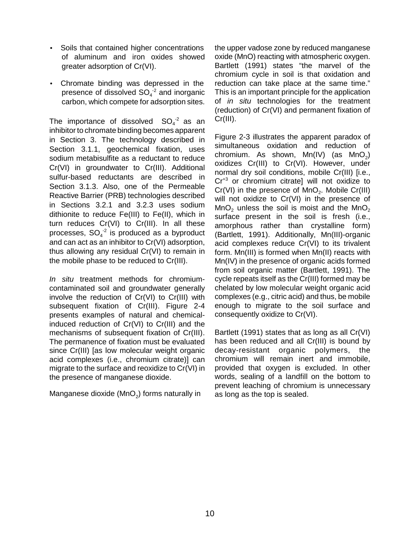- Soils that contained higher concentrations of aluminum and iron oxides showed greater adsorption of Cr(VI).
- Chromate binding was depressed in the presence of dissolved  $SO_4^2$  and inorganic carbon, which compete for adsorption sites.

The importance of dissolved  $SO_4^2$  as an inhibitor to chromate binding becomes apparent in Section 3. The technology described in Section 3.1.1, geochemical fixation, uses sodium metabisulfite as a reductant to reduce Cr(VI) in groundwater to Cr(III). Additional sulfur-based reductants are described in Section 3.1.3. Also, one of the Permeable Reactive Barrier (PRB) technologies described in Sections 3.2.1 and 3.2.3 uses sodium dithionite to reduce Fe(III) to Fe(II), which in turn reduces Cr(VI) to Cr(III). In all these processes,  $SO_4^2$  is produced as a byproduct and can act as an inhibitor to Cr(VI) adsorption, thus allowing any residual Cr(VI) to remain in the mobile phase to be reduced to Cr(III).

In situ treatment methods for chromiumcontaminated soil and groundwater generally involve the reduction of Cr(VI) to Cr(III) with subsequent fixation of Cr(III). Figure 2-4 presents examples of natural and chemicalinduced reduction of Cr(VI) to Cr(III) and the mechanisms of subsequent fixation of Cr(III). The permanence of fixation must be evaluated since Cr(III) [as low molecular weight organic acid complexes (i.e., chromium citrate)] can migrate to the surface and reoxidize to Cr(VI) in the presence of manganese dioxide.

Manganese dioxide ( $MnO<sub>2</sub>$ ) forms naturally in

the upper vadose zone by reduced manganese oxide (MnO) reacting with atmospheric oxygen. Bartlett (1991) states "the marvel of the chromium cycle in soil is that oxidation and reduction can take place at the same time." This is an important principle for the application of *in situ* technologies for the treatment (reduction) of Cr(VI) and permanent fixation of Cr(III).

Figure 2-3 illustrates the apparent paradox of simultaneous oxidation and reduction of chromium. As shown,  $Mn(IV)$  (as  $MnO<sub>2</sub>$ ) oxidizes Cr(III) to Cr(VI). However, under normal dry soil conditions, mobile Cr(III) [i.e., Cr<sup>+3</sup> or chromium citrate] will not oxidize to  $Cr(VI)$  in the presence of  $MnO<sub>2</sub>$ . Mobile  $Cr(III)$ will not oxidize to Cr(VI) in the presence of  $MnO<sub>2</sub>$  unless the soil is moist and the  $MnO<sub>2</sub>$ surface present in the soil is fresh (i.e., amorphous rather than crystalline form) (Bartlett, 1991). Additionally, Mn(III)-organic acid complexes reduce Cr(VI) to its trivalent form. Mn(III) is formed when Mn(II) reacts with Mn(IV) in the presence of organic acids formed from soil organic matter (Bartlett, 1991). The cycle repeats itself as the Cr(III) formed may be chelated by low molecular weight organic acid complexes (e.g., citric acid) and thus, be mobile enough to migrate to the soil surface and consequently oxidize to Cr(VI).

Bartlett (1991) states that as long as all Cr(VI) has been reduced and all Cr(III) is bound by decay-resistant organic polymers, the chromium will remain inert and immobile, provided that oxygen is excluded. In other words, sealing of a landfill on the bottom to prevent leaching of chromium is unnecessary as long as the top is sealed.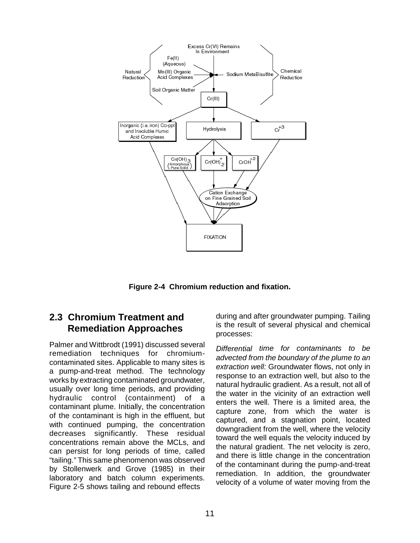

**Figure 2-4 Chromium reduction and fixation.** 

# **2.3 Chromium Treatment and Remediation Approaches**

Palmer and Wittbrodt (1991) discussed several remediation techniques for chromiumcontaminated sites. Applicable to many sites is a pump-and-treat method. The technology works by extracting contaminated groundwater, usually over long time periods, and providing hydraulic control (containment) of a contaminant plume. Initially, the concentration of the contaminant is high in the effluent, but with continued pumping, the concentration decreases significantly. These residual concentrations remain above the MCLs, and can persist for long periods of time, called "tailing." This same phenomenon was observed by Stollenwerk and Grove (1985) in their laboratory and batch column experiments. Figure 2-5 shows tailing and rebound effects

during and after groundwater pumping. Tailing is the result of several physical and chemical processes:

Differential time for contaminants to be advected from the boundary of the plume to an extraction well: Groundwater flows, not only in response to an extraction well, but also to the natural hydraulic gradient. As a result, not all of the water in the vicinity of an extraction well enters the well. There is a limited area, the capture zone, from which the water is captured, and a stagnation point, located downgradient from the well, where the velocity toward the well equals the velocity induced by the natural gradient. The net velocity is zero, and there is little change in the concentration of the contaminant during the pump-and-treat remediation. In addition, the groundwater velocity of a volume of water moving from the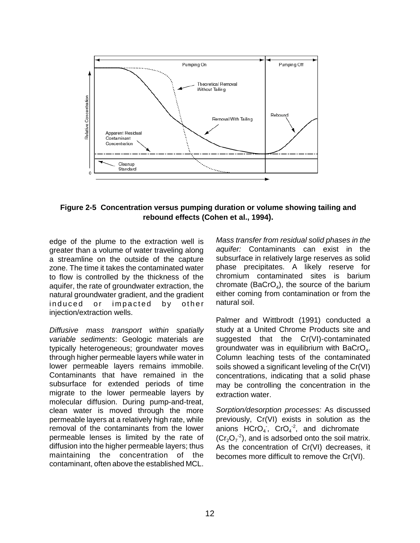

#### **Figure 2-5 Concentration versus pumping duration or volume showing tailing and rebound effects (Cohen et al., 1994).**

edge of the plume to the extraction well is greater than a volume of water traveling along a streamline on the outside of the capture zone. The time it takes the contaminated water to flow is controlled by the thickness of the aquifer, the rate of groundwater extraction, the natural groundwater gradient, and the gradient induced or impacted by other injection/extraction wells.

Diffusive mass transport within spatially variable sediments: Geologic materials are typically heterogeneous; groundwater moves through higher permeable layers while water in lower permeable layers remains immobile. Contaminants that have remained in the subsurface for extended periods of time migrate to the lower permeable layers by molecular diffusion. During pump-and-treat, clean water is moved through the more permeable layers at a relatively high rate, while removal of the contaminants from the lower permeable lenses is limited by the rate of diffusion into the higher permeable layers; thus maintaining the concentration of the contaminant, often above the established MCL.

Mass transfer from residual solid phases in the aquifer: Contaminants can exist in the subsurface in relatively large reserves as solid phase precipitates. A likely reserve for chromium contaminated sites is barium chromate (BaCrO<sub>4</sub>), the source of the barium either coming from contamination or from the natural soil.

Palmer and Wittbrodt (1991) conducted a study at a United Chrome Products site and suggested that the Cr(VI)-contaminated groundwater was in equilibrium with  $BaCrO<sub>4</sub>$ . Column leaching tests of the contaminated soils showed a significant leveling of the Cr(VI) concentrations, indicating that a solid phase may be controlling the concentration in the extraction water.

Sorption/desorption processes: As discussed previously, Cr(VI) exists in solution as the anions  $HCrO<sub>4</sub>$ ,  $CrO<sub>4</sub><sup>-2</sup>$ , and dichromate  $(Cr<sub>2</sub>O<sub>7</sub><sup>-2</sup>)$ , and is adsorbed onto the soil matrix. As the concentration of Cr(VI) decreases, it becomes more difficult to remove the Cr(VI).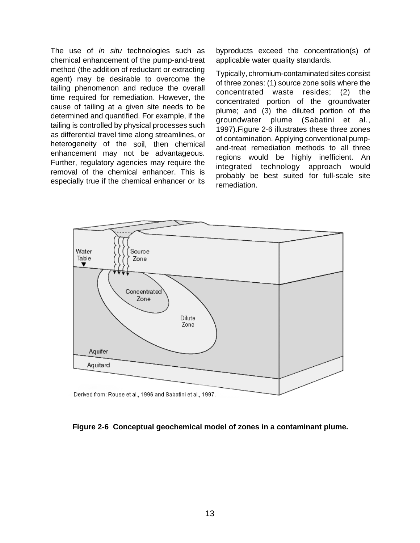The use of in situ technologies such as byproducts exceed the concentration(s) of chemical enhancement of the pump-and-treat applicable water quality standards. method (the addition of reductant or extracting Typically, chromium-contaminated sites consist<br>agent) may be desirable to overcome the efficiency of the same contaminated sites consist agent) may be desirable to overcome the of three zones: (1) source zone soils where the tailing phenomenon and reduce the overall tailing phenomenon and reduce the overall<br>time required for remediation. However, the<br>cause of tailing at a given site needs to be<br>determined and quantified. For example, if the<br>tailing is controlled by physical processes

rumer, regulatory agencies may require the integrated technology approach would<br>removal of the chemical enhancer. This is remediation.<br>remediation.



**Figure 2-6 Conceptual geochemical model of zones in a contaminant plume.**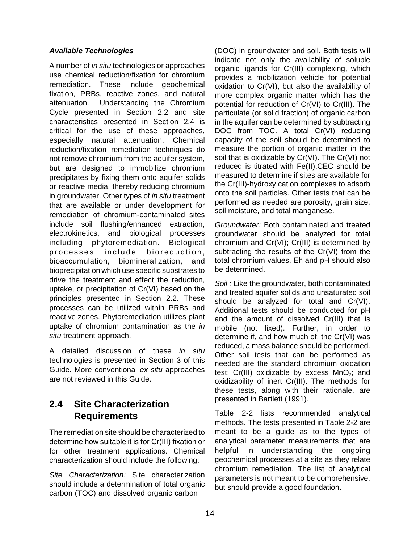#### **Available Technologies**

A number of in situ technologies or approaches use chemical reduction/fixation for chromium remediation. These include geochemical fixation, PRBs, reactive zones, and natural attenuation. Understanding the Chromium Cycle presented in Section 2.2 and site characteristics presented in Section 2.4 is critical for the use of these approaches, especially natural attenuation. Chemical reduction/fixation remediation techniques do not remove chromium from the aquifer system, but are designed to immobilize chromium precipitates by fixing them onto aquifer solids or reactive media, thereby reducing chromium in groundwater. Other types of in situ treatment that are available or under development for remediation of chromium-contaminated sites include soil flushing/enhanced extraction, electrokinetics, and biological processes including phytoremediation. Biological processes include bioreduction, bioaccumulation, biomineralization, and bioprecipitation which use specific substrates to drive the treatment and effect the reduction, uptake, or precipitation of Cr(VI) based on the principles presented in Section 2.2. These processes can be utilized within PRBs and reactive zones. Phytoremediation utilizes plant uptake of chromium contamination as the in situ treatment approach.

A detailed discussion of these in situ technologies is presented in Section 3 of this Guide. More conventional ex situ approaches are not reviewed in this Guide.

# **2.4 Site Characterization Requirements**

The remediation site should be characterized to determine how suitable it is for Cr(III) fixation or for other treatment applications. Chemical characterization should include the following:

Site Characterization: Site characterization should include a determination of total organic carbon (TOC) and dissolved organic carbon

(DOC) in groundwater and soil. Both tests will indicate not only the availability of soluble organic ligands for Cr(III) complexing, which provides a mobilization vehicle for potential oxidation to Cr(VI), but also the availability of more complex organic matter which has the potential for reduction of Cr(VI) to Cr(III). The particulate (or solid fraction) of organic carbon in the aquifer can be determined by subtracting DOC from TOC. A total Cr(VI) reducing capacity of the soil should be determined to measure the portion of organic matter in the soil that is oxidizable by Cr(VI). The Cr(VI) not reduced is titrated with Fe(II).CEC should be measured to determine if sites are available for the Cr(III)-hydroxy cation complexes to adsorb onto the soil particles. Other tests that can be performed as needed are porosity, grain size, soil moisture, and total manganese.

Groundwater: Both contaminated and treated groundwater should be analyzed for total chromium and Cr(VI); Cr(III) is determined by subtracting the results of the Cr(VI) from the total chromium values. Eh and pH should also be determined.

Soil : Like the groundwater, both contaminated and treated aquifer solids and unsaturated soil should be analyzed for total and Cr(VI). Additional tests should be conducted for pH and the amount of dissolved Cr(III) that is mobile (not fixed). Further, in order to determine if, and how much of, the Cr(VI) was reduced, a mass balance should be performed. Other soil tests that can be performed as needed are the standard chromium oxidation test; Cr(III) oxidizable by excess  $MnO<sub>2</sub>$ ; and oxidizability of inert Cr(III). The methods for these tests, along with their rationale, are presented in Bartlett (1991).

Table 2-2 lists recommended analytical methods. The tests presented in Table 2-2 are meant to be a guide as to the types of analytical parameter measurements that are helpful in understanding the ongoing geochemical processes at a site as they relate chromium remediation. The list of analytical parameters is not meant to be comprehensive, but should provide a good foundation.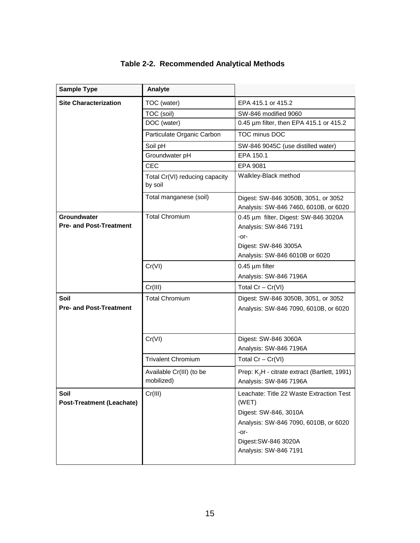| <b>Sample Type</b>                                   | Analyte                                   |                                                                                                                                                                              |
|------------------------------------------------------|-------------------------------------------|------------------------------------------------------------------------------------------------------------------------------------------------------------------------------|
| <b>Site Characterization</b>                         | TOC (water)                               | EPA 415.1 or 415.2                                                                                                                                                           |
|                                                      | TOC (soil)                                | SW-846 modified 9060                                                                                                                                                         |
|                                                      | DOC (water)                               | 0.45 um filter, then EPA 415.1 or 415.2                                                                                                                                      |
|                                                      | Particulate Organic Carbon                | TOC minus DOC                                                                                                                                                                |
|                                                      | Soil pH                                   | SW-846 9045C (use distilled water)                                                                                                                                           |
|                                                      | Groundwater pH                            | EPA 150.1                                                                                                                                                                    |
|                                                      | <b>CEC</b>                                | EPA 9081                                                                                                                                                                     |
|                                                      | Total Cr(VI) reducing capacity<br>by soil | Walkley-Black method                                                                                                                                                         |
|                                                      | Total manganese (soil)                    | Digest: SW-846 3050B, 3051, or 3052<br>Analysis: SW-846 7460, 6010B, or 6020                                                                                                 |
| <b>Groundwater</b><br><b>Pre- and Post-Treatment</b> | <b>Total Chromium</b>                     | 0.45 µm filter, Digest: SW-846 3020A<br>Analysis: SW-846 7191<br>-or-<br>Digest: SW-846 3005A<br>Analysis: SW-846 6010B or 6020                                              |
|                                                      | Cr(VI)                                    | $0.45 \mu m$ filter                                                                                                                                                          |
|                                                      |                                           | Analysis: SW-846 7196A                                                                                                                                                       |
|                                                      | Cr(III)                                   | Total $Cr - Cr(VI)$                                                                                                                                                          |
| Soil<br><b>Pre- and Post-Treatment</b>               | <b>Total Chromium</b>                     | Digest: SW-846 3050B, 3051, or 3052<br>Analysis: SW-846 7090, 6010B, or 6020                                                                                                 |
|                                                      | Cr(VI)                                    | Digest: SW-846 3060A<br>Analysis: SW-846 7196A                                                                                                                               |
|                                                      | <b>Trivalent Chromium</b>                 | Total $Cr - Cr(VI)$                                                                                                                                                          |
|                                                      | Available Cr(III) (to be<br>mobilized)    | Prep: K <sub>2</sub> H - citrate extract (Bartlett, 1991)<br>Analysis: SW-846 7196A                                                                                          |
| Soil<br><b>Post-Treatment (Leachate)</b>             | Cr(III)                                   | Leachate: Title 22 Waste Extraction Test<br>(WET)<br>Digest: SW-846, 3010A<br>Analysis: SW-846 7090, 6010B, or 6020<br>-or-<br>Digest: SW-846 3020A<br>Analysis: SW-846 7191 |

# **Table 2-2. Recommended Analytical Methods**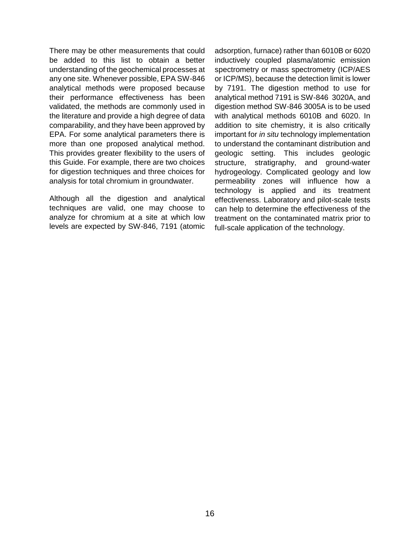There may be other measurements that could be added to this list to obtain a better understanding of the geochemical processes at any one site. Whenever possible, EPA SW-846 analytical methods were proposed because their performance effectiveness has been validated, the methods are commonly used in the literature and provide a high degree of data comparability, and they have been approved by EPA. For some analytical parameters there is more than one proposed analytical method. This provides greater flexibility to the users of this Guide. For example, there are two choices for digestion techniques and three choices for analysis for total chromium in groundwater.

Although all the digestion and analytical techniques are valid, one may choose to analyze for chromium at a site at which low levels are expected by SW-846, 7191 (atomic adsorption, furnace) rather than 6010B or 6020 inductively coupled plasma/atomic emission spectrometry or mass spectrometry (ICP/AES or ICP/MS), because the detection limit is lower by 7191. The digestion method to use for analytical method 7191 is SW-846 3020A, and digestion method SW-846 3005A is to be used with analytical methods 6010B and 6020. In addition to site chemistry, it is also critically important for in situ technology implementation to understand the contaminant distribution and geologic setting. This includes geologic structure, stratigraphy, and ground-water hydrogeology. Complicated geology and low permeability zones will influence how a technology is applied and its treatment effectiveness. Laboratory and pilot-scale tests can help to determine the effectiveness of the treatment on the contaminated matrix prior to full-scale application of the technology.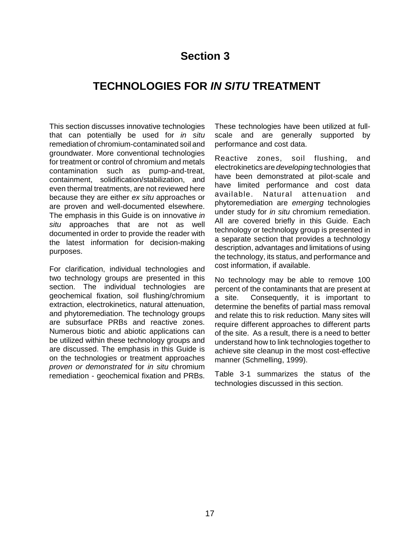# **Section 3**

# **TECHNOLOGIES FOR IN SITU TREATMENT**

This section discusses innovative technologies that can potentially be used for in situ remediation of chromium-contaminated soil and groundwater. More conventional technologies for treatment or control of chromium and metals contamination such as pump-and-treat, containment, solidification/stabilization, and even thermal treatments, are not reviewed here because they are either ex situ approaches or are proven and well-documented elsewhere. The emphasis in this Guide is on innovative in situ approaches that are not as well documented in order to provide the reader with the latest information for decision-making purposes.

For clarification, individual technologies and two technology groups are presented in this section. The individual technologies are geochemical fixation, soil flushing/chromium extraction, electrokinetics, natural attenuation, and phytoremediation. The technology groups are subsurface PRBs and reactive zones. Numerous biotic and abiotic applications can be utilized within these technology groups and are discussed. The emphasis in this Guide is on the technologies or treatment approaches proven or demonstrated for in situ chromium remediation - geochemical fixation and PRBs. These technologies have been utilized at fullscale and are generally supported by performance and cost data.

Reactive zones, soil flushing, and electrokinetics are developing technologies that have been demonstrated at pilot-scale and have limited performance and cost data available. Natural attenuation and phytoremediation are emerging technologies under study for *in situ* chromium remediation. All are covered briefly in this Guide. Each technology or technology group is presented in a separate section that provides a technology description, advantages and limitations of using the technology, its status, and performance and cost information, if available.

No technology may be able to remove 100 percent of the contaminants that are present at a site. Consequently, it is important to determine the benefits of partial mass removal and relate this to risk reduction. Many sites will require different approaches to different parts of the site. As a result, there is a need to better understand how to link technologies together to achieve site cleanup in the most cost-effective manner (Schmelling, 1999).

Table 3-1 summarizes the status of the technologies discussed in this section.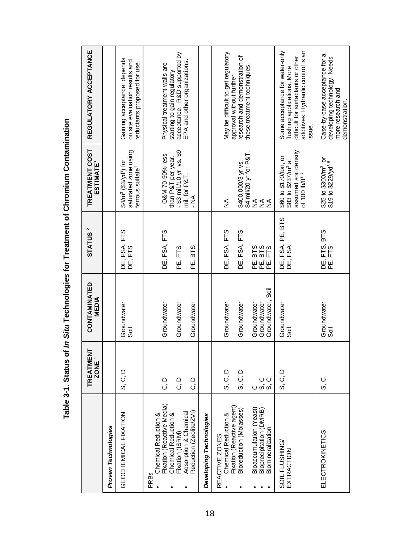|                                                                                          | ヒ<br><b>TREATMEN</b><br>ZONE <sup>1</sup> | CONTAMINATED<br><b>MEDIA</b>                    | STATUS <sup>2</sup>         | TREATMENT COST<br><b>ESTIMATE<sup>3</sup></b>                                                                  | REGULATORY ACCEPTANCE                                                                                                                              |
|------------------------------------------------------------------------------------------|-------------------------------------------|-------------------------------------------------|-----------------------------|----------------------------------------------------------------------------------------------------------------|----------------------------------------------------------------------------------------------------------------------------------------------------|
| Proven Technologies                                                                      |                                           |                                                 |                             |                                                                                                                |                                                                                                                                                    |
| GEOCHEMICAL FIXATION                                                                     | ດ<br>ວິ.                                  | Groundwater<br>Sõil                             | DE, FSA, FTS<br>DE, FTS     | saturated zone using<br>$$4/m3 ($3/yd3)$ for<br>ferrous sulfate <sup>4</sup>                                   | Gaining acceptance: depends<br>on site evaluation results and<br>reductants proposed for use.                                                      |
| Fixation (Reactive Media)<br>Chemical Reduction &<br>Chemical Reduction &<br><b>PRBs</b> | ם<br>ت                                    | Groundwater                                     | DE, FSA, FTS                | - O&M 70-90% less<br>than P&T per year                                                                         | Physical treatment walls are                                                                                                                       |
| Adsorption & Chemical<br>Fixation (ISRM)                                                 | ם<br>ن                                    | Groundwater                                     | PE, FTS                     | $-$ \$3 mil./10 yr vs. \$9<br>mil. for P&T.                                                                    | acceptance. R&D supported by<br>EPA and other organizations.<br>starting to gain regulatory                                                        |
| Reduction (Zeolite/ZVI)                                                                  | ם<br>ت                                    | Groundwater                                     | PE, BTS                     | M<br>N<br>∴                                                                                                    |                                                                                                                                                    |
| Developing Technologies                                                                  |                                           |                                                 |                             |                                                                                                                |                                                                                                                                                    |
| Chemical Reduction &<br>REACTIVE ZONES                                                   | S, C, D                                   | Groundwater                                     | DE, FSA, FTS                | $\frac{1}{2}$                                                                                                  | May be difficult to get regulatory                                                                                                                 |
| Fixation (Reactive agent)<br>Bioreduction (Molasses)                                     | S, C, D                                   | Groundwater                                     | DE, FSA, FTS                | \$400,000/3 yr vs.<br>  \$4 mil/20 yr for P&T.<br>  NA                                                         | research and demonstration of<br>approval without further                                                                                          |
| Bioaccumulation (Yeast)<br>Bioprecipitation (DMRB)<br>Biomineralization                  | ပ ပ<br>လက်                                | Groundwater, Soil<br>Groundwater<br>Groundwater | PE BTS<br>PE BTS<br>PE FTS  | $\leq$<br>$\frac{1}{2}$                                                                                        | these treatment techniques                                                                                                                         |
| SOIL FLUSHING/<br>EXTRACTION                                                             | S, C, D                                   | Groundwater<br>sä                               | FSA; PE, BTS<br>FSA<br>ம்ப் | assumed soil density<br>of 100 lb/ft <sup>35</sup><br>\$60 to \$170/ton, or<br>\$83 to \$237/m <sup>3</sup> at | additives. Hydraulic control is an<br>Some acceptance for water-only<br>difficult for surfactants or other<br>flushing applications. More<br>ssue. |
| ELECTROKINETICS                                                                          | ပ္ပံ                                      | Groundwater<br>Soil                             | DE, FTS, BTS<br>PE, FTS     | \$25 to \$300/m <sup>3</sup> , or<br>\$19 to \$229/yd <sup>35</sup>                                            | Case-by-case acceptance for a<br>developing technology. Needs<br>more research and<br>demonstration.                                               |

Table 3-1. Status of In Situ Technologies for Treatment of Chromium Contamination **Table 3-1. Status of In Situ Technologies for Treatment of Chromium Contamination**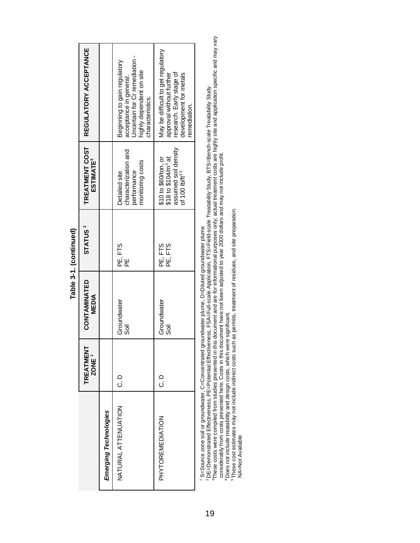|                       | TREATMENT<br>ZONE ' | CONTAMINATED<br><b>MEDIA</b> | STATUS <sup>2</sup> | TREATMENT COST<br><b>ESTIMATE<sup>3</sup></b>                                                                 | REGULATORY ACCEPTANCE                                                                                                                   |
|-----------------------|---------------------|------------------------------|---------------------|---------------------------------------------------------------------------------------------------------------|-----------------------------------------------------------------------------------------------------------------------------------------|
| Emerging Technologies |                     |                              |                     |                                                                                                               |                                                                                                                                         |
| NATURAL ATTENUATION   | ם<br>ن              | Groundwater<br>Sōil          | բը<br>Ε<br>Ε        | characterization and<br>monitoring costs<br>performance<br>Detailed site                                      | Jncertain for Cr remediation -<br>Beginnig to gain regulatory<br>highly dependent on site<br>acceptance in general.<br>characteristics. |
| PHYTOREMEDIATION      | Ο<br>Ο              | Groundwater<br>sāi           | PE, FTS<br>PE, FTS  | assumed soil density<br>\$18 to \$104/m <sup>3</sup> at<br>\$10 to \$60/ton, or<br>of 100 lb/ft <sup>35</sup> | May be difficult to get regulatory<br>research. Early stage of<br>approval without further<br>development for metals<br>remediation.    |

**Table 3-1. (continued)**  Table 3-1. (continued) 1 S=Source zone soil or groundwater, C=Concentrated groundwater plume, D=Diluted groundwater plume

' S=Source zone soil or groundwater, C=Concentrated groundwater plume, D=Diluted groundwater plume<br>°DE=Demonstrated Effectiveness, PE=Potential Effectiveness, FSA=Full-scale Application, FTS=Field-scale Treatability Study 3These costs were compiled from studies presented in this document and are for informational purposes only; actual treatment costs are highly site and application specific and may vary 2 DE=Demonstrated Effectiveness, PE=Potential Effectiveness, FSA=Full-scale Application, FTS=Field-scale Treatability Study, BTS=Bench-scale Treatability Study

considerably from costs presented here. Costs in this document have not been adjusted to year 2000 dollars and may not include profit.

4 Does not include treatability and design costs, which were significant.

5 These cost estimates may not include indirect costs such as permits, treatment of residues, and site preparation.

NA=Not Available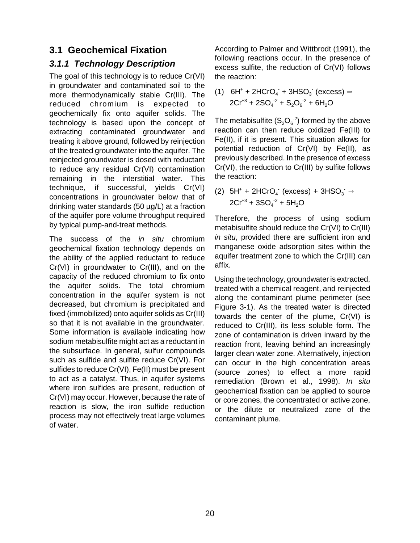# **3.1 Geochemical Fixation**

## **3.1.1 Technology Description**

The goal of this technology is to reduce Cr(VI) in groundwater and contaminated soil to the more thermodynamically stable Cr(III). The reduced chromium is expected to geochemically fix onto aquifer solids. The technology is based upon the concept of extracting contaminated groundwater and treating it above ground, followed by reinjection of the treated groundwater into the aquifer. The reinjected groundwater is dosed with reductant to reduce any residual Cr(VI) contamination remaining in the interstitial water. This technique, if successful, yields Cr(VI) concentrations in groundwater below that of drinking water standards (50 µg/L) at a fraction of the aquifer pore volume throughput required by typical pump-and-treat methods.

The success of the *in situ* chromium geochemical fixation technology depends on the ability of the applied reductant to reduce Cr(VI) in groundwater to Cr(III), and on the capacity of the reduced chromium to fix onto the aquifer solids. The total chromium concentration in the aquifer system is not decreased, but chromium is precipitated and fixed (immobilized) onto aquifer solids as Cr(III) so that it is not available in the groundwater. Some information is available indicating how sodium metabisulfite might act as a reductant in the subsurface. In general, sulfur compounds such as sulfide and sulfite reduce Cr(VI). For sulfides to reduce Cr(VI), Fe(II) must be present to act as a catalyst. Thus, in aquifer systems where iron sulfides are present, reduction of Cr(VI) may occur. However, because the rate of reaction is slow, the iron sulfide reduction process may not effectively treat large volumes of water.

According to Palmer and Wittbrodt (1991), the following reactions occur. In the presence of excess sulfite, the reduction of Cr(VI) follows the reaction:

(1)  $6H^+ + 2HCrO_4 + 3HSO_3$  (excess)  $\Rightarrow$  $2Cr^{+3} + 2SO_4^{-2} + S_2O_6^{-2} + 6H_2O$ 

The metabisulfite  $(S_2O_6^{-2})$  formed by the above reaction can then reduce oxidized Fe(III) to Fe(II), if it is present. This situation allows for potential reduction of Cr(VI) by Fe(II), as previously described. In the presence of excess Cr(VI), the reduction to Cr(III) by sulfite follows the reaction:

(2)  $5H^+ + 2HCrO_4$  (excess) +  $3HSO_3 \rightarrow$  $2Cr^{+3} + 3SO_4^{2} + 5H_2O$ 

Therefore, the process of using sodium metabisulfite should reduce the Cr(VI) to Cr(III) in situ, provided there are sufficient iron and manganese oxide adsorption sites within the aquifer treatment zone to which the Cr(III) can affix.

Using the technology, groundwater is extracted, treated with a chemical reagent, and reinjected along the contaminant plume perimeter (see Figure 3-1). As the treated water is directed towards the center of the plume, Cr(VI) is reduced to Cr(III), its less soluble form. The zone of contamination is driven inward by the reaction front, leaving behind an increasingly larger clean water zone. Alternatively, injection can occur in the high concentration areas (source zones) to effect a more rapid remediation (Brown et al., 1998). In situ geochemical fixation can be applied to source or core zones, the concentrated or active zone, or the dilute or neutralized zone of the contaminant plume.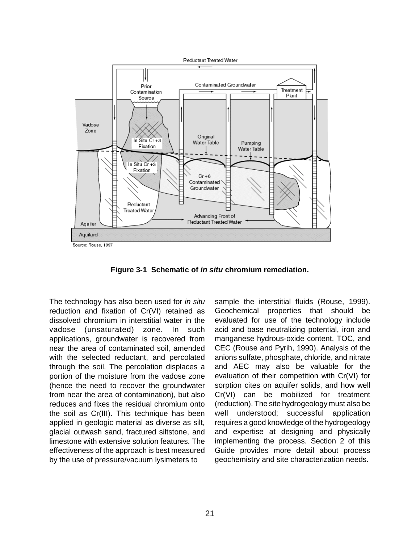

**Figure 3-1 Schematic of in situ chromium remediation.** 

The technology has also been used for in situ reduction and fixation of Cr(VI) retained as dissolved chromium in interstitial water in the vadose (unsaturated) zone. In such applications, groundwater is recovered from near the area of contaminated soil, amended with the selected reductant, and percolated through the soil. The percolation displaces a portion of the moisture from the vadose zone (hence the need to recover the groundwater from near the area of contamination), but also reduces and fixes the residual chromium onto the soil as Cr(III). This technique has been applied in geologic material as diverse as silt, glacial outwash sand, fractured siltstone, and limestone with extensive solution features. The effectiveness of the approach is best measured by the use of pressure/vacuum lysimeters to

sample the interstitial fluids (Rouse, 1999). Geochemical properties that should be evaluated for use of the technology include acid and base neutralizing potential, iron and manganese hydrous-oxide content, TOC, and CEC (Rouse and Pyrih, 1990). Analysis of the anions sulfate, phosphate, chloride, and nitrate and AEC may also be valuable for the evaluation of their competition with Cr(VI) for sorption cites on aquifer solids, and how well Cr(VI) can be mobilized for treatment (reduction). The site hydrogeology must also be well understood; successful application requires a good knowledge of the hydrogeology and expertise at designing and physically implementing the process. Section 2 of this Guide provides more detail about process geochemistry and site characterization needs.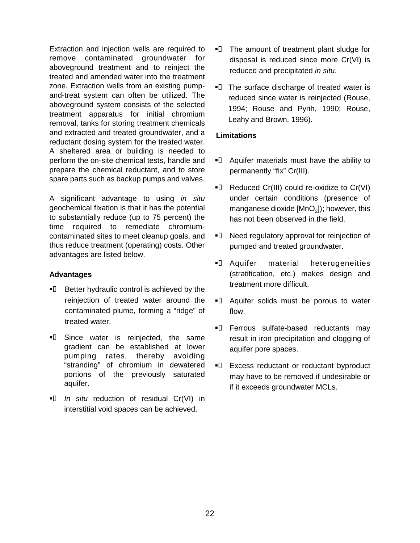Extraction and injection wells are required to remove contaminated groundwater for aboveground treatment and to reinject the treated and amended water into the treatment zone. Extraction wells from an existing pumpand-treat system can often be utilized. The aboveground system consists of the selected treatment apparatus for initial chromium removal, tanks for storing treatment chemicals and extracted and treated groundwater, and a reductant dosing system for the treated water. A sheltered area or building is needed to perform the on-site chemical tests, handle and prepare the chemical reductant, and to store spare parts such as backup pumps and valves.

A significant advantage to using in situ geochemical fixation is that it has the potential to substantially reduce (up to 75 percent) the time required to remediate chromiumcontaminated sites to meet cleanup goals, and thus reduce treatment (operating) costs. Other advantages are listed below.

#### **Advantages**

- **I.** Better hydraulic control is achieved by the reinjection of treated water around the contaminated plume, forming a "ridge" of treated water.
- $\blacksquare$  Since water is reinjected, the same gradient can be established at lower pumping rates, thereby avoiding "stranding" of chromium in dewatered portions of the previously saturated aquifer.
- In situ reduction of residual Cr(VI) in interstitial void spaces can be achieved.
- $\blacksquare$  The amount of treatment plant sludge for disposal is reduced since more Cr(VI) is reduced and precipitated in situ.
- $\blacksquare$  The surface discharge of treated water is reduced since water is reinjected (Rouse, 1994; Rouse and Pyrih, 1990; Rouse, Leahy and Brown, 1996).

#### **Limitations**

- $\blacksquare$  Aquifer materials must have the ability to permanently "fix" Cr(III).
- $\blacksquare$  Reduced Cr(III) could re-oxidize to Cr(VI) under certain conditions (presence of manganese dioxide  $[MnO<sub>2</sub>]$ ; however, this has not been observed in the field.
- $\blacksquare$  Need regulatory approval for reinjection of pumped and treated groundwater.
- **I.** Aquifer material heterogeneities (stratification, etc.) makes design and treatment more difficult.
- $\blacksquare$  Aquifer solids must be porous to water flow.
- **I.** Ferrous sulfate-based reductants may result in iron precipitation and clogging of aquifer pore spaces.
- $\blacksquare$  Excess reductant or reductant byproduct may have to be removed if undesirable or if it exceeds groundwater MCLs.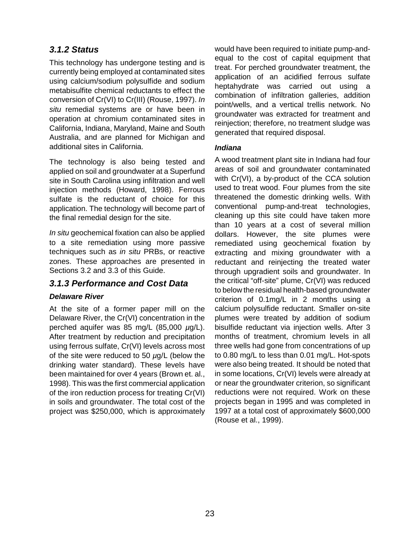## **3.1.2 Status**

This technology has undergone testing and is currently being employed at contaminated sites using calcium/sodium polysulfide and sodium metabisulfite chemical reductants to effect the conversion of Cr(VI) to Cr(III) (Rouse, 1997). In situ remedial systems are or have been in operation at chromium contaminated sites in California, Indiana, Maryland, Maine and South Australia, and are planned for Michigan and additional sites in California.

The technology is also being tested and applied on soil and groundwater at a Superfund site in South Carolina using infiltration and well injection methods (Howard, 1998). Ferrous sulfate is the reductant of choice for this application. The technology will become part of the final remedial design for the site.

In situ geochemical fixation can also be applied to a site remediation using more passive techniques such as in situ PRBs, or reactive zones. These approaches are presented in Sections 3.2 and 3.3 of this Guide.

### **3.1.3 Performance and Cost Data**

### **Delaware River**

At the site of a former paper mill on the Delaware River, the Cr(VI) concentration in the perched aquifer was 85 mg/L  $(85,000 \mu g/L)$ . After treatment by reduction and precipitation using ferrous sulfate, Cr(VI) levels across most of the site were reduced to 50 µg/L (below the drinking water standard). These levels have been maintained for over 4 years (Brown et. al., 1998). This was the first commercial application of the iron reduction process for treating Cr(VI) in soils and groundwater. The total cost of the project was \$250,000, which is approximately would have been required to initiate pump-andequal to the cost of capital equipment that treat. For perched groundwater treatment, the application of an acidified ferrous sulfate heptahydrate was carried out using a combination of infiltration galleries, addition point/wells, and a vertical trellis network. No groundwater was extracted for treatment and reinjection; therefore, no treatment sludge was generated that required disposal.

#### **Indiana**

A wood treatment plant site in Indiana had four areas of soil and groundwater contaminated with Cr(VI), a by-product of the CCA solution used to treat wood. Four plumes from the site threatened the domestic drinking wells. With conventional pump-and-treat technologies, cleaning up this site could have taken more than 10 years at a cost of several million dollars. However, the site plumes were remediated using geochemical fixation by extracting and mixing groundwater with a reductant and reinjecting the treated water through upgradient soils and groundwater. In the critical "off-site" plume, Cr(VI) was reduced to below the residual health-based groundwater criterion of 0.1mg/L in 2 months using a calcium polysulfide reductant. Smaller on-site plumes were treated by addition of sodium bisulfide reductant via injection wells. After 3 months of treatment, chromium levels in all three wells had gone from concentrations of up to 0.80 mg/L to less than 0.01 mg/L. Hot-spots were also being treated. It should be noted that in some locations, Cr(VI) levels were already at or near the groundwater criterion, so significant reductions were not required. Work on these projects began in 1995 and was completed in 1997 at a total cost of approximately \$600,000 (Rouse et al., 1999).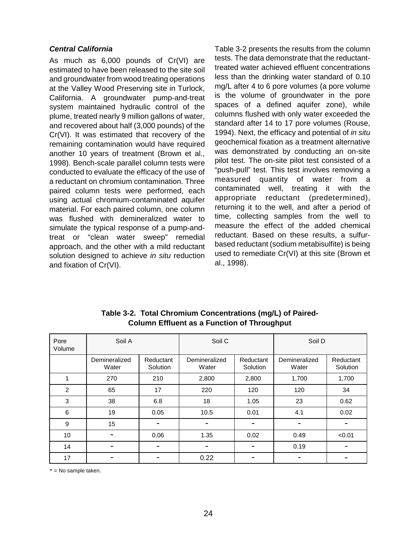#### **Central California**

As much as 6,000 pounds of Cr(VI) are estimated to have been released to the site soil and groundwater from wood treating operations at the Valley Wood Preserving site in Turlock, California. A groundwater pump-and-treat system maintained hydraulic control of the plume, treated nearly 9 million gallons of water, and recovered about half (3,000 pounds) of the Cr(VI). It was estimated that recovery of the remaining contamination would have required another 10 years of treatment (Brown et al., 1998). Bench-scale parallel column tests were conducted to evaluate the efficacy of the use of a reductant on chromium contamination. Three paired column tests were performed, each using actual chromium-contaminated aquifer material. For each paired column, one column was flushed with demineralized water to simulate the typical response of a pump-andtreat or "clean water sweep" remedial approach, and the other with a mild reductant solution designed to achieve in situ reduction and fixation of Cr(VI).

Table 3-2 presents the results from the column tests. The data demonstrate that the reductanttreated water achieved effluent concentrations less than the drinking water standard of 0.10 mg/L after 4 to 6 pore volumes (a pore volume is the volume of groundwater in the pore spaces of a defined aquifer zone), while columns flushed with only water exceeded the standard after 14 to 17 pore volumes (Rouse, 1994). Next, the efficacy and potential of in situ geochemical fixation as a treatment alternative was demonstrated by conducting an on-site pilot test. The on-site pilot test consisted of a "push-pull" test. This test involves removing a measured quantity of water from a contaminated well, treating it with the appropriate reductant (predetermined), returning it to the well, and after a period of time, collecting samples from the well to measure the effect of the added chemical reductant. Based on these results, a sulfurbased reductant (sodium metabisulfite) is being used to remediate Cr(VI) at this site (Brown et al., 1998).

| Pore<br>Volume | Soil A                 |                       | Soil C                 |                       | Soil D                 |                       |
|----------------|------------------------|-----------------------|------------------------|-----------------------|------------------------|-----------------------|
|                | Demineralized<br>Water | Reductant<br>Solution | Demineralized<br>Water | Reductant<br>Solution | Demineralized<br>Water | Reductant<br>Solution |
| 1              | 270                    | 210                   | 2,800                  | 2,800                 | 1,700                  | 1,700                 |
| $\overline{2}$ | 65                     | 17                    | 220                    | 120                   | 120                    | 34                    |
| 3              | 38                     | 6.8                   | 18                     | 1.05                  | 23                     | 0.62                  |
| 6              | 19                     | 0.05                  | 10.5                   | 0.01                  | 4.1                    | 0.02                  |
| 9              | 15                     |                       |                        |                       |                        |                       |
| 10             |                        | 0.06                  | 1.35                   | 0.02                  | 0.49                   | < 0.01                |
| 14             |                        |                       |                        |                       | 0.19                   |                       |
| 17             |                        |                       | 0.22                   |                       |                        |                       |

**Table 3-2. Total Chromium Concentrations (mg/L) of Paired-Column Effluent as a Function of Throughput** 

 $=$  No sample taken.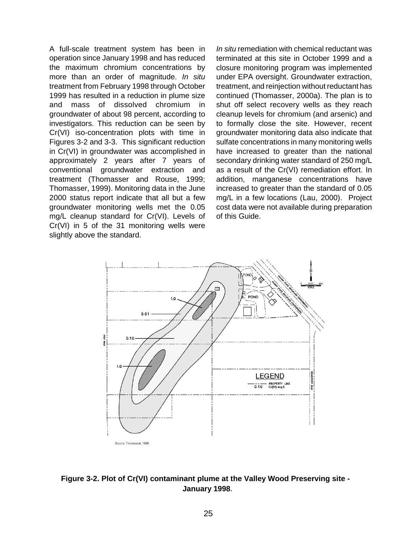A full-scale treatment system has been in operation since January 1998 and has reduced the maximum chromium concentrations by more than an order of magnitude. In situ treatment from February 1998 through October 1999 has resulted in a reduction in plume size and mass of dissolved chromium in groundwater of about 98 percent, according to investigators. This reduction can be seen by Cr(VI) iso-concentration plots with time in Figures 3-2 and 3-3. This significant reduction in Cr(VI) in groundwater was accomplished in approximately 2 years after 7 years of conventional groundwater extraction and treatment (Thomasser and Rouse, 1999; Thomasser, 1999). Monitoring data in the June 2000 status report indicate that all but a few groundwater monitoring wells met the 0.05 mg/L cleanup standard for Cr(VI). Levels of Cr(VI) in 5 of the 31 monitoring wells were slightly above the standard.

In situ remediation with chemical reductant was terminated at this site in October 1999 and a closure monitoring program was implemented under EPA oversight. Groundwater extraction, treatment, and reinjection without reductant has continued (Thomasser, 2000a). The plan is to shut off select recovery wells as they reach cleanup levels for chromium (and arsenic) and to formally close the site. However, recent groundwater monitoring data also indicate that sulfate concentrations in many monitoring wells have increased to greater than the national secondary drinking water standard of 250 mg/L as a result of the Cr(VI) remediation effort. In addition, manganese concentrations have increased to greater than the standard of 0.05 mg/L in a few locations (Lau, 2000). Project cost data were not available during preparation of this Guide.



**Figure 3-2. Plot of Cr(VI) contaminant plume at the Valley Wood Preserving site - January 1998**.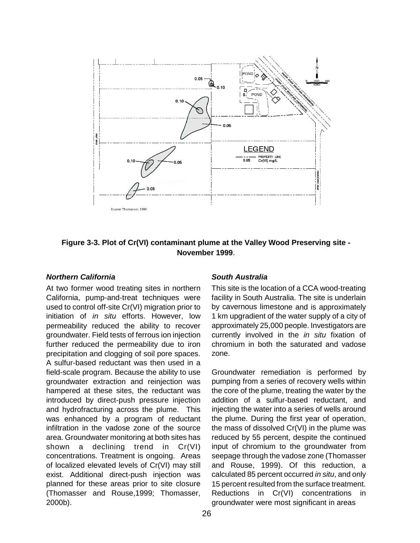

**Figure 3-3. Plot of Cr(VI) contaminant plume at the Valley Wood Preserving site - November 1999**.

### **Northern California**

At two former wood treating sites in northern California, pump-and-treat techniques were used to control off-site Cr(VI) migration prior to initiation of in situ efforts. However, low permeability reduced the ability to recover groundwater. Field tests of ferrous ion injection further reduced the permeability due to iron precipitation and clogging of soil pore spaces. A sulfur-based reductant was then used in a field-scale program. Because the ability to use groundwater extraction and reinjection was hampered at these sites, the reductant was introduced by direct-push pressure injection and hydrofracturing across the plume. This was enhanced by a program of reductant infiltration in the vadose zone of the source area. Groundwater monitoring at both sites has shown a declining trend in Cr(VI) concentrations. Treatment is ongoing. Areas of localized elevated levels of Cr(VI) may still exist. Additional direct-push injection was planned for these areas prior to site closure (Thomasser and Rouse,1999; Thomasser, 2000b).

### **South Australia**

This site is the location of a CCA wood-treating facility in South Australia. The site is underlain by cavernous limestone and is approximately 1 km upgradient of the water supply of a city of approximately 25,000 people. Investigators are currently involved in the *in situ* fixation of chromium in both the saturated and vadose zone.

Groundwater remediation is performed by pumping from a series of recovery wells within the core of the plume, treating the water by the addition of a sulfur-based reductant, and injecting the water into a series of wells around the plume. During the first year of operation, the mass of dissolved Cr(VI) in the plume was reduced by 55 percent, despite the continued input of chromium to the groundwater from seepage through the vadose zone (Thomasser and Rouse, 1999). Of this reduction, a calculated 85 percent occurred in situ, and only 15 percent resulted from the surface treatment. Reductions in Cr(VI) concentrations in groundwater were most significant in areas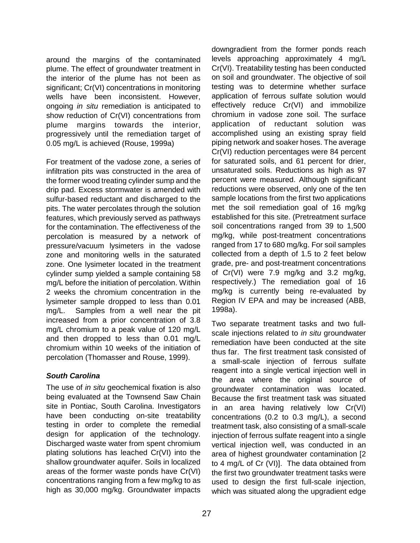around the margins of the contaminated plume. The effect of groundwater treatment in the interior of the plume has not been as significant; Cr(VI) concentrations in monitoring wells have been inconsistent. However, ongoing *in situ* remediation is anticipated to show reduction of Cr(VI) concentrations from plume margins towards the interior, progressively until the remediation target of 0.05 mg/L is achieved (Rouse, 1999a)

For treatment of the vadose zone, a series of infiltration pits was constructed in the area of the former wood treating cylinder sump and the drip pad. Excess stormwater is amended with sulfur-based reductant and discharged to the pits. The water percolates through the solution features, which previously served as pathways for the contamination. The effectiveness of the percolation is measured by a network of pressure/vacuum lysimeters in the vadose zone and monitoring wells in the saturated zone. One lysimeter located in the treatment cylinder sump yielded a sample containing 58 mg/L before the initiation of percolation. Within 2 weeks the chromium concentration in the lysimeter sample dropped to less than 0.01 mg/L. Samples from a well near the pit increased from a prior concentration of 3.8 mg/L chromium to a peak value of 120 mg/L and then dropped to less than 0.01 mg/L chromium within 10 weeks of the initiation of percolation (Thomasser and Rouse, 1999).

### **South Carolina**

The use of *in situ* geochemical fixation is also being evaluated at the Townsend Saw Chain site in Pontiac, South Carolina. Investigators have been conducting on-site treatability testing in order to complete the remedial design for application of the technology. Discharged waste water from spent chromium plating solutions has leached Cr(VI) into the shallow groundwater aquifer. Soils in localized areas of the former waste ponds have Cr(VI) concentrations ranging from a few mg/kg to as high as 30,000 mg/kg. Groundwater impacts

downgradient from the former ponds reach levels approaching approximately 4 mg/L Cr(VI). Treatability testing has been conducted on soil and groundwater. The objective of soil testing was to determine whether surface application of ferrous sulfate solution would effectively reduce Cr(VI) and immobilize chromium in vadose zone soil. The surface application of reductant solution was accomplished using an existing spray field piping network and soaker hoses. The average Cr(VI) reduction percentages were 84 percent for saturated soils, and 61 percent for drier, unsaturated soils. Reductions as high as 97 percent were measured. Although significant reductions were observed, only one of the ten sample locations from the first two applications met the soil remediation goal of 16 mg/kg established for this site. (Pretreatment surface soil concentrations ranged from 39 to 1,500 mg/kg, while post-treatment concentrations ranged from 17 to 680 mg/kg. For soil samples collected from a depth of 1.5 to 2 feet below grade, pre- and post-treatment concentrations of Cr(VI) were 7.9 mg/kg and 3.2 mg/kg, respectively.) The remediation goal of 16 mg/kg is currently being re-evaluated by Region IV EPA and may be increased (ABB, 1998a).

Two separate treatment tasks and two fullscale injections related to *in situ* groundwater remediation have been conducted at the site thus far. The first treatment task consisted of a small-scale injection of ferrous sulfate reagent into a single vertical injection well in the area where the original source of groundwater contamination was located. Because the first treatment task was situated in an area having relatively low Cr(VI) concentrations (0.2 to 0.3 mg/L), a second treatment task, also consisting of a small-scale injection of ferrous sulfate reagent into a single vertical injection well, was conducted in an area of highest groundwater contamination [2 to 4 mg/L of Cr (VI)]. The data obtained from the first two groundwater treatment tasks were used to design the first full-scale injection, which was situated along the upgradient edge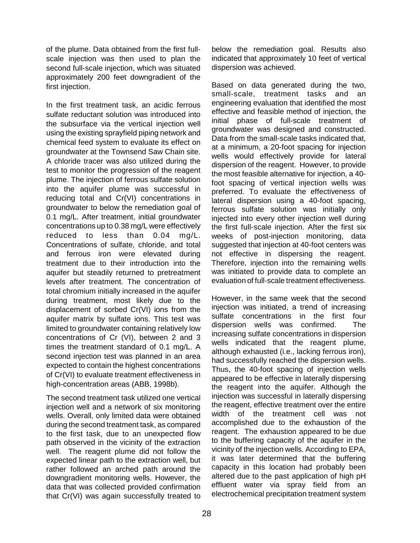of the plume. Data obtained from the first fullscale injection was then used to plan the second full-scale injection, which was situated approximately 200 feet downgradient of the first injection.

In the first treatment task, an acidic ferrous sulfate reductant solution was introduced into the subsurface via the vertical injection well using the existing sprayfield piping network and chemical feed system to evaluate its effect on groundwater at the Townsend Saw Chain site. A chloride tracer was also utilized during the test to monitor the progression of the reagent plume. The injection of ferrous sulfate solution into the aquifer plume was successful in reducing total and Cr(VI) concentrations in groundwater to below the remediation goal of 0.1 mg/L. After treatment, initial groundwater concentrations up to 0.38 mg/L were effectively reduced to less than 0.04 mg/L. Concentrations of sulfate, chloride, and total and ferrous iron were elevated during treatment due to their introduction into the aquifer but steadily returned to pretreatment levels after treatment. The concentration of total chromium initially increased in the aquifer during treatment, most likely due to the displacement of sorbed Cr(VI) ions from the aquifer matrix by sulfate ions. This test was limited to groundwater containing relatively low concentrations of Cr (VI), between 2 and 3 times the treatment standard of 0.1 mg/L. A second injection test was planned in an area expected to contain the highest concentrations of Cr(VI) to evaluate treatment effectiveness in high-concentration areas (ABB, 1998b).

The second treatment task utilized one vertical injection well and a network of six monitoring wells. Overall, only limited data were obtained during the second treatment task, as compared to the first task, due to an unexpected flow path observed in the vicinity of the extraction well. The reagent plume did not follow the expected linear path to the extraction well, but rather followed an arched path around the downgradient monitoring wells. However, the data that was collected provided confirmation that Cr(VI) was again successfully treated to below the remediation goal. Results also indicated that approximately 10 feet of vertical dispersion was achieved.

Based on data generated during the two, small-scale, treatment tasks and an engineering evaluation that identified the most effective and feasible method of injection, the initial phase of full-scale treatment of groundwater was designed and constructed. Data from the small-scale tasks indicated that, at a minimum, a 20-foot spacing for injection wells would effectively provide for lateral dispersion of the reagent. However, to provide the most feasible alternative for injection, a 40 foot spacing of vertical injection wells was preferred. To evaluate the effectiveness of lateral dispersion using a 40-foot spacing, ferrous sulfate solution was initially only injected into every other injection well during the first full-scale injection. After the first six weeks of post-injection monitoring, data suggested that injection at 40-foot centers was not effective in dispersing the reagent. Therefore, injection into the remaining wells was initiated to provide data to complete an evaluation of full-scale treatment effectiveness.

However, in the same week that the second injection was initiated, a trend of increasing sulfate concentrations in the first four dispersion wells was confirmed. The increasing sulfate concentrations in dispersion wells indicated that the reagent plume, although exhausted (i.e., lacking ferrous iron), had successfully reached the dispersion wells. Thus, the 40-foot spacing of injection wells appeared to be effective in laterally dispersing the reagent into the aquifer. Although the injection was successful in laterally dispersing the reagent, effective treatment over the entire width of the treatment cell was not accomplished due to the exhaustion of the reagent. The exhaustion appeared to be due to the buffering capacity of the aquifer in the vicinity of the injection wells. According to EPA, it was later determined that the buffering capacity in this location had probably been altered due to the past application of high pH effluent water via spray field from an electrochemical precipitation treatment system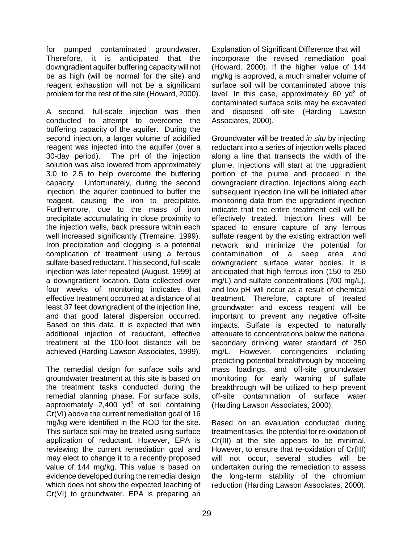for pumped contaminated groundwater. Therefore, it is anticipated that the downgradient aquifer buffering capacity will not be as high (will be normal for the site) and reagent exhaustion will not be a significant problem for the rest of the site (Howard, 2000).

A second, full-scale injection was then conducted to attempt to overcome the buffering capacity of the aquifer. During the second injection, a larger volume of acidified reagent was injected into the aquifer (over a 30-day period). The pH of the injection solution was also lowered from approximately 3.0 to 2.5 to help overcome the buffering capacity. Unfortunately, during the second injection, the aquifer continued to buffer the reagent, causing the iron to precipitate. Furthermore, due to the mass of iron precipitate accumulating in close proximity to the injection wells, back pressure within each well increased significantly (Tremaine, 1999). Iron precipitation and clogging is a potential complication of treatment using a ferrous sulfate-based reductant. This second, full-scale injection was later repeated (August, 1999) at a downgradient location. Data collected over four weeks of monitoring indicates that effective treatment occurred at a distance of at least 37 feet downgradient of the injection line, and that good lateral dispersion occurred. Based on this data, it is expected that with additional injection of reductant, effective treatment at the 100-foot distance will be achieved (Harding Lawson Associates, 1999).

The remedial design for surface soils and groundwater treatment at this site is based on the treatment tasks conducted during the remedial planning phase. For surface soils, approximately  $2,400$  yd<sup>3</sup> of soil containing Cr(VI) above the current remediation goal of 16 mg/kg were identified in the ROD for the site. This surface soil may be treated using surface application of reductant. However, EPA is reviewing the current remediation goal and may elect to change it to a recently proposed value of 144 mg/kg. This value is based on evidence developed during the remedial design which does not show the expected leaching of Cr(VI) to groundwater. EPA is preparing an

Explanation of Significant Difference that will incorporate the revised remediation goal (Howard, 2000). If the higher value of 144 mg/kg is approved, a much smaller volume of surface soil will be contaminated above this level. In this case, approximately 60 yd<sup>3</sup> of contaminated surface soils may be excavated and disposed off-site (Harding Lawson Associates, 2000).

Groundwater will be treated in situ by injecting reductant into a series of injection wells placed along a line that transects the width of the plume. Injections will start at the upgradient portion of the plume and proceed in the downgradient direction. Injections along each subsequent injection line will be initiated after monitoring data from the upgradient injection indicate that the entire treatment cell will be effectively treated. Injection lines will be spaced to ensure capture of any ferrous sulfate reagent by the existing extraction well network and minimize the potential for contamination of a seep area and downgradient surface water bodies. It is anticipated that high ferrous iron (150 to 250 mg/L) and sulfate concentrations (700 mg/L), and low pH will occur as a result of chemical treatment. Therefore, capture of treated groundwater and excess reagent will be important to prevent any negative off-site impacts. Sulfate is expected to naturally attenuate to concentrations below the national secondary drinking water standard of 250 mg/L. However, contingencies including predicting potential breakthrough by modeling mass loadings, and off-site groundwater monitoring for early warning of sulfate breakthrough will be utilized to help prevent off-site contamination of surface water (Harding Lawson Associates, 2000).

Based on an evaluation conducted during treatment tasks, the potential for re-oxidation of Cr(III) at the site appears to be minimal. However, to ensure that re-oxidation of Cr(III) will not occur, several studies will be undertaken during the remediation to assess the long-term stability of the chromium reduction (Harding Lawson Associates, 2000).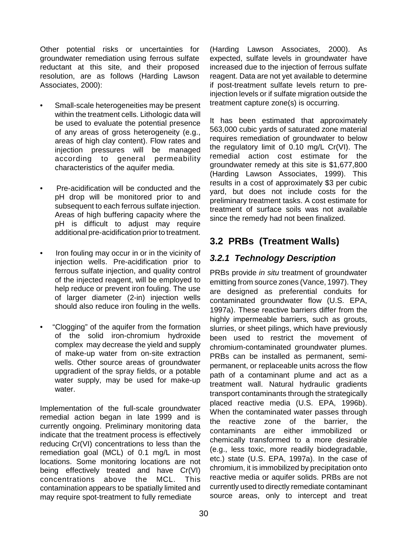Other potential risks or uncertainties for groundwater remediation using ferrous sulfate reductant at this site, and their proposed resolution, are as follows (Harding Lawson Associates, 2000):

- Small-scale heterogeneities may be present within the treatment cells. Lithologic data will be used to evaluate the potential presence of any areas of gross heterogeneity (e.g., areas of high clay content). Flow rates and injection pressures will be managed according to general permeability characteristics of the aquifer media.
- Pre-acidification will be conducted and the pH drop will be monitored prior to and subsequent to each ferrous sulfate injection. Areas of high buffering capacity where the pH is difficult to adjust may require additional pre-acidification prior to treatment.
- Iron fouling may occur in or in the vicinity of injection wells. Pre-acidification prior to ferrous sulfate injection, and quality control of the injected reagent, will be employed to help reduce or prevent iron fouling. The use of larger diameter (2-in) injection wells should also reduce iron fouling in the wells.
- "Clogging" of the aquifer from the formation of the solid iron-chromium hydroxide complex may decrease the yield and supply of make-up water from on-site extraction wells. Other source areas of groundwater upgradient of the spray fields, or a potable water supply, may be used for make-up water.

Implementation of the full-scale groundwater remedial action began in late 1999 and is currently ongoing. Preliminary monitoring data indicate that the treatment process is effectively reducing Cr(VI) concentrations to less than the remediation goal (MCL) of 0.1 mg/L in most locations. Some monitoring locations are not being effectively treated and have Cr(VI) concentrations above the MCL. This contamination appears to be spatially limited and may require spot-treatment to fully remediate

(Harding Lawson Associates, 2000). As expected, sulfate levels in groundwater have increased due to the injection of ferrous sulfate reagent. Data are not yet available to determine if post-treatment sulfate levels return to preinjection levels or if sulfate migration outside the treatment capture zone(s) is occurring.

It has been estimated that approximately 563,000 cubic yards of saturated zone material requires remediation of groundwater to below the regulatory limit of 0.10 mg/L Cr(VI). The remedial action cost estimate for the groundwater remedy at this site is \$1,677,800 (Harding Lawson Associates, 1999). This results in a cost of approximately \$3 per cubic yard, but does not include costs for the preliminary treatment tasks. A cost estimate for treatment of surface soils was not available since the remedy had not been finalized.

# **3.2 PRBs (Treatment Walls)**

## **3.2.1 Technology Description**

PRBs provide *in situ* treatment of groundwater emitting from source zones (Vance, 1997). They are designed as preferential conduits for contaminated groundwater flow (U.S. EPA, 1997a). These reactive barriers differ from the highly impermeable barriers, such as grouts, slurries, or sheet pilings, which have previously been used to restrict the movement of chromium-contaminated groundwater plumes. PRBs can be installed as permanent, semipermanent, or replaceable units across the flow path of a contaminant plume and act as a treatment wall. Natural hydraulic gradients transport contaminants through the strategically placed reactive media (U.S. EPA, 1996b). When the contaminated water passes through the reactive zone of the barrier, the contaminants are either immobilized or chemically transformed to a more desirable (e.g., less toxic, more readily biodegradable, etc.) state (U.S. EPA, 1997a). In the case of chromium, it is immobilized by precipitation onto reactive media or aquifer solids. PRBs are not currently used to directly remediate contaminant source areas, only to intercept and treat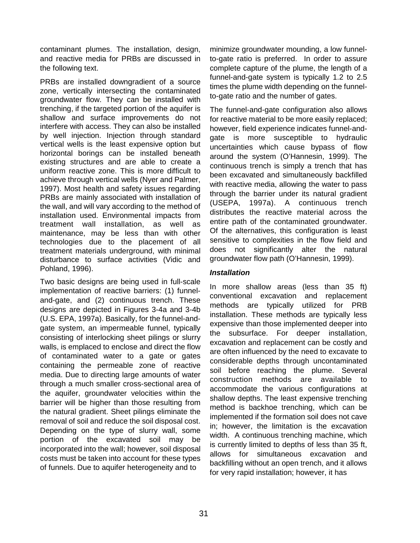contaminant plumes. The installation, design, and reactive media for PRBs are discussed in the following text.

PRBs are installed downgradient of a source zone, vertically intersecting the contaminated groundwater flow. They can be installed with trenching, if the targeted portion of the aquifer is shallow and surface improvements do not interfere with access. They can also be installed by well injection. Injection through standard vertical wells is the least expensive option but horizontal borings can be installed beneath existing structures and are able to create a uniform reactive zone. This is more difficult to achieve through vertical wells (Nyer and Palmer, 1997). Most health and safety issues regarding PRBs are mainly associated with installation of the wall, and will vary according to the method of installation used. Environmental impacts from treatment wall installation, as well as maintenance, may be less than with other technologies due to the placement of all treatment materials underground, with minimal disturbance to surface activities (Vidic and Pohland, 1996).

Two basic designs are being used in full-scale implementation of reactive barriers: (1) funneland-gate, and (2) continuous trench. These designs are depicted in Figures 3-4a and 3-4b (U.S. EPA, 1997a). Basically, for the funnel-andgate system, an impermeable funnel, typically consisting of interlocking sheet pilings or slurry walls, is emplaced to enclose and direct the flow of contaminated water to a gate or gates containing the permeable zone of reactive media. Due to directing large amounts of water through a much smaller cross-sectional area of the aquifer, groundwater velocities within the barrier will be higher than those resulting from the natural gradient. Sheet pilings eliminate the removal of soil and reduce the soil disposal cost. Depending on the type of slurry wall, some portion of the excavated soil may be incorporated into the wall; however, soil disposal costs must be taken into account for these types of funnels. Due to aquifer heterogeneity and to

minimize groundwater mounding, a low funnelto-gate ratio is preferred. In order to assure complete capture of the plume, the length of a funnel-and-gate system is typically 1.2 to 2.5 times the plume width depending on the funnelto-gate ratio and the number of gates.

The funnel-and-gate configuration also allows for reactive material to be more easily replaced; however, field experience indicates funnel-andgate is more susceptible to hydraulic uncertainties which cause bypass of flow around the system (O'Hannesin, 1999). The continuous trench is simply a trench that has been excavated and simultaneously backfilled with reactive media, allowing the water to pass through the barrier under its natural gradient (USEPA, 1997a). A continuous trench distributes the reactive material across the entire path of the contaminated groundwater. Of the alternatives, this configuration is least sensitive to complexities in the flow field and does not significantly alter the natural groundwater flow path (O'Hannesin, 1999).

### **Installation**

In more shallow areas (less than 35 ft) conventional excavation and replacement methods are typically utilized for PRB installation. These methods are typically less expensive than those implemented deeper into the subsurface. For deeper installation, excavation and replacement can be costly and are often influenced by the need to excavate to considerable depths through uncontaminated soil before reaching the plume. Several construction methods are available to accommodate the various configurations at shallow depths. The least expensive trenching method is backhoe trenching, which can be implemented if the formation soil does not cave in; however, the limitation is the excavation width. A continuous trenching machine, which is currently limited to depths of less than 35 ft, allows for simultaneous excavation and backfilling without an open trench, and it allows for very rapid installation; however, it has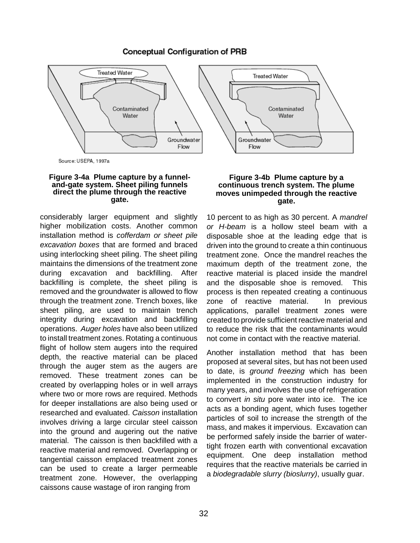### **Conceptual Configuration of PRB**



Source: USEPA, 1997a

## **Figure 3-4a Plume capture by a funnel- and-gate system. Sheet piling funnels direct the plume through the reactive gate.**

considerably larger equipment and slightly higher mobilization costs. Another common installation method is cofferdam or sheet pile excavation boxes that are formed and braced using interlocking sheet piling. The sheet piling maintains the dimensions of the treatment zone during excavation and backfilling. After backfilling is complete, the sheet piling is removed and the groundwater is allowed to flow through the treatment zone. Trench boxes, like sheet piling, are used to maintain trench integrity during excavation and backfilling operations. Auger holes have also been utilized to install treatment zones. Rotating a continuous flight of hollow stem augers into the required depth, the reactive material can be placed through the auger stem as the augers are removed. These treatment zones can be created by overlapping holes or in well arrays where two or more rows are required. Methods for deeper installations are also being used or researched and evaluated. Caisson installation involves driving a large circular steel caisson into the ground and augering out the native material. The caisson is then backfilled with a reactive material and removed. Overlapping or tangential caisson emplaced treatment zones can be used to create a larger permeable treatment zone. However, the overlapping caissons cause wastage of iron ranging from

#### **Figure 3-4b Plume capture by a continuous trench system. The plume moves unimpeded through the reactive gate.**

10 percent to as high as 30 percent. A *mandrel* or H-beam is a hollow steel beam with a disposable shoe at the leading edge that is driven into the ground to create a thin continuous treatment zone. Once the mandrel reaches the maximum depth of the treatment zone, the reactive material is placed inside the mandrel and the disposable shoe is removed. This process is then repeated creating a continuous zone of reactive material. In previous applications, parallel treatment zones were created to provide sufficient reactive material and to reduce the risk that the contaminants would not come in contact with the reactive material.

Another installation method that has been proposed at several sites, but has not been used to date, is ground freezing which has been implemented in the construction industry for many years, and involves the use of refrigeration to convert in situ pore water into ice. The ice acts as a bonding agent, which fuses together particles of soil to increase the strength of the mass, and makes it impervious. Excavation can be performed safely inside the barrier of watertight frozen earth with conventional excavation equipment. One deep installation method requires that the reactive materials be carried in a biodegradable slurry (bioslurry), usually guar.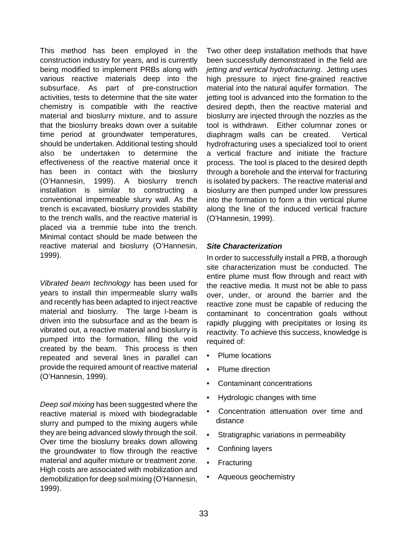This method has been employed in the construction industry for years, and is currently being modified to implement PRBs along with various reactive materials deep into the subsurface. As part of pre-construction activities, tests to determine that the site water chemistry is compatible with the reactive material and bioslurry mixture, and to assure that the bioslurry breaks down over a suitable time period at groundwater temperatures, should be undertaken. Additional testing should also be undertaken to determine the effectiveness of the reactive material once it has been in contact with the bioslurry (O'Hannesin, 1999). A bioslurry trench installation is similar to constructing a conventional impermeable slurry wall. As the trench is excavated, bioslurry provides stability to the trench walls, and the reactive material is placed via a tremmie tube into the trench. Minimal contact should be made between the reactive material and bioslurry (O'Hannesin, 1999).

Vibrated beam technology has been used for years to install thin impermeable slurry walls and recently has been adapted to inject reactive material and bioslurry. The large I-beam is driven into the subsurface and as the beam is vibrated out, a reactive material and bioslurry is pumped into the formation, filling the void created by the beam. This process is then repeated and several lines in parallel can provide the required amount of reactive material (O'Hannesin, 1999).

Deep soil mixing has been suggested where the reactive material is mixed with biodegradable slurry and pumped to the mixing augers while they are being advanced slowly through the soil. Over time the bioslurry breaks down allowing the groundwater to flow through the reactive material and aquifer mixture or treatment zone. High costs are associated with mobilization and demobilization for deep soil mixing (O'Hannesin, 1999).

Two other deep installation methods that have been successfully demonstrated in the field are jetting and vertical hydrofracturing. Jetting uses high pressure to inject fine-grained reactive material into the natural aquifer formation. The jetting tool is advanced into the formation to the desired depth, then the reactive material and bioslurry are injected through the nozzles as the tool is withdrawn. Either columnar zones or diaphragm walls can be created. Vertical hydrofracturing uses a specialized tool to orient a vertical fracture and initiate the fracture process. The tool is placed to the desired depth through a borehole and the interval for fracturing is isolated by packers. The reactive material and bioslurry are then pumped under low pressures into the formation to form a thin vertical plume along the line of the induced vertical fracture (O'Hannesin, 1999).

### **Site Characterization**

In order to successfully install a PRB, a thorough site characterization must be conducted. The entire plume must flow through and react with the reactive media. It must not be able to pass over, under, or around the barrier and the reactive zone must be capable of reducing the contaminant to concentration goals without rapidly plugging with precipitates or losing its reactivity. To achieve this success, knowledge is required of:

- Plume locations
- Plume direction
- Contaminant concentrations
- Hydrologic changes with time
- Concentration attenuation over time and distance
- Stratigraphic variations in permeability
- Confining layers
- **Fracturing**
- Aqueous geochemistry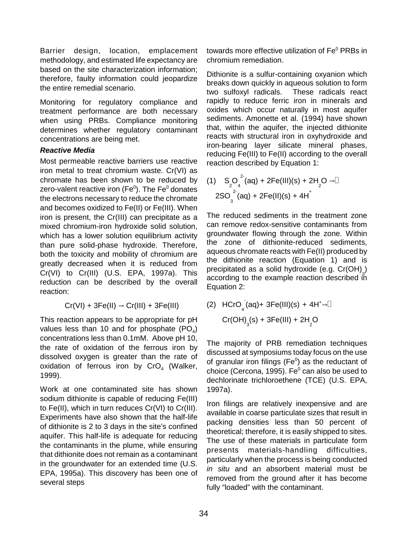Barrier design, location, emplacement methodology, and estimated life expectancy are based on the site characterization information; therefore, faulty information could jeopardize the entire remedial scenario.

Monitoring for regulatory compliance and treatment performance are both necessary when using PRBs. Compliance monitoring determines whether regulatory contaminant concentrations are being met.

### **Reactive Media**

Most permeable reactive barriers use reactive iron metal to treat chromium waste. Cr(VI) as chromate has been shown to be reduced by zero-valent reactive iron (Fe $^0$ ). The Fe $^0$  donates the electrons necessary to reduce the chromate and becomes oxidized to Fe(II) or Fe(III). When iron is present, the Cr(III) can precipitate as a mixed chromium-iron hydroxide solid solution, which has a lower solution equilibrium activity than pure solid-phase hydroxide. Therefore, both the toxicity and mobility of chromium are greatly decreased when it is reduced from Cr(VI) to Cr(III) (U.S. EPA, 1997a). This reduction can be described by the overall reaction:

$$
Cr(VI) + 3Fe(II) \Rightarrow Cr(III) + 3Fe(III)
$$

This reaction appears to be appropriate for pH values less than 10 and for phosphate  $(PO<sub>4</sub>)$ concentrations less than 0.1mM. Above pH 10, the rate of oxidation of the ferrous iron by dissolved oxygen is greater than the rate of oxidation of ferrous iron by  $CrO<sub>4</sub>$  (Walker, 1999).

Work at one contaminated site has shown sodium dithionite is capable of reducing Fe(III) to Fe(II), which in turn reduces Cr(VI) to Cr(III). Experiments have also shown that the half-life of dithionite is 2 to 3 days in the site's confined aquifer. This half-life is adequate for reducing the contaminants in the plume, while ensuring that dithionite does not remain as a contaminant in the groundwater for an extended time (U.S. EPA, 1995a). This discovery has been one of several steps

towards more effective utilization of  $\mathsf{Fe}^0$  PRBs in chromium remediation.

Dithionite is a sulfur-containing oxyanion which breaks down quickly in aqueous solution to form two sulfoxyl radicals. These radicals react rapidly to reduce ferric iron in minerals and oxides which occur naturally in most aquifer sediments. Amonette et al. (1994) have shown that, within the aquifer, the injected dithionite reacts with structural iron in oxyhydroxide and iron-bearing layer silicate mineral phases, reducing Fe(III) to Fe(II) according to the overall reaction described by Equation 1:

(1) 
$$
S_2O_4^{2}(aq) + 2Fe(III)(s) + 2H_2O \rightarrow 2
$$
  
2SO<sub>3</sub><sup>2</sup>(aq) + 2Fe(II)(s) + 4H<sup>+</sup>

The reduced sediments in the treatment zone can remove redox-sensitive contaminants from groundwater flowing through the zone. Within the zone of dithionite-reduced sediments, aqueous chromate reacts with Fe(II) produced by the dithionite reaction (Equation 1) and is precipitated as a solid hydroxide (e.g.  $Cr(OH)_{3}$ ) according to the example reaction described in Equation 2:

(2) HCrO<sub>4</sub>(aq)+ 3Fe(III)(s) + 4H<sup>+</sup> 
$$
\rightarrow \Box
$$
  
Cr(OH)<sub>3</sub>(s) + 3Fe(III) + 2H<sub>2</sub>O

The majority of PRB remediation techniques discussed at symposiums today focus on the use of granular iron filings ( $Fe<sup>0</sup>$ ) as the reductant of choice (Cercona, 1995). Fe $^0$  can also be used to dechlorinate trichloroethene (TCE) (U.S. EPA, 1997a).

Iron filings are relatively inexpensive and are available in coarse particulate sizes that result in packing densities less than 50 percent of theoretical; therefore, it is easily shipped to sites. The use of these materials in particulate form presents materials-handling difficulties, particularly when the process is being conducted in situ and an absorbent material must be removed from the ground after it has become fully "loaded" with the contaminant.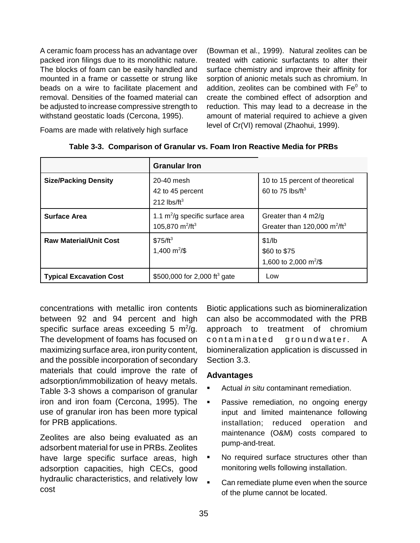beads on a wire to facilitate placement and

A ceramic foam process has an advantage over (Bowman et al., 1999). Natural zeolites can be packed iron filings due to its monolithic nature. treated with cationic surfactants to alter their The blocks of foam can be easily handled and surface chemistry and improve their affinity for mounted in a frame or cassette or strung like sorption of anionic metals such as chromium. In addition. zeolites can be combined with  $Fe<sup>0</sup>$  to removal. Densities of the foamed material can create the combined effect of adsorption and be adjusted to increase compressive strength to reduction. This may lead to a decrease in the withstand geostatic loads (Cercona, 1995). amount of material required to achieve a given level of Cr(VI) removal (Zhaohui, 1999).

Foams are made with relatively high surface

|                                | <b>Granular Iron</b>                                                 |                                                                              |
|--------------------------------|----------------------------------------------------------------------|------------------------------------------------------------------------------|
| <b>Size/Packing Density</b>    | 20-40 mesh<br>42 to 45 percent<br>212 $\text{lbs/ft}^3$              | 10 to 15 percent of theoretical<br>60 to 75 $\text{lbs/ft}^3$                |
| <b>Surface Area</b>            | 1.1 $m^2$ /g specific surface area<br>105,870 $m^2$ /ft <sup>3</sup> | Greater than $4 \text{ m2/g}$<br>Greater than 120,000 $m^2$ /ft <sup>3</sup> |
| <b>Raw Material/Unit Cost</b>  | $$75/ft^3$<br>1,400 $\mathrm{m}^2/\$$                                | \$1/lb<br>\$60 to \$75<br>1,600 to 2,000 m <sup>2</sup> /\$                  |
| <b>Typical Excavation Cost</b> | \$500,000 for 2,000 ft <sup>3</sup> gate                             | Low                                                                          |

|  |  |  |  |  | Table 3-3. Comparison of Granular vs. Foam Iron Reactive Media for PRBs |
|--|--|--|--|--|-------------------------------------------------------------------------|
|--|--|--|--|--|-------------------------------------------------------------------------|

concentrations with metallic iron contents between 92 and 94 percent and high specific surface areas exceeding 5  $m^2/g$ . The development of foams has focused on maximizing surface area, iron purity content, and the possible incorporation of secondary materials that could improve the rate of adsorption/immobilization of heavy metals. Table 3-3 shows a comparison of granular iron and iron foam (Cercona, 1995). The use of granular iron has been more typical for PRB applications.

Zeolites are also being evaluated as an adsorbent material for use in PRBs. Zeolites have large specific surface areas, high adsorption capacities, high CECs, good hydraulic characteristics, and relatively low cost

Biotic applications such as biomineralization can also be accommodated with the PRB approach to treatment of chromium contaminated groundwater. A biomineralization application is discussed in Section 3.3.

### **Advantages**

- **EXEC** Actual *in situ* contaminant remediation.
- Passive remediation, no ongoing energy input and limited maintenance following installation; reduced operation and maintenance (O&M) costs compared to pump-and-treat.
- No required surface structures other than monitoring wells following installation.
- **EXEC** Can remediate plume even when the source of the plume cannot be located.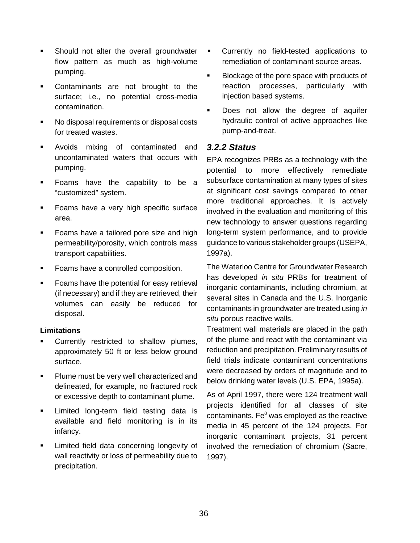- **EXEC** Should not alter the overall groundwater flow pattern as much as high-volume pumping.
- **•** Contaminants are not brought to the surface; i.e., no potential cross-media contamination.
- ! No disposal requirements or disposal costs for treated wastes.
- **EXECUTE:** Avoids mixing of contaminated and uncontaminated waters that occurs with pumping.
- ! Foams have the capability to be a "customized" system.
- **EXEL 15 Foams have a very high specific surface** area.
- **EXEC** Foams have a tailored pore size and high permeability/porosity, which controls mass transport capabilities.
- ! Foams have a controlled composition.
- **EXEC** Foams have the potential for easy retrieval (if necessary) and if they are retrieved, their volumes can easily be reduced for disposal.

### **Limitations**

- Currently restricted to shallow plumes, approximately 50 ft or less below ground surface.
- **.** Plume must be very well characterized and delineated, for example, no fractured rock or excessive depth to contaminant plume.
- **Example 1** Limited long-term field testing data is available and field monitoring is in its infancy.
- **EXECUTE:** Limited field data concerning longevity of wall reactivity or loss of permeability due to precipitation.
- Currently no field-tested applications to remediation of contaminant source areas.
- **EXECUTE:** Blockage of the pore space with products of reaction processes, particularly with injection based systems.
- Does not allow the degree of aquifer hydraulic control of active approaches like pump-and-treat.

### **3.2.2 Status**

EPA recognizes PRBs as a technology with the potential to more effectively remediate subsurface contamination at many types of sites at significant cost savings compared to other more traditional approaches. It is actively involved in the evaluation and monitoring of this new technology to answer questions regarding long-term system performance, and to provide guidance to various stakeholder groups (USEPA, 1997a).

The Waterloo Centre for Groundwater Research has developed in situ PRBs for treatment of inorganic contaminants, including chromium, at several sites in Canada and the U.S. Inorganic contaminants in groundwater are treated using in situ porous reactive walls.

Treatment wall materials are placed in the path of the plume and react with the contaminant via reduction and precipitation. Preliminary results of field trials indicate contaminant concentrations were decreased by orders of magnitude and to below drinking water levels (U.S. EPA, 1995a).

As of April 1997, there were 124 treatment wall projects identified for all classes of site contaminants. Fe $^0$  was employed as the reactive media in 45 percent of the 124 projects. For inorganic contaminant projects, 31 percent involved the remediation of chromium (Sacre, 1997).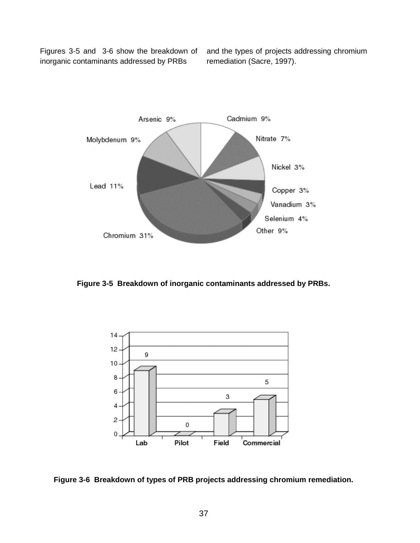Figures 3-5 and 3-6 show the breakdown of and the types of projects addressing chromium inorganic contaminants addressed by PRBs remediation (Sacre, 1997).



**Figure 3-5 Breakdown of inorganic contaminants addressed by PRBs.** 



**Figure 3-6 Breakdown of types of PRB projects addressing chromium remediation.**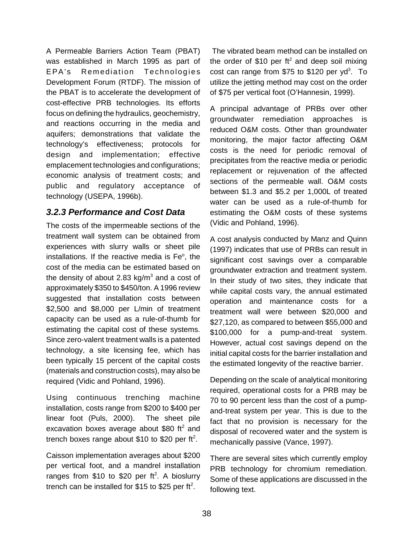A Permeable Barriers Action Team (PBAT) was established in March 1995 as part of EPA's Remediation Technologies Development Forum (RTDF). The mission of the PBAT is to accelerate the development of cost-effective PRB technologies. Its efforts focus on defining the hydraulics, geochemistry, and reactions occurring in the media and aquifers; demonstrations that validate the technology's effectiveness; protocols for design and implementation; effective emplacement technologies and configurations; economic analysis of treatment costs; and public and regulatory acceptance of technology (USEPA, 1996b).

### **3.2.3 Performance and Cost Data**

The costs of the impermeable sections of the treatment wall system can be obtained from experiences with slurry walls or sheet pile installations. If the reactive media is Fe°, the cost of the media can be estimated based on the density of about 2.83  $kg/m<sup>3</sup>$  and a cost of approximately \$350 to \$450/ton. A 1996 review suggested that installation costs between \$2,500 and \$8,000 per L/min of treatment capacity can be used as a rule-of-thumb for estimating the capital cost of these systems. Since zero-valent treatment walls is a patented technology, a site licensing fee, which has been typically 15 percent of the capital costs (materials and construction costs), may also be required (Vidic and Pohland, 1996).

Using continuous trenching machine installation, costs range from \$200 to \$400 per linear foot (Puls, 2000). The sheet pile excavation boxes average about \$80 ft<sup>2</sup> and trench boxes range about \$10 to \$20 per ft<sup>2</sup>.

Caisson implementation averages about \$200 per vertical foot, and a mandrel installation ranges from  $$10$  to  $$20$  per ft<sup>2</sup>. A bioslurry trench can be installed for \$15 to \$25 per ft<sup>2</sup>.

The vibrated beam method can be installed on the order of \$10 per  $ft^2$  and deep soil mixing cost can range from  $$75$  to  $$120$  per yd<sup>3</sup>. To utilize the jetting method may cost on the order of \$75 per vertical foot (O'Hannesin, 1999).

A principal advantage of PRBs over other groundwater remediation approaches is reduced O&M costs. Other than groundwater monitoring, the major factor affecting O&M costs is the need for periodic removal of precipitates from the reactive media or periodic replacement or rejuvenation of the affected sections of the permeable wall. O&M costs between \$1.3 and \$5.2 per 1,000L of treated water can be used as a rule-of-thumb for estimating the O&M costs of these systems (Vidic and Pohland, 1996).

A cost analysis conducted by Manz and Quinn (1997) indicates that use of PRBs can result in significant cost savings over a comparable groundwater extraction and treatment system. In their study of two sites, they indicate that while capital costs vary, the annual estimated operation and maintenance costs for a treatment wall were between \$20,000 and \$27,120, as compared to between \$55,000 and \$100,000 for a pump-and-treat system. However, actual cost savings depend on the initial capital costs for the barrier installation and the estimated longevity of the reactive barrier.

Depending on the scale of analytical monitoring required, operational costs for a PRB may be 70 to 90 percent less than the cost of a pumpand-treat system per year. This is due to the fact that no provision is necessary for the disposal of recovered water and the system is mechanically passive (Vance, 1997).

There are several sites which currently employ PRB technology for chromium remediation. Some of these applications are discussed in the following text.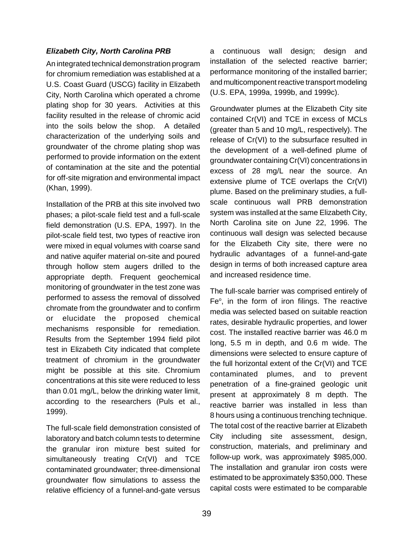### **Elizabeth City, North Carolina PRB**

An integrated technical demonstration program for chromium remediation was established at a U.S. Coast Guard (USCG) facility in Elizabeth City, North Carolina which operated a chrome plating shop for 30 years. Activities at this facility resulted in the release of chromic acid into the soils below the shop. A detailed characterization of the underlying soils and groundwater of the chrome plating shop was performed to provide information on the extent of contamination at the site and the potential for off-site migration and environmental impact (Khan, 1999).

Installation of the PRB at this site involved two phases; a pilot-scale field test and a full-scale field demonstration (U.S. EPA, 1997). In the pilot-scale field test, two types of reactive iron were mixed in equal volumes with coarse sand and native aquifer material on-site and poured through hollow stem augers drilled to the appropriate depth. Frequent geochemical monitoring of groundwater in the test zone was performed to assess the removal of dissolved chromate from the groundwater and to confirm or elucidate the proposed chemical mechanisms responsible for remediation. Results from the September 1994 field pilot test in Elizabeth City indicated that complete treatment of chromium in the groundwater might be possible at this site. Chromium concentrations at this site were reduced to less than 0.01 mg/L, below the drinking water limit, according to the researchers (Puls et al., 1999).

The full-scale field demonstration consisted of laboratory and batch column tests to determine the granular iron mixture best suited for simultaneously treating Cr(VI) and TCE contaminated groundwater; three-dimensional groundwater flow simulations to assess the relative efficiency of a funnel-and-gate versus

a continuous wall design; design and installation of the selected reactive barrier; performance monitoring of the installed barrier; and multicomponent reactive transport modeling (U.S. EPA, 1999a, 1999b, and 1999c).

Groundwater plumes at the Elizabeth City site contained Cr(VI) and TCE in excess of MCLs (greater than 5 and 10 mg/L, respectively). The release of Cr(VI) to the subsurface resulted in the development of a well-defined plume of groundwater containing Cr(VI) concentrations in excess of 28 mg/L near the source. An extensive plume of TCE overlaps the Cr(VI) plume. Based on the preliminary studies, a fullscale continuous wall PRB demonstration system was installed at the same Elizabeth City, North Carolina site on June 22, 1996. The continuous wall design was selected because for the Elizabeth City site, there were no hydraulic advantages of a funnel-and-gate design in terms of both increased capture area and increased residence time.

The full-scale barrier was comprised entirely of Fe<sup>o</sup>, in the form of iron filings. The reactive media was selected based on suitable reaction rates, desirable hydraulic properties, and lower cost. The installed reactive barrier was 46.0 m long, 5.5 m in depth, and 0.6 m wide. The dimensions were selected to ensure capture of the full horizontal extent of the Cr(VI) and TCE contaminated plumes, and to prevent penetration of a fine-grained geologic unit present at approximately 8 m depth. The reactive barrier was installed in less than 8 hours using a continuous trenching technique. The total cost of the reactive barrier at Elizabeth City including site assessment, design, construction, materials, and preliminary and follow-up work, was approximately \$985,000. The installation and granular iron costs were estimated to be approximately \$350,000. These capital costs were estimated to be comparable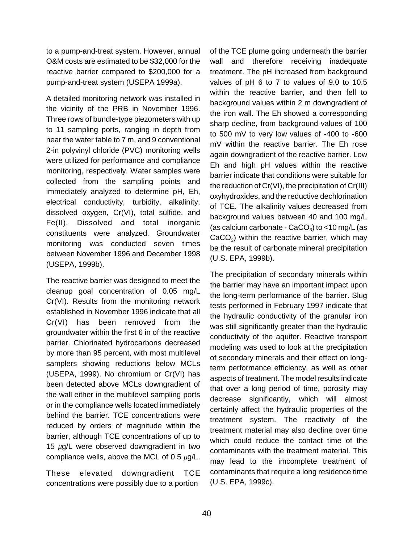to a pump-and-treat system. However, annual O&M costs are estimated to be \$32,000 for the reactive barrier compared to \$200,000 for a pump-and-treat system (USEPA 1999a).

A detailed monitoring network was installed in the vicinity of the PRB in November 1996. Three rows of bundle-type piezometers with up to 11 sampling ports, ranging in depth from near the water table to 7 m, and 9 conventional 2-in polyvinyl chloride (PVC) monitoring wells were utilized for performance and compliance monitoring, respectively. Water samples were collected from the sampling points and immediately analyzed to determine pH, Eh, electrical conductivity, turbidity, alkalinity, dissolved oxygen, Cr(VI), total sulfide, and Fe(II). Dissolved and total inorganic constituents were analyzed. Groundwater monitoring was conducted seven times between November 1996 and December 1998 (USEPA, 1999b).

The reactive barrier was designed to meet the cleanup goal concentration of 0.05 mg/L Cr(VI). Results from the monitoring network established in November 1996 indicate that all Cr(VI) has been removed from the groundwater within the first 6 in of the reactive barrier. Chlorinated hydrocarbons decreased by more than 95 percent, with most multilevel samplers showing reductions below MCLs (USEPA, 1999). No chromium or Cr(VI) has been detected above MCLs downgradient of the wall either in the multilevel sampling ports or in the compliance wells located immediately behind the barrier. TCE concentrations were reduced by orders of magnitude within the barrier, although TCE concentrations of up to 15  $\mu$ g/L were observed downgradient in two compliance wells, above the MCL of 0.5  $\mu$ g/L.

These elevated downgradient TCE concentrations were possibly due to a portion

of the TCE plume going underneath the barrier wall and therefore receiving inadequate treatment. The pH increased from background values of pH 6 to 7 to values of 9.0 to 10.5 within the reactive barrier, and then fell to background values within 2 m downgradient of the iron wall. The Eh showed a corresponding sharp decline, from background values of 100 to 500 mV to very low values of -400 to -600 mV within the reactive barrier. The Eh rose again downgradient of the reactive barrier. Low Eh and high pH values within the reactive barrier indicate that conditions were suitable for the reduction of Cr(VI), the precipitation of Cr(III) oxyhydroxides, and the reductive dechlorination of TCE. The alkalinity values decreased from background values between 40 and 100 mg/L (as calcium carbonate -  $CaCO<sub>3</sub>$ ) to <10 mg/L (as  $CaCO<sub>3</sub>$ ) within the reactive barrier, which may be the result of carbonate mineral precipitation (U.S. EPA, 1999b).

The precipitation of secondary minerals within the barrier may have an important impact upon the long-term performance of the barrier. Slug tests performed in February 1997 indicate that the hydraulic conductivity of the granular iron was still significantly greater than the hydraulic conductivity of the aquifer. Reactive transport modeling was used to look at the precipitation of secondary minerals and their effect on longterm performance efficiency, as well as other aspects of treatment. The model results indicate that over a long period of time, porosity may decrease significantly, which will almost certainly affect the hydraulic properties of the treatment system. The reactivity of the treatment material may also decline over time which could reduce the contact time of the contaminants with the treatment material. This may lead to the imcomplete treatment of contaminants that require a long residence time (U.S. EPA, 1999c).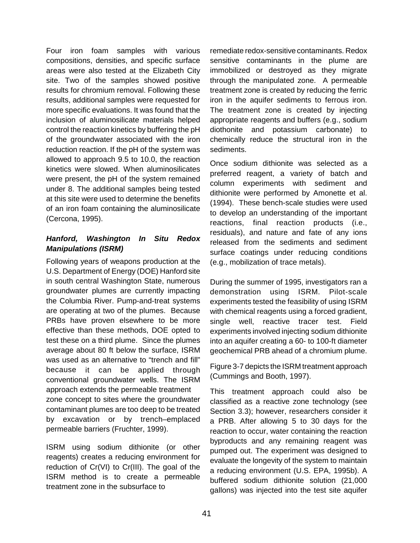Four iron foam samples with various compositions, densities, and specific surface areas were also tested at the Elizabeth City site. Two of the samples showed positive results for chromium removal. Following these results, additional samples were requested for more specific evaluations. It was found that the inclusion of aluminosilicate materials helped control the reaction kinetics by buffering the pH of the groundwater associated with the iron reduction reaction. If the pH of the system was allowed to approach 9.5 to 10.0, the reaction kinetics were slowed. When aluminosilicates were present, the pH of the system remained under 8. The additional samples being tested at this site were used to determine the benefits of an iron foam containing the aluminosilicate (Cercona, 1995).

### **Hanford, Washington In Situ Redox Manipulations (ISRM)**

Following years of weapons production at the U.S. Department of Energy (DOE) Hanford site in south central Washington State, numerous groundwater plumes are currently impacting the Columbia River. Pump-and-treat systems are operating at two of the plumes. Because PRBs have proven elsewhere to be more effective than these methods, DOE opted to test these on a third plume. Since the plumes average about 80 ft below the surface, ISRM was used as an alternative to "trench and fill" because it can be applied through conventional groundwater wells. The ISRM approach extends the permeable treatment zone concept to sites where the groundwater contaminant plumes are too deep to be treated by excavation or by trench–emplaced permeable barriers (Fruchter, 1999).

ISRM using sodium dithionite (or other reagents) creates a reducing environment for reduction of Cr(VI) to Cr(III). The goal of the ISRM method is to create a permeable treatment zone in the subsurface to

remediate redox-sensitive contaminants. Redox sensitive contaminants in the plume are immobilized or destroyed as they migrate through the manipulated zone. A permeable treatment zone is created by reducing the ferric iron in the aquifer sediments to ferrous iron. The treatment zone is created by injecting appropriate reagents and buffers (e.g., sodium diothonite and potassium carbonate) to chemically reduce the structural iron in the sediments.

Once sodium dithionite was selected as a preferred reagent, a variety of batch and column experiments with sediment and dithionite were performed by Amonette et al. (1994). These bench-scale studies were used to develop an understanding of the important reactions, final reaction products (i.e., residuals), and nature and fate of any ions released from the sediments and sediment surface coatings under reducing conditions (e.g., mobilization of trace metals).

During the summer of 1995, investigators ran a demonstration using ISRM. Pilot-scale experiments tested the feasibility of using ISRM with chemical reagents using a forced gradient, single well, reactive tracer test. Field experiments involved injecting sodium dithionite into an aquifer creating a 60- to 100-ft diameter geochemical PRB ahead of a chromium plume.

Figure 3-7 depicts the ISRM treatment approach (Cummings and Booth, 1997).

This treatment approach could also be classified as a reactive zone technology (see Section 3.3); however, researchers consider it a PRB. After allowing 5 to 30 days for the reaction to occur, water containing the reaction byproducts and any remaining reagent was pumped out. The experiment was designed to evaluate the longevity of the system to maintain a reducing environment (U.S. EPA, 1995b). A buffered sodium dithionite solution (21,000 gallons) was injected into the test site aquifer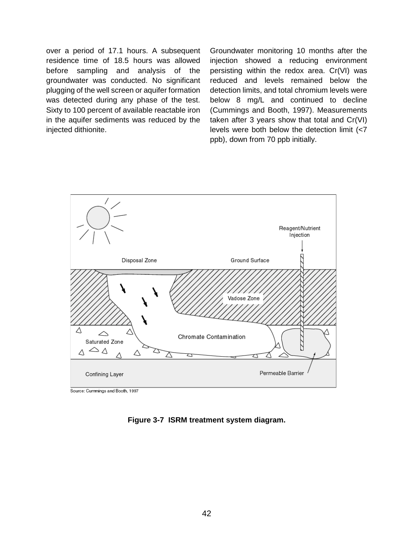over a period of 17.1 hours. A subsequent residence time of 18.5 hours was allowed before sampling and analysis of the groundwater was conducted. No significant plugging of the well screen or aquifer formation was detected during any phase of the test. Sixty to 100 percent of available reactable iron in the aquifer sediments was reduced by the injected dithionite.

Groundwater monitoring 10 months after the injection showed a reducing environment persisting within the redox area. Cr(VI) was reduced and levels remained below the detection limits, and total chromium levels were below 8 mg/L and continued to decline (Cummings and Booth, 1997). Measurements taken after 3 years show that total and Cr(VI) levels were both below the detection limit (<7 ppb), down from 70 ppb initially.



Source: Cummings and Booth, 1997

**Figure 3-7 ISRM treatment system diagram.**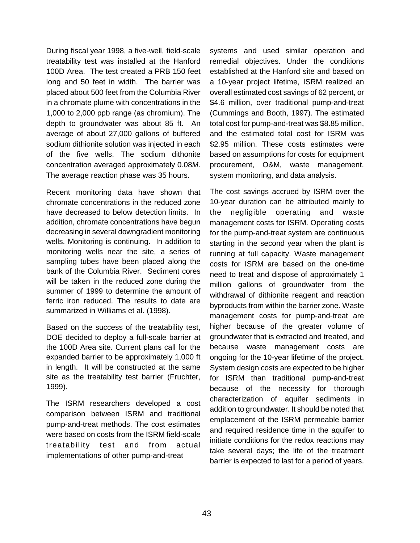During fiscal year 1998, a five-well, field-scale treatability test was installed at the Hanford 100D Area. The test created a PRB 150 feet long and 50 feet in width. The barrier was placed about 500 feet from the Columbia River in a chromate plume with concentrations in the 1,000 to 2,000 ppb range (as chromium). The depth to groundwater was about 85 ft. An average of about 27,000 gallons of buffered sodium dithionite solution was injected in each of the five wells. The sodium dithonite concentration averaged approximately 0.08M. The average reaction phase was 35 hours.

Recent monitoring data have shown that chromate concentrations in the reduced zone have decreased to below detection limits. In addition, chromate concentrations have begun decreasing in several downgradient monitoring wells. Monitoring is continuing. In addition to monitoring wells near the site, a series of sampling tubes have been placed along the bank of the Columbia River. Sediment cores will be taken in the reduced zone during the summer of 1999 to determine the amount of ferric iron reduced. The results to date are summarized in Williams et al. (1998).

Based on the success of the treatability test, DOE decided to deploy a full-scale barrier at the 100D Area site. Current plans call for the expanded barrier to be approximately 1,000 ft in length. It will be constructed at the same site as the treatability test barrier (Fruchter, 1999).

The ISRM researchers developed a cost comparison between ISRM and traditional pump-and-treat methods. The cost estimates were based on costs from the ISRM field-scale treatability test and from actual implementations of other pump-and-treat

systems and used similar operation and remedial objectives. Under the conditions established at the Hanford site and based on a 10-year project lifetime, ISRM realized an overall estimated cost savings of 62 percent, or \$4.6 million, over traditional pump-and-treat (Cummings and Booth, 1997). The estimated total cost for pump-and-treat was \$8.85 million, and the estimated total cost for ISRM was \$2.95 million. These costs estimates were based on assumptions for costs for equipment procurement, O&M, waste management, system monitoring, and data analysis.

The cost savings accrued by ISRM over the 10-year duration can be attributed mainly to the negligible operating and waste management costs for ISRM. Operating costs for the pump-and-treat system are continuous starting in the second year when the plant is running at full capacity. Waste management costs for ISRM are based on the one-time need to treat and dispose of approximately 1 million gallons of groundwater from the withdrawal of dithionite reagent and reaction byproducts from within the barrier zone. Waste management costs for pump-and-treat are higher because of the greater volume of groundwater that is extracted and treated, and because waste management costs are ongoing for the 10-year lifetime of the project. System design costs are expected to be higher for ISRM than traditional pump-and-treat because of the necessity for thorough characterization of aquifer sediments in addition to groundwater. It should be noted that emplacement of the ISRM permeable barrier and required residence time in the aquifer to initiate conditions for the redox reactions may take several days; the life of the treatment barrier is expected to last for a period of years.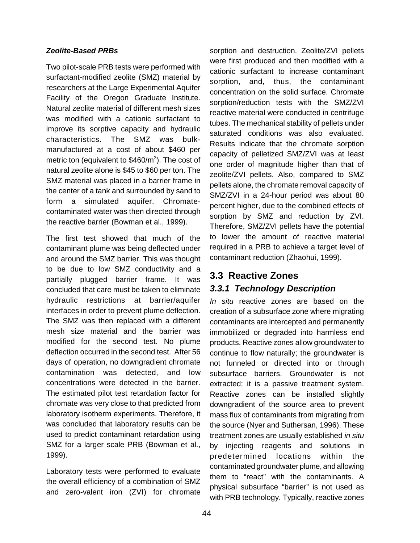#### **Zeolite-Based PRBs**

Two pilot-scale PRB tests were performed with surfactant-modified zeolite (SMZ) material by researchers at the Large Experimental Aquifer Facility of the Oregon Graduate Institute. Natural zeolite material of different mesh sizes was modified with a cationic surfactant to improve its sorptive capacity and hydraulic characteristics. The SMZ was bulkmanufactured at a cost of about \$460 per metric ton (equivalent to  $$460/m^3$ ). The cost of natural zeolite alone is \$45 to \$60 per ton. The SMZ material was placed in a barrier frame in the center of a tank and surrounded by sand to form a simulated aquifer. Chromatecontaminated water was then directed through the reactive barrier (Bowman et al., 1999).

The first test showed that much of the contaminant plume was being deflected under and around the SMZ barrier. This was thought to be due to low SMZ conductivity and a partially plugged barrier frame. It was concluded that care must be taken to eliminate hydraulic restrictions at barrier/aquifer interfaces in order to prevent plume deflection. The SMZ was then replaced with a different mesh size material and the barrier was modified for the second test. No plume deflection occurred in the second test. After 56 days of operation, no downgradient chromate contamination was detected, and low concentrations were detected in the barrier. The estimated pilot test retardation factor for chromate was very close to that predicted from laboratory isotherm experiments. Therefore, it was concluded that laboratory results can be used to predict contaminant retardation using SMZ for a larger scale PRB (Bowman et al., 1999).

Laboratory tests were performed to evaluate the overall efficiency of a combination of SMZ and zero-valent iron (ZVI) for chromate

sorption and destruction. Zeolite/ZVI pellets were first produced and then modified with a cationic surfactant to increase contaminant sorption, and, thus, the contaminant concentration on the solid surface. Chromate sorption/reduction tests with the SMZ/ZVI reactive material were conducted in centrifuge tubes. The mechanical stability of pellets under saturated conditions was also evaluated. Results indicate that the chromate sorption capacity of pelletized SMZ/ZVI was at least one order of magnitude higher than that of zeolite/ZVI pellets. Also, compared to SMZ pellets alone, the chromate removal capacity of SMZ/ZVI in a 24-hour period was about 80 percent higher, due to the combined effects of sorption by SMZ and reduction by ZVI. Therefore, SMZ/ZVI pellets have the potential to lower the amount of reactive material required in a PRB to achieve a target level of contaminant reduction (Zhaohui, 1999).

## **3.3 Reactive Zones 3.3.1 Technology Description**

In situ reactive zones are based on the creation of a subsurface zone where migrating contaminants are intercepted and permanently immobilized or degraded into harmless end products. Reactive zones allow groundwater to continue to flow naturally; the groundwater is not funneled or directed into or through subsurface barriers. Groundwater is not extracted; it is a passive treatment system. Reactive zones can be installed slightly downgradient of the source area to prevent mass flux of contaminants from migrating from the source (Nyer and Suthersan, 1996). These treatment zones are usually established in situ by injecting reagents and solutions in predetermined locations within the contaminated groundwater plume, and allowing them to "react" with the contaminants. A physical subsurface "barrier" is not used as with PRB technology. Typically, reactive zones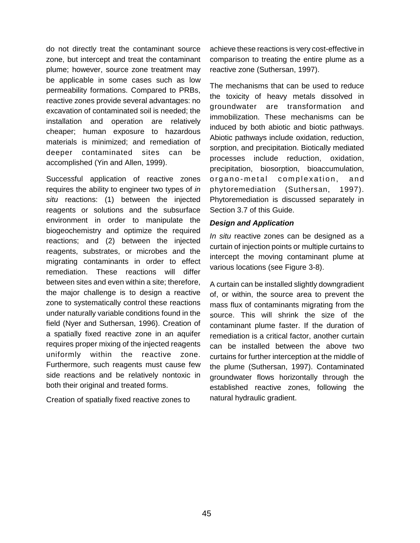do not directly treat the contaminant source zone, but intercept and treat the contaminant plume; however, source zone treatment may be applicable in some cases such as low permeability formations. Compared to PRBs, reactive zones provide several advantages: no excavation of contaminated soil is needed; the installation and operation are relatively cheaper; human exposure to hazardous materials is minimized; and remediation of deeper contaminated sites can be accomplished (Yin and Allen, 1999).

Successful application of reactive zones requires the ability to engineer two types of in situ reactions: (1) between the injected reagents or solutions and the subsurface environment in order to manipulate the biogeochemistry and optimize the required reactions; and (2) between the injected reagents, substrates, or microbes and the migrating contaminants in order to effect remediation. These reactions will differ between sites and even within a site; therefore, the major challenge is to design a reactive zone to systematically control these reactions under naturally variable conditions found in the field (Nyer and Suthersan, 1996). Creation of a spatially fixed reactive zone in an aquifer requires proper mixing of the injected reagents uniformly within the reactive zone. Furthermore, such reagents must cause few side reactions and be relatively nontoxic in both their original and treated forms.

Creation of spatially fixed reactive zones to

achieve these reactions is very cost-effective in comparison to treating the entire plume as a reactive zone (Suthersan, 1997).

The mechanisms that can be used to reduce the toxicity of heavy metals dissolved in groundwater are transformation and immobilization. These mechanisms can be induced by both abiotic and biotic pathways. Abiotic pathways include oxidation, reduction, sorption, and precipitation. Biotically mediated processes include reduction, oxidation, precipitation, biosorption, bioaccumulation, organo-metal complexation, and phytoremediation (Suthersan, 1997). Phytoremediation is discussed separately in Section 3.7 of this Guide.

### **Design and Application**

In situ reactive zones can be designed as a curtain of injection points or multiple curtains to intercept the moving contaminant plume at various locations (see Figure 3-8).

A curtain can be installed slightly downgradient of, or within, the source area to prevent the mass flux of contaminants migrating from the source. This will shrink the size of the contaminant plume faster. If the duration of remediation is a critical factor, another curtain can be installed between the above two curtains for further interception at the middle of the plume (Suthersan, 1997). Contaminated groundwater flows horizontally through the established reactive zones, following the natural hydraulic gradient.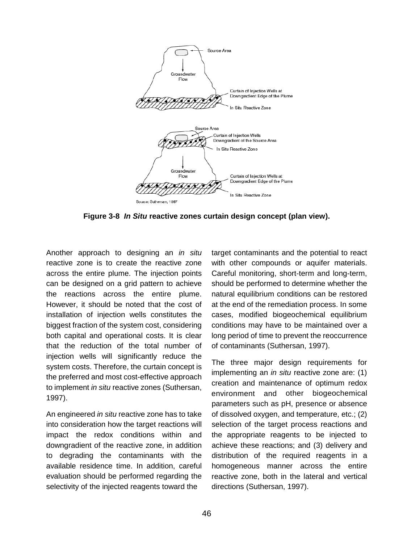

**Figure 3-8 In Situ reactive zones curtain design concept (plan view).** 

Another approach to designing an in situ reactive zone is to create the reactive zone across the entire plume. The injection points can be designed on a grid pattern to achieve the reactions across the entire plume. However, it should be noted that the cost of installation of injection wells constitutes the biggest fraction of the system cost, considering both capital and operational costs. It is clear that the reduction of the total number of injection wells will significantly reduce the system costs. Therefore, the curtain concept is the preferred and most cost-effective approach to implement in situ reactive zones (Suthersan, 1997).

An engineered in situ reactive zone has to take into consideration how the target reactions will impact the redox conditions within and downgradient of the reactive zone, in addition to degrading the contaminants with the available residence time. In addition, careful evaluation should be performed regarding the selectivity of the injected reagents toward the

target contaminants and the potential to react with other compounds or aquifer materials. Careful monitoring, short-term and long-term, should be performed to determine whether the natural equilibrium conditions can be restored at the end of the remediation process. In some cases, modified biogeochemical equilibrium conditions may have to be maintained over a long period of time to prevent the reoccurrence of contaminants (Suthersan, 1997).

The three major design requirements for implementing an *in situ* reactive zone are: (1) creation and maintenance of optimum redox environment and other biogeochemical parameters such as pH, presence or absence of dissolved oxygen, and temperature, etc.; (2) selection of the target process reactions and the appropriate reagents to be injected to achieve these reactions; and (3) delivery and distribution of the required reagents in a homogeneous manner across the entire reactive zone, both in the lateral and vertical directions (Suthersan, 1997).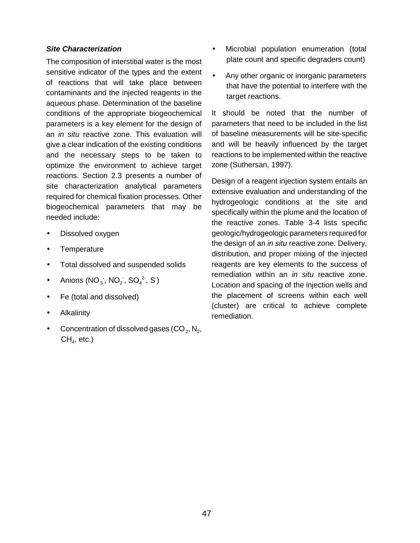#### **Site Characterization**

The composition of interstitial water is the most sensitive indicator of the types and the extent of reactions that will take place between contaminants and the injected reagents in the aqueous phase. Determination of the baseline conditions of the appropriate biogeochemical parameters is a key element for the design of an *in situ* reactive zone. This evaluation will give a clear indication of the existing conditions and the necessary steps to be taken to optimize the environment to achieve target reactions. Section 2.3 presents a number of site characterization analytical parameters required for chemical fixation processes. Other biogeochemical parameters that may be needed include:

- Dissolved oxygen
- Temperature
- Total dissolved and suspended solids
- Anions  $(NO<sub>3</sub>, NO<sub>2</sub>, SO<sub>4</sub><sup>2</sup>, S)$
- Fe (total and dissolved)
- **Alkalinity**
- Concentration of dissolved gases  $(CO_2, N_2, N_3)$  $CH<sub>4</sub>$ , etc.)
- Microbial population enumeration (total plate count and specific degraders count)
- Any other organic or inorganic parameters that have the potential to interfere with the target reactions.

It should be noted that the number of parameters that need to be included in the list of baseline measurements will be site-specific and will be heavily influenced by the target reactions to be implemented within the reactive zone (Suthersan, 1997).

Design of a reagent injection system entails an extensive evaluation and understanding of the hydrogeologic conditions at the site and specifically within the plume and the location of the reactive zones. Table 3-4 lists specific geologic/hydrogeologic parameters required for the design of an *in situ* reactive zone. Delivery, distribution, and proper mixing of the injected reagents are key elements to the success of remediation within an *in situ* reactive zone. Location and spacing of the injection wells and the placement of screens within each well (cluster) are critical to achieve complete remediation.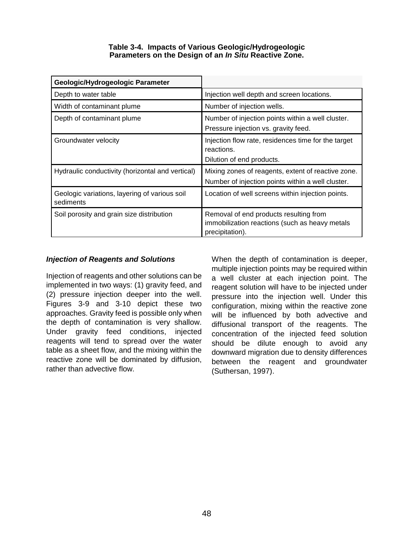| Table 3-4. Impacts of Various Geologic/Hydrogeologic  |  |
|-------------------------------------------------------|--|
| Parameters on the Design of an In Situ Reactive Zone. |  |

| Geologic/Hydrogeologic Parameter                           |                                                                                                             |
|------------------------------------------------------------|-------------------------------------------------------------------------------------------------------------|
| Depth to water table                                       | Injection well depth and screen locations.                                                                  |
| Width of contaminant plume                                 | Number of injection wells.                                                                                  |
| Depth of contaminant plume                                 | Number of injection points within a well cluster.<br>Pressure injection vs. gravity feed.                   |
| Groundwater velocity                                       | Injection flow rate, residences time for the target<br>reactions.<br>Dilution of end products.              |
| Hydraulic conductivity (horizontal and vertical)           | Mixing zones of reagents, extent of reactive zone.<br>Number of injection points within a well cluster.     |
| Geologic variations, layering of various soil<br>sediments | Location of well screens within injection points.                                                           |
| Soil porosity and grain size distribution                  | Removal of end products resulting from<br>immobilization reactions (such as heavy metals<br>precipitation). |

### **Injection of Reagents and Solutions**

Injection of reagents and other solutions can be implemented in two ways: (1) gravity feed, and (2) pressure injection deeper into the well. Figures 3-9 and 3-10 depict these two approaches. Gravity feed is possible only when the depth of contamination is very shallow. Under gravity feed conditions, injected reagents will tend to spread over the water table as a sheet flow, and the mixing within the reactive zone will be dominated by diffusion, rather than advective flow.

When the depth of contamination is deeper, multiple injection points may be required within a well cluster at each injection point. The reagent solution will have to be injected under pressure into the injection well. Under this configuration, mixing within the reactive zone will be influenced by both advective and diffusional transport of the reagents. The concentration of the injected feed solution should be dilute enough to avoid any downward migration due to density differences between the reagent and groundwater (Suthersan, 1997).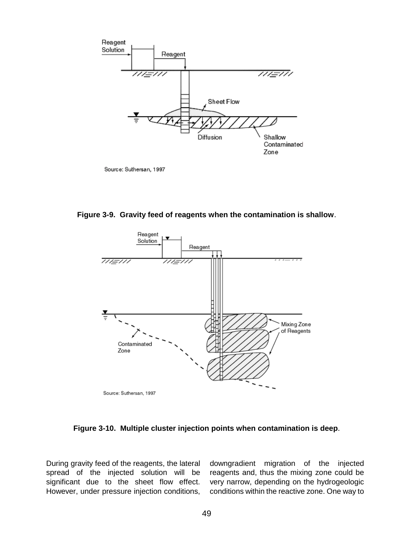

Source: Suthersan, 1997

**Figure 3-9. Gravity feed of reagents when the contamination is shallow**.



**Figure 3-10. Multiple cluster injection points when contamination is deep**.

During gravity feed of the reagents, the lateral downgradient migration of the injected spread of the injected solution will be reagents and, thus the mixing zone could be significant due to the sheet flow effect. very narrow, depending on the hydrogeologic However, under pressure injection conditions, conditions within the reactive zone. One way to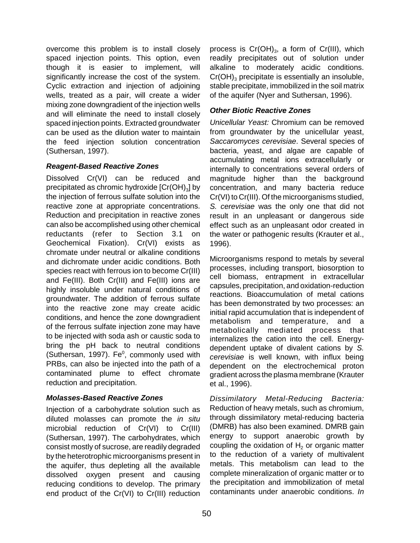overcome this problem is to install closely spaced injection points. This option, even though it is easier to implement, will significantly increase the cost of the system. Cyclic extraction and injection of adjoining wells, treated as a pair, will create a wider mixing zone downgradient of the injection wells and will eliminate the need to install closely spaced injection points. Extracted groundwater can be used as the dilution water to maintain the feed injection solution concentration (Suthersan, 1997).

### **Reagent-Based Reactive Zones**

Dissolved Cr(VI) can be reduced and precipitated as chromic hydroxide  $[Cr(OH)<sub>3</sub>]$  by the injection of ferrous sulfate solution into the reactive zone at appropriate concentrations. Reduction and precipitation in reactive zones can also be accomplished using other chemical reductants (refer to Section 3.1 on Geochemical Fixation). Cr(VI) exists as chromate under neutral or alkaline conditions and dichromate under acidic conditions. Both species react with ferrous ion to become Cr(III) and Fe(III). Both Cr(III) and Fe(III) ions are highly insoluble under natural conditions of groundwater. The addition of ferrous sulfate into the reactive zone may create acidic conditions, and hence the zone downgradient of the ferrous sulfate injection zone may have to be injected with soda ash or caustic soda to bring the pH back to neutral conditions (Suthersan, 1997). Fe $^0$ , commonly used with PRBs, can also be injected into the path of a contaminated plume to effect chromate reduction and precipitation.

### **Molasses-Based Reactive Zones**

Injection of a carbohydrate solution such as diluted molasses can promote the in situ microbial reduction of Cr(VI) to Cr(III) (Suthersan, 1997). The carbohydrates, which consist mostly of sucrose, are readily degraded by the heterotrophic microorganisms present in the aquifer, thus depleting all the available dissolved oxygen present and causing reducing conditions to develop. The primary end product of the Cr(VI) to Cr(III) reduction

process is  $Cr(OH)_{3}$ , a form of  $Cr(HI)$ , which readily precipitates out of solution under alkaline to moderately acidic conditions.  $Cr(OH)$ <sub>3</sub> precipitate is essentially an insoluble, stable precipitate, immobilized in the soil matrix of the aquifer (Nyer and Suthersan, 1996).

### **Other Biotic Reactive Zones**

Unicellular Yeast: Chromium can be removed from groundwater by the unicellular yeast, Saccaromyces cerevisiae. Several species of bacteria, yeast, and algae are capable of accumulating metal ions extracellularly or internally to concentrations several orders of magnitude higher than the background concentration, and many bacteria reduce Cr(VI) to Cr(III). Of the microorganisms studied, S. cerevisiae was the only one that did not result in an unpleasant or dangerous side effect such as an unpleasant odor created in the water or pathogenic results (Krauter et al., 1996).

Microorganisms respond to metals by several processes, including transport, biosorption to cell biomass, entrapment in extracellular capsules, precipitation, and oxidation-reduction reactions. Bioaccumulation of metal cations has been demonstrated by two processes: an initial rapid accumulation that is independent of metabolism and temperature, and a metabolically mediated process that internalizes the cation into the cell. Energydependent uptake of divalent cations by S. cerevisiae is well known, with influx being dependent on the electrochemical proton gradient across the plasma membrane (Krauter et al., 1996).

Dissimilatory Metal-Reducing Bacteria: Reduction of heavy metals, such as chromium, through dissimilatory metal-reducing bacteria (DMRB) has also been examined. DMRB gain energy to support anaerobic growth by coupling the oxidation of  $H<sub>2</sub>$  or organic matter to the reduction of a variety of multivalent metals. This metabolism can lead to the complete mineralization of organic matter or to the precipitation and immobilization of metal contaminants under anaerobic conditions. In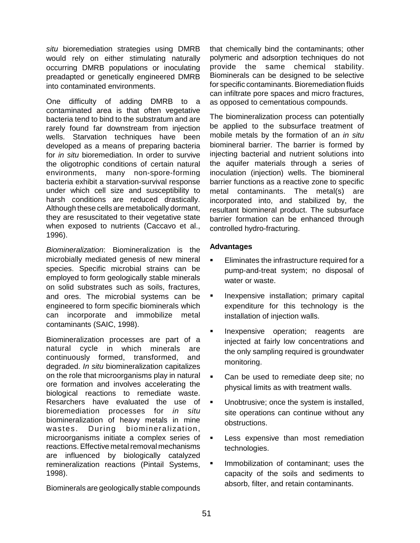situ bioremediation strategies using DMRB would rely on either stimulating naturally occurring DMRB populations or inoculating preadapted or genetically engineered DMRB into contaminated environments.

One difficulty of adding DMRB to a contaminated area is that often vegetative bacteria tend to bind to the substratum and are rarely found far downstream from injection wells. Starvation techniques have been developed as a means of preparing bacteria for in situ bioremediation. In order to survive the oligotrophic conditions of certain natural environments, many non-spore-forming bacteria exhibit a starvation-survival response under which cell size and susceptibility to harsh conditions are reduced drastically. Although these cells are metabolically dormant, they are resuscitated to their vegetative state when exposed to nutrients (Caccavo et al., 1996).

Biomineralization: Biomineralization is the microbially mediated genesis of new mineral species. Specific microbial strains can be employed to form geologically stable minerals on solid substrates such as soils, fractures, and ores. The microbial systems can be engineered to form specific biominerals which can incorporate and immobilize metal contaminants (SAIC, 1998).

Biomineralization processes are part of a natural cycle in which minerals are continuously formed, transformed, and degraded. *In situ* biomineralization capitalizes on the role that microorganisms play in natural ore formation and involves accelerating the biological reactions to remediate waste. Resarchers have evaluated the use of bioremediation processes for in situ biomineralization of heavy metals in mine wastes. During biomineralization, microorganisms initiate a complex series of reactions. Effective metal removal mechanisms are influenced by biologically catalyzed remineralization reactions (Pintail Systems, 1998).

Biominerals are geologically stable compounds

that chemically bind the contaminants; other polymeric and adsorption techniques do not provide the same chemical stability. Biominerals can be designed to be selective for specific contaminants. Bioremediation fluids can infiltrate pore spaces and micro fractures, as opposed to cementatious compounds.

The biomineralization process can potentially be applied to the subsurface treatment of mobile metals by the formation of an in situ biomineral barrier. The barrier is formed by injecting bacterial and nutrient solutions into the aquifer materials through a series of inoculation (injection) wells. The biomineral barrier functions as a reactive zone to specific metal contaminants. The metal(s) are incorporated into, and stabilized by, the resultant biomineral product. The subsurface barrier formation can be enhanced through controlled hydro-fracturing.

### **Advantages**

- **Eliminates the infrastructure required for a** pump-and-treat system; no disposal of water or waste.
- **Inexpensive installation; primary capital** expenditure for this technology is the installation of injection walls.
- **Inexpensive operation; reagents are** injected at fairly low concentrations and the only sampling required is groundwater monitoring.
- ! Can be used to remediate deep site; no physical limits as with treatment walls.
- **.** Unobtrusive; once the system is installed, site operations can continue without any obstructions.
- **EXECT:** Less expensive than most remediation technologies.
- Immobilization of contaminant; uses the capacity of the soils and sediments to absorb, filter, and retain contaminants.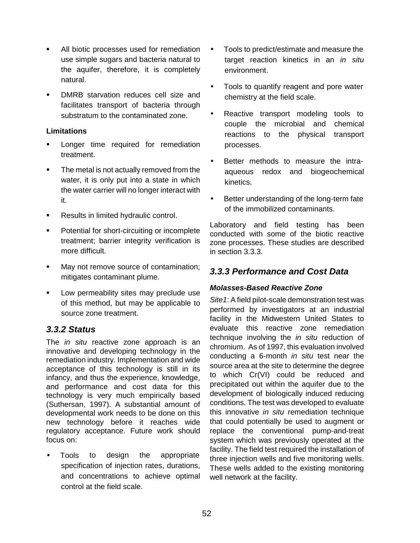- **.** All biotic processes used for remediation use simple sugars and bacteria natural to the aquifer, therefore, it is completely natural.
- ! DMRB starvation reduces cell size and facilitates transport of bacteria through substratum to the contaminated zone.

### **Limitations**

- **EXEC** Longer time required for remediation treatment.
- **The metal is not actually removed from the** water, it is only put into a state in which the water carrier will no longer interact with it.
- **EXECUTE:** Results in limited hydraulic control.
- **•** Potential for short-circuiting or incomplete treatment; barrier integrity verification is more difficult.
- **If** May not remove source of contamination; mitigates contaminant plume.
- **EXED** Low permeability sites may preclude use of this method, but may be applicable to source zone treatment.

### **3.3.2 Status**

The *in situ* reactive zone approach is an innovative and developing technology in the remediation industry. Implementation and wide acceptance of this technology is still in its infancy, and thus the experience, knowledge, and performance and cost data for this technology is very much empirically based (Suthersan, 1997). A substantial amount of developmental work needs to be done on this new technology before it reaches wide regulatory acceptance. Future work should focus on:

• Tools to design the appropriate specification of injection rates, durations, and concentrations to achieve optimal control at the field scale.

- Tools to predict/estimate and measure the target reaction kinetics in an in situ environment.
- Tools to quantify reagent and pore water chemistry at the field scale.
- Reactive transport modeling tools to couple the microbial and chemical reactions to the physical transport processes.
- Better methods to measure the intraaqueous redox and biogeochemical kinetics.
- Better understanding of the long-term fate of the immobilized contaminants.

Laboratory and field testing has been conducted with some of the biotic reactive zone processes. These studies are described in section 3.3.3.

## **3.3.3 Performance and Cost Data**

### **Molasses-Based Reactive Zone**

Site 1: A field pilot-scale demonstration test was performed by investigators at an industrial facility in the Midwestern United States to evaluate this reactive zone remediation technique involving the *in situ* reduction of chromium. As of 1997, this evaluation involved conducting a 6-month *in situ* test near the source area at the site to determine the degree to which Cr(VI) could be reduced and precipitated out within the aquifer due to the development of biologically induced reducing conditions. The test was developed to evaluate this innovative in situ remediation technique that could potentially be used to augment or replace the conventional pump-and-treat system which was previously operated at the facility. The field test required the installation of three injection wells and five monitoring wells. These wells added to the existing monitoring well network at the facility.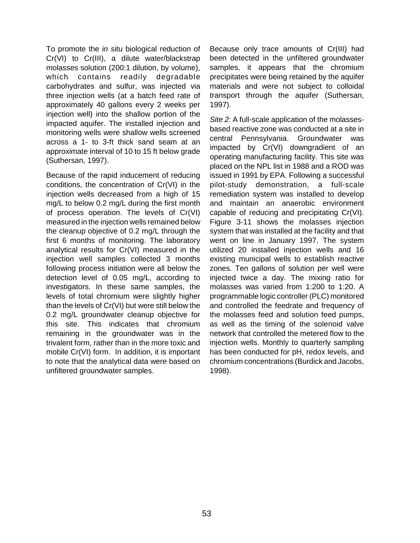To promote the in situ biological reduction of Cr(VI) to Cr(III), a dilute water/blackstrap molasses solution (200:1 dilution, by volume), which contains readily degradable carbohydrates and sulfur, was injected via three injection wells (at a batch feed rate of approximately 40 gallons every 2 weeks per injection well) into the shallow portion of the impacted aquifer. The installed injection and monitoring wells were shallow wells screened across a 1- to 3-ft thick sand seam at an approximate interval of 10 to 15 ft below grade (Suthersan, 1997).

Because of the rapid inducement of reducing conditions, the concentration of Cr(VI) in the injection wells decreased from a high of 15 mg/L to below 0.2 mg/L during the first month of process operation. The levels of Cr(VI) measured in the injection wells remained below the cleanup objective of 0.2 mg/L through the first 6 months of monitoring. The laboratory analytical results for Cr(VI) measured in the injection well samples collected 3 months following process initiation were all below the detection level of 0.05 mg/L, according to investigators. In these same samples, the levels of total chromium were slightly higher than the levels of Cr(VI) but were still below the 0.2 mg/L groundwater cleanup objective for this site. This indicates that chromium remaining in the groundwater was in the trivalent form, rather than in the more toxic and mobile Cr(VI) form. In addition, it is important to note that the analytical data were based on unfiltered groundwater samples.

Because only trace amounts of Cr(III) had been detected in the unfiltered groundwater samples, it appears that the chromium precipitates were being retained by the aquifer materials and were not subject to colloidal transport through the aquifer (Suthersan, 1997).

Site 2: A full-scale application of the molassesbased reactive zone was conducted at a site in central Pennsylvania. Groundwater was impacted by Cr(VI) downgradient of an operating manufacturing facility. This site was placed on the NPL list in 1988 and a ROD was issued in 1991 by EPA. Following a successful pilot-study demonstration, a full-scale remediation system was installed to develop and maintain an anaerobic environment capable of reducing and precipitating Cr(VI). Figure 3-11 shows the molasses injection system that was installed at the facility and that went on line in January 1997. The system utilized 20 installed injection wells and 16 existing municipal wells to establish reactive zones. Ten gallons of solution per well were injected twice a day. The mixing ratio for molasses was varied from 1:200 to 1:20. A programmable logic controller (PLC) monitored and controlled the feedrate and frequency of the molasses feed and solution feed pumps, as well as the timing of the solenoid valve network that controlled the metered flow to the injection wells. Monthly to quarterly sampling has been conducted for pH, redox levels, and chromium concentrations (Burdick and Jacobs, 1998).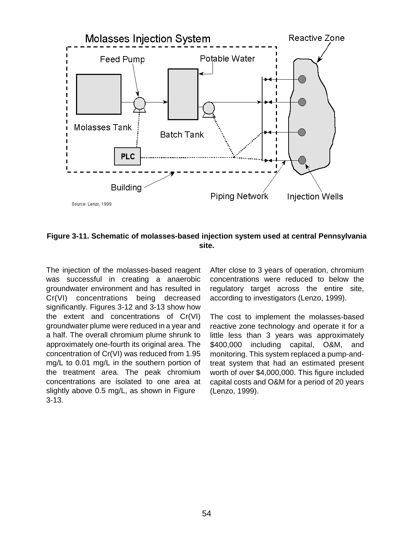



The injection of the molasses-based reagent was successful in creating a anaerobic groundwater environment and has resulted in Cr(VI) concentrations being decreased significantly. Figures 3-12 and 3-13 show how the extent and concentrations of Cr(VI) groundwater plume were reduced in a year and a half. The overall chromium plume shrunk to approximately one-fourth its original area. The concentration of Cr(VI) was reduced from 1.95 mg/L to 0.01 mg/L in the southern portion of the treatment area. The peak chromium concentrations are isolated to one area at slightly above 0.5 mg/L, as shown in Figure 3-13.

After close to 3 years of operation, chromium concentrations were reduced to below the regulatory target across the entire site, according to investigators (Lenzo, 1999).

The cost to implement the molasses-based reactive zone technology and operate it for a little less than 3 years was approximately \$400,000 including capital, O&M, and monitoring. This system replaced a pump-andtreat system that had an estimated present worth of over \$4,000,000. This figure included capital costs and O&M for a period of 20 years (Lenzo, 1999).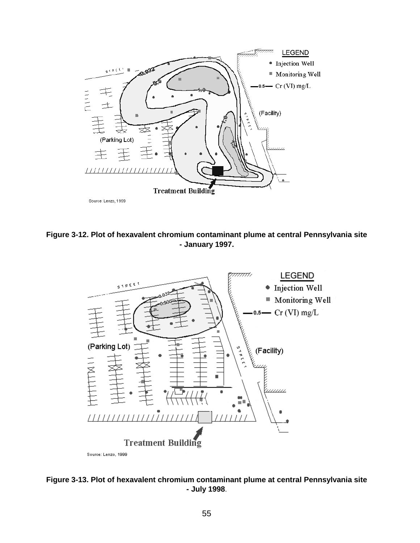





**Figure 3-13. Plot of hexavalent chromium contaminant plume at central Pennsylvania site - July 1998**.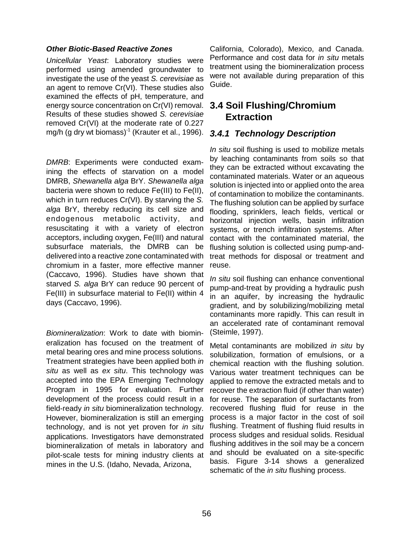#### **Other Biotic-Based Reactive Zones**

Unicellular Yeast: Laboratory studies were performed using amended groundwater to investigate the use of the yeast S. cerevisiae as an agent to remove Cr(VI). These studies also examined the effects of pH, temperature, and energy source concentration on Cr(VI) removal. Results of these studies showed S. cerevisiae removed Cr(VI) at the moderate rate of 0.227 mg/h (g dry wt biomass) $<sup>-1</sup>$  (Krauter et al., 1996).</sup>

DMRB: Experiments were conducted examining the effects of starvation on a model DMRB, Shewanella alga BrY. Shewanella alga bacteria were shown to reduce Fe(III) to Fe(II), which in turn reduces Cr(VI). By starving the S. alga BrY, thereby reducing its cell size and endogenous metabolic activity, and resuscitating it with a variety of electron acceptors, including oxygen, Fe(III) and natural subsurface materials, the DMRB can be delivered into a reactive zone contaminated with chromium in a faster, more effective manner (Caccavo, 1996). Studies have shown that starved S. alga BrY can reduce 90 percent of Fe(III) in subsurface material to Fe(II) within 4 days (Caccavo, 1996).

Biomineralization: Work to date with biomineralization has focused on the treatment of metal bearing ores and mine process solutions. Treatment strategies have been applied both in situ as well as ex situ. This technology was accepted into the EPA Emerging Technology Program in 1995 for evaluation. Further development of the process could result in a field-ready in situ biomineralization technology. However, biomineralization is still an emerging technology, and is not yet proven for in situ applications. Investigators have demonstrated biomineralization of metals in laboratory and pilot-scale tests for mining industry clients at mines in the U.S. (Idaho, Nevada, Arizona,

California, Colorado), Mexico, and Canada. Performance and cost data for *in situ* metals treatment using the biomineralization process were not available during preparation of this Guide.

## **3.4 Soil Flushing/Chromium Extraction**

### **3.4.1 Technology Description**

In situ soil flushing is used to mobilize metals by leaching contaminants from soils so that they can be extracted without excavating the contaminated materials. Water or an aqueous solution is injected into or applied onto the area of contamination to mobilize the contaminants. The flushing solution can be applied by surface flooding, sprinklers, leach fields, vertical or horizontal injection wells, basin infiltration systems, or trench infiltration systems. After contact with the contaminated material, the flushing solution is collected using pump-andtreat methods for disposal or treatment and reuse.

In situ soil flushing can enhance conventional pump-and-treat by providing a hydraulic push in an aquifer, by increasing the hydraulic gradient, and by solubilizing/mobilizing metal contaminants more rapidly. This can result in an accelerated rate of contaminant removal (Steimle, 1997).

Metal contaminants are mobilized in situ by solubilization, formation of emulsions, or a chemical reaction with the flushing solution. Various water treatment techniques can be applied to remove the extracted metals and to recover the extraction fluid (if other than water) for reuse. The separation of surfactants from recovered flushing fluid for reuse in the process is a major factor in the cost of soil flushing. Treatment of flushing fluid results in process sludges and residual solids. Residual flushing additives in the soil may be a concern and should be evaluated on a site-specific basis. Figure 3-14 shows a generalized schematic of the *in situ* flushing process.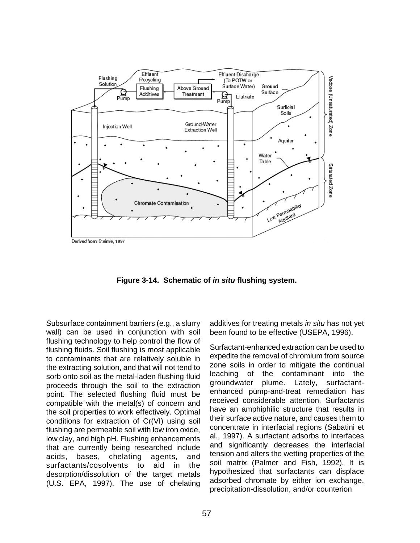

**Figure 3-14. Schematic of in situ flushing system.** 

Subsurface containment barriers (e.g., a slurry wall) can be used in conjunction with soil flushing technology to help control the flow of flushing fluids. Soil flushing is most applicable to contaminants that are relatively soluble in the extracting solution, and that will not tend to sorb onto soil as the metal-laden flushing fluid proceeds through the soil to the extraction point. The selected flushing fluid must be compatible with the metal(s) of concern and the soil properties to work effectively. Optimal conditions for extraction of Cr(VI) using soil flushing are permeable soil with low iron oxide, low clay, and high pH. Flushing enhancements that are currently being researched include acids, bases, chelating agents, and surfactants/cosolvents to aid in the desorption/dissolution of the target metals (U.S. EPA, 1997). The use of chelating

additives for treating metals in situ has not yet been found to be effective (USEPA, 1996).

Surfactant-enhanced extraction can be used to expedite the removal of chromium from source zone soils in order to mitigate the continual leaching of the contaminant into the groundwater plume. Lately, surfactantenhanced pump-and-treat remediation has received considerable attention. Surfactants have an amphiphilic structure that results in their surface active nature, and causes them to concentrate in interfacial regions (Sabatini et al., 1997). A surfactant adsorbs to interfaces and significantly decreases the interfacial tension and alters the wetting properties of the soil matrix (Palmer and Fish, 1992). It is hypothesized that surfactants can displace adsorbed chromate by either ion exchange, precipitation-dissolution, and/or counterion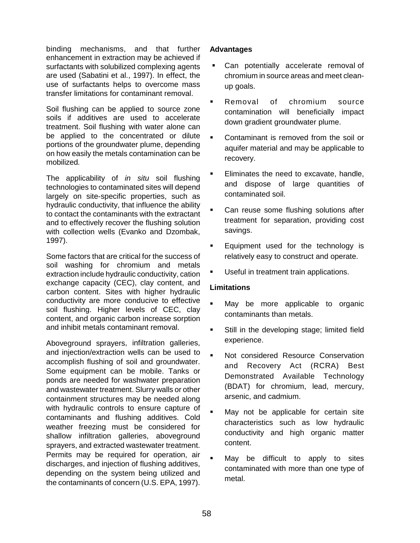binding mechanisms, and that further enhancement in extraction may be achieved if surfactants with solubilized complexing agents are used (Sabatini et al., 1997). In effect, the use of surfactants helps to overcome mass transfer limitations for contaminant removal.

Soil flushing can be applied to source zone soils if additives are used to accelerate treatment. Soil flushing with water alone can be applied to the concentrated or dilute portions of the groundwater plume, depending on how easily the metals contamination can be mobilized.

The applicability of *in situ* soil flushing technologies to contaminated sites will depend largely on site-specific properties, such as hydraulic conductivity, that influence the ability to contact the contaminants with the extractant and to effectively recover the flushing solution with collection wells (Evanko and Dzombak, 1997).

Some factors that are critical for the success of soil washing for chromium and metals extraction include hydraulic conductivity, cation exchange capacity (CEC), clay content, and carbon content. Sites with higher hydraulic conductivity are more conducive to effective soil flushing. Higher levels of CEC, clay content, and organic carbon increase sorption and inhibit metals contaminant removal.

Aboveground sprayers, infiltration galleries, and injection/extraction wells can be used to accomplish flushing of soil and groundwater. Some equipment can be mobile. Tanks or ponds are needed for washwater preparation and wastewater treatment. Slurry walls or other containment structures may be needed along with hydraulic controls to ensure capture of contaminants and flushing additives. Cold weather freezing must be considered for shallow infiltration galleries, aboveground sprayers, and extracted wastewater treatment. Permits may be required for operation, air discharges, and injection of flushing additives, depending on the system being utilized and the contaminants of concern (U.S. EPA, 1997).

### **Advantages**

- Can potentially accelerate removal of chromium in source areas and meet cleanup goals.
- Removal of chromium source contamination will beneficially impact down gradient groundwater plume.
- ! Contaminant is removed from the soil or aquifer material and may be applicable to recovery.
- Eliminates the need to excavate, handle, and dispose of large quantities of contaminated soil.
- Can reuse some flushing solutions after treatment for separation, providing cost savings.
- **Equipment used for the technology is** relatively easy to construct and operate.
- Useful in treatment train applications.

### **Limitations**

- May be more applicable to organic contaminants than metals.
- **EXECTE:** Still in the developing stage; limited field experience.
- Not considered Resource Conservation and Recovery Act (RCRA) Best Demonstrated Available Technology (BDAT) for chromium, lead, mercury, arsenic, and cadmium.
- May not be applicable for certain site characteristics such as low hydraulic conductivity and high organic matter content.
- May be difficult to apply to sites contaminated with more than one type of metal.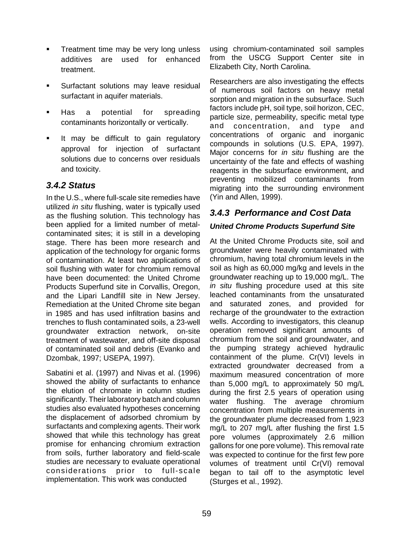- **Treatment time may be very long unless** additives are used for enhanced treatment.
- **EXEC** Surfactant solutions may leave residual surfactant in aquifer materials.
- **EXECUTE:** Has a potential for spreading contaminants horizontally or vertically.
- **If may be difficult to gain regulatory** approval for injection of surfactant solutions due to concerns over residuals and toxicity.

## **3.4.2 Status**

In the U.S., where full-scale site remedies have utilized in situ flushing, water is typically used as the flushing solution. This technology has been applied for a limited number of metalcontaminated sites; it is still in a developing stage. There has been more research and application of the technology for organic forms of contamination. At least two applications of soil flushing with water for chromium removal have been documented: the United Chrome Products Superfund site in Corvallis, Oregon, and the Lipari Landfill site in New Jersey. Remediation at the United Chrome site began in 1985 and has used infiltration basins and trenches to flush contaminated soils, a 23-well groundwater extraction network, on-site treatment of wastewater, and off-site disposal of contaminated soil and debris (Evanko and Dzombak, 1997; USEPA, 1997).

Sabatini et al. (1997) and Nivas et al. (1996) showed the ability of surfactants to enhance the elution of chromate in column studies significantly. Their laboratory batch and column studies also evaluated hypotheses concerning the displacement of adsorbed chromium by surfactants and complexing agents. Their work showed that while this technology has great promise for enhancing chromium extraction from soils, further laboratory and field-scale studies are necessary to evaluate operational considerations prior to full-scale implementation. This work was conducted

using chromium-contaminated soil samples from the USCG Support Center site in Elizabeth City, North Carolina.

Researchers are also investigating the effects of numerous soil factors on heavy metal sorption and migration in the subsurface. Such factors include pH, soil type, soil horizon, CEC, particle size, permeability, specific metal type and concentration, and type and concentrations of organic and inorganic compounds in solutions (U.S. EPA, 1997). Major concerns for *in situ* flushing are the uncertainty of the fate and effects of washing reagents in the subsurface environment, and preventing mobilized contaminants from migrating into the surrounding environment (Yin and Allen, 1999).

## **3.4.3 Performance and Cost Data**

## **United Chrome Products Superfund Site**

At the United Chrome Products site, soil and groundwater were heavily contaminated with chromium, having total chromium levels in the soil as high as 60,000 mg/kg and levels in the groundwater reaching up to 19,000 mg/L. The in situ flushing procedure used at this site leached contaminants from the unsaturated and saturated zones, and provided for recharge of the groundwater to the extraction wells. According to investigators, this cleanup operation removed significant amounts of chromium from the soil and groundwater, and the pumping strategy achieved hydraulic containment of the plume. Cr(VI) levels in extracted groundwater decreased from a maximum measured concentration of more than 5,000 mg/L to approximately 50 mg/L during the first 2.5 years of operation using water flushing. The average chromium concentration from multiple measurements in the groundwater plume decreased from 1,923 mg/L to 207 mg/L after flushing the first 1.5 pore volumes (approximately 2.6 million gallons for one pore volume). This removal rate was expected to continue for the first few pore volumes of treatment until Cr(VI) removal began to tail off to the asymptotic level (Sturges et al., 1992).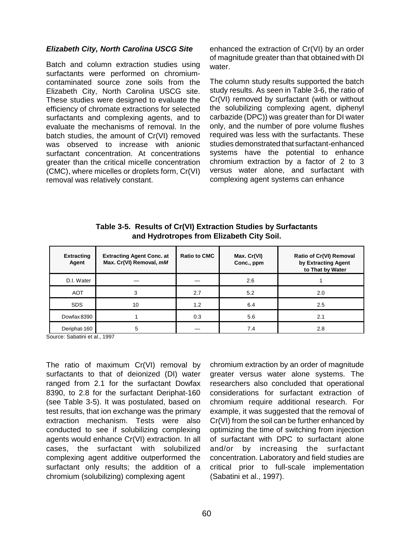#### **Elizabeth City, North Carolina USCG Site**

Batch and column extraction studies using surfactants were performed on chromiumcontaminated source zone soils from the Elizabeth City, North Carolina USCG site. These studies were designed to evaluate the efficiency of chromate extractions for selected surfactants and complexing agents, and to evaluate the mechanisms of removal. In the batch studies, the amount of Cr(VI) removed was observed to increase with anionic surfactant concentration. At concentrations greater than the critical micelle concentration (CMC), where micelles or droplets form, Cr(VI) removal was relatively constant.

enhanced the extraction of Cr(VI) by an order of magnitude greater than that obtained with DI water.

The column study results supported the batch study results. As seen in Table 3-6, the ratio of Cr(VI) removed by surfactant (with or without the solubilizing complexing agent, diphenyl carbazide (DPC)) was greater than for DI water only, and the number of pore volume flushes required was less with the surfactants. These studies demonstrated that surfactant-enhanced systems have the potential to enhance chromium extraction by a factor of 2 to 3 versus water alone, and surfactant with complexing agent systems can enhance

|  |                                           |  | Table 3-5. Results of Cr(VI) Extraction Studies by Surfactants |
|--|-------------------------------------------|--|----------------------------------------------------------------|
|  | and Hydrotropes from Elizabeth City Soil. |  |                                                                |

| <b>Extracting</b><br>Agent | <b>Extracting Agent Conc. at</b><br>Max. Cr(VI) Removal, mM | <b>Ratio to CMC</b> | Max. Cr(VI)<br>Conc., ppm | <b>Ratio of Cr(VI) Removal</b><br>by Extracting Agent<br>to That by Water |
|----------------------------|-------------------------------------------------------------|---------------------|---------------------------|---------------------------------------------------------------------------|
| D.I. Water                 |                                                             |                     | 2.6                       |                                                                           |
| <b>AOT</b>                 | 3                                                           | 2.7                 | 5.2                       | 2.0                                                                       |
| <b>SDS</b>                 | 10                                                          | 1.2                 | 6.4                       | 2.5                                                                       |
| Dowfax 8390                |                                                             | 0.3                 | 5.6                       | 2.1                                                                       |
| Deriphat-160               | 5                                                           |                     | 7.4                       | 2.8                                                                       |

Source: Sabatini et al., 1997

The ratio of maximum Cr(VI) removal by surfactants to that of deionized (DI) water ranged from 2.1 for the surfactant Dowfax 8390, to 2.8 for the surfactant Deriphat-160 (see Table 3-5). It was postulated, based on test results, that ion exchange was the primary extraction mechanism. Tests were also conducted to see if solubilizing complexing agents would enhance Cr(VI) extraction. In all cases, the surfactant with solubilized complexing agent additive outperformed the surfactant only results; the addition of a chromium (solubilizing) complexing agent

chromium extraction by an order of magnitude greater versus water alone systems. The researchers also concluded that operational considerations for surfactant extraction of chromium require additional research. For example, it was suggested that the removal of Cr(VI) from the soil can be further enhanced by optimizing the time of switching from injection of surfactant with DPC to surfactant alone and/or by increasing the surfactant concentration. Laboratory and field studies are critical prior to full-scale implementation (Sabatini et al., 1997).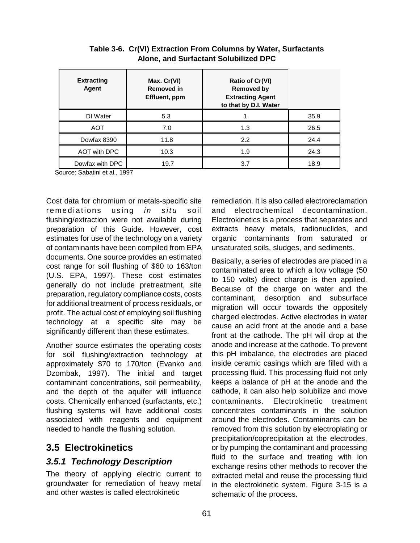| <b>Extracting</b><br>Agent | Max. Cr(VI)<br><b>Removed in</b><br>Effluent, ppm | Ratio of Cr(VI)<br><b>Removed by</b><br><b>Extracting Agent</b><br>to that by D.I. Water |      |
|----------------------------|---------------------------------------------------|------------------------------------------------------------------------------------------|------|
| DI Water                   | 5.3                                               |                                                                                          | 35.9 |
| <b>AOT</b>                 | 7.0                                               | 1.3                                                                                      | 26.5 |
| Dowfax 8390                | 11.8                                              | 2.2                                                                                      | 24.4 |
| AOT with DPC               | 10.3                                              | 1.9                                                                                      | 24.3 |
| Dowfax with DPC            | 19.7                                              | 3.7                                                                                      | 18.9 |

**Table 3-6. Cr(VI) Extraction From Columns by Water, Surfactants Alone, and Surfactant Solubilized DPC** 

Source: Sabatini et al., 1997

Cost data for chromium or metals-specific site remediations using *in situ* soil flushing/extraction were not available during preparation of this Guide. However, cost estimates for use of the technology on a variety of contaminants have been compiled from EPA documents. One source provides an estimated cost range for soil flushing of \$60 to 163/ton (U.S. EPA, 1997). These cost estimates generally do not include pretreatment, site preparation, regulatory compliance costs, costs for additional treatment of process residuals, or profit. The actual cost of employing soil flushing technology at a specific site may be significantly different than these estimates.

Another source estimates the operating costs for soil flushing/extraction technology at approximately \$70 to 170/ton (Evanko and Dzombak, 1997). The initial and target contaminant concentrations, soil permeability, and the depth of the aquifer will influence costs. Chemically enhanced (surfactants, etc.) flushing systems will have additional costs associated with reagents and equipment needed to handle the flushing solution.

## **3.5 Electrokinetics**

## **3.5.1 Technology Description**

The theory of applying electric current to groundwater for remediation of heavy metal and other wastes is called electrokinetic

remediation. It is also called electroreclamation and electrochemical decontamination. Electrokinetics is a process that separates and extracts heavy metals, radionuclides, and organic contaminants from saturated or unsaturated soils, sludges, and sediments.

Basically, a series of electrodes are placed in a contaminated area to which a low voltage (50 to 150 volts) direct charge is then applied. Because of the charge on water and the contaminant, desorption and subsurface migration will occur towards the oppositely charged electrodes. Active electrodes in water cause an acid front at the anode and a base front at the cathode. The pH will drop at the anode and increase at the cathode. To prevent this pH imbalance, the electrodes are placed inside ceramic casings which are filled with a processing fluid. This processing fluid not only keeps a balance of pH at the anode and the cathode, it can also help solubilize and move contaminants. Electrokinetic treatment concentrates contaminants in the solution around the electrodes. Contaminants can be removed from this solution by electroplating or precipitation/coprecipitation at the electrodes, or by pumping the contaminant and processing fluid to the surface and treating with ion exchange resins other methods to recover the extracted metal and reuse the processing fluid in the electrokinetic system. Figure 3-15 is a schematic of the process.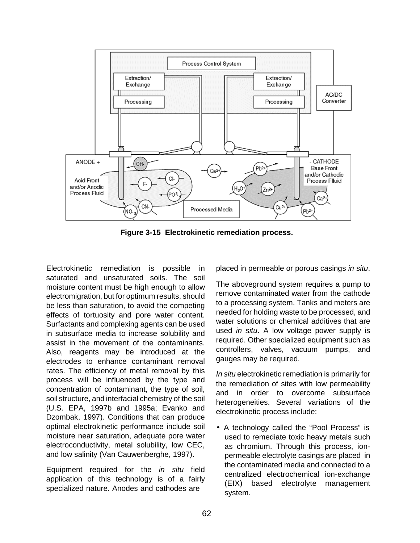

**Figure 3-15 Electrokinetic remediation process.** 

Electrokinetic remediation is possible in saturated and unsaturated soils. The soil moisture content must be high enough to allow electromigration, but for optimum results, should be less than saturation, to avoid the competing effects of tortuosity and pore water content. Surfactants and complexing agents can be used in subsurface media to increase solubility and assist in the movement of the contaminants. Also, reagents may be introduced at the electrodes to enhance contaminant removal rates. The efficiency of metal removal by this process will be influenced by the type and concentration of contaminant, the type of soil, soil structure, and interfacial chemistry of the soil (U.S. EPA, 1997b and 1995a; Evanko and Dzombak, 1997). Conditions that can produce optimal electrokinetic performance include soil moisture near saturation, adequate pore water electroconductivity, metal solubility, low CEC, and low salinity (Van Cauwenberghe, 1997).

Equipment required for the in situ field application of this technology is of a fairly specialized nature. Anodes and cathodes are

placed in permeable or porous casings in situ.

The aboveground system requires a pump to remove contaminated water from the cathode to a processing system. Tanks and meters are needed for holding waste to be processed, and water solutions or chemical additives that are used in situ. A low voltage power supply is required. Other specialized equipment such as controllers, valves, vacuum pumps, and gauges may be required.

In situ electrokinetic remediation is primarily for the remediation of sites with low permeability and in order to overcome subsurface heterogeneities. Several variations of the electrokinetic process include:

• A technology called the "Pool Process" is used to remediate toxic heavy metals such as chromium. Through this process, ionpermeable electrolyte casings are placed in the contaminated media and connected to a centralized electrochemical ion-exchange (EIX) based electrolyte management system.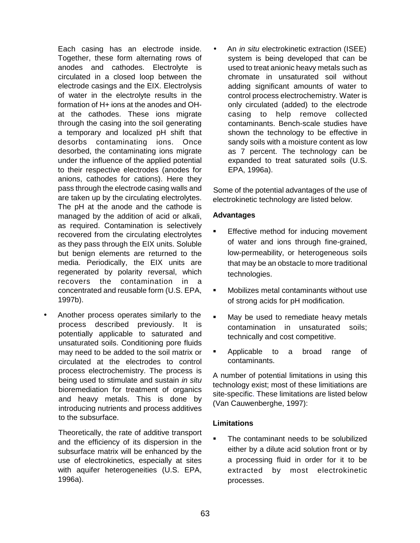Each casing has an electrode inside. Together, these form alternating rows of anodes and cathodes. Electrolyte is circulated in a closed loop between the electrode casings and the EIX. Electrolysis of water in the electrolyte results in the formation of H+ ions at the anodes and OHat the cathodes. These ions migrate through the casing into the soil generating a temporary and localized pH shift that desorbs contaminating ions. Once desorbed, the contaminating ions migrate under the influence of the applied potential to their respective electrodes (anodes for anions, cathodes for cations). Here they pass through the electrode casing walls and are taken up by the circulating electrolytes. The pH at the anode and the cathode is managed by the addition of acid or alkali, as required. Contamination is selectively recovered from the circulating electrolytes as they pass through the EIX units. Soluble but benign elements are returned to the media. Periodically, the EIX units are regenerated by polarity reversal, which recovers the contamination in a concentrated and reusable form (U.S. EPA, 1997b).

• Another process operates similarly to the process described previously. It is potentially applicable to saturated and unsaturated soils. Conditioning pore fluids may need to be added to the soil matrix or circulated at the electrodes to control process electrochemistry. The process is being used to stimulate and sustain in situ bioremediation for treatment of organics and heavy metals. This is done by introducing nutrients and process additives to the subsurface.

Theoretically, the rate of additive transport and the efficiency of its dispersion in the subsurface matrix will be enhanced by the use of electrokinetics, especially at sites with aquifer heterogeneities (U.S. EPA, 1996a).

• An *in situ* electrokinetic extraction (ISEE) system is being developed that can be used to treat anionic heavy metals such as chromate in unsaturated soil without adding significant amounts of water to control process electrochemistry. Water is only circulated (added) to the electrode casing to help remove collected contaminants. Bench-scale studies have shown the technology to be effective in sandy soils with a moisture content as low as 7 percent. The technology can be expanded to treat saturated soils (U.S. EPA, 1996a).

Some of the potential advantages of the use of electrokinetic technology are listed below.

#### **Advantages**

- Effective method for inducing movement of water and ions through fine-grained, low-permeability, or heterogeneous soils that may be an obstacle to more traditional technologies.
- ! Mobilizes metal contaminants without use of strong acids for pH modification.
- **I** May be used to remediate heavy metals contamination in unsaturated soils; technically and cost competitive.
- **EXECUTE:** Applicable to a broad range of contaminants.

A number of potential limitations in using this technology exist; most of these limitiations are site-specific. These limitations are listed below (Van Cauwenberghe, 1997):

## **Limitations**

The contaminant needs to be solubilized either by a dilute acid solution front or by a processing fluid in order for it to be extracted by most electrokinetic processes.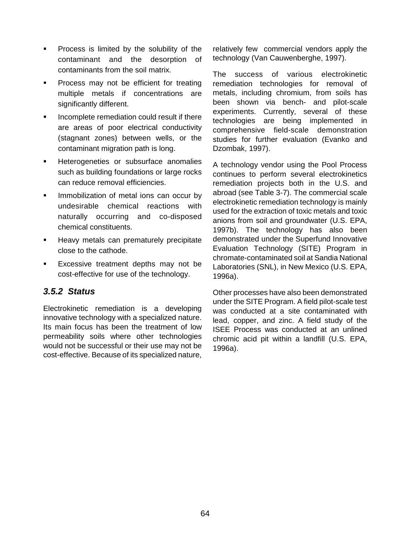- **•** Process is limited by the solubility of the contaminant and the desorption of contaminants from the soil matrix.
- Process may not be efficient for treating multiple metals if concentrations are significantly different.
- **I.** Incomplete remediation could result if there are areas of poor electrical conductivity (stagnant zones) between wells, or the contaminant migration path is long.
- Heterogeneties or subsurface anomalies such as building foundations or large rocks can reduce removal efficiencies.
- Immobilization of metal ions can occur by undesirable chemical reactions with naturally occurring and co-disposed chemical constituents.
- Heavy metals can prematurely precipitate close to the cathode.
- Excessive treatment depths may not be cost-effective for use of the technology.

## **3.5.2 Status**

Electrokinetic remediation is a developing innovative technology with a specialized nature. Its main focus has been the treatment of low permeability soils where other technologies would not be successful or their use may not be cost-effective. Because of its specialized nature, relatively few commercial vendors apply the technology (Van Cauwenberghe, 1997).

The success of various electrokinetic remediation technologies for removal of metals, including chromium, from soils has been shown via bench- and pilot-scale experiments. Currently, several of these technologies are being implemented in comprehensive field-scale demonstration studies for further evaluation (Evanko and Dzombak, 1997).

A technology vendor using the Pool Process continues to perform several electrokinetics remediation projects both in the U.S. and abroad (see Table 3-7). The commercial scale electrokinetic remediation technology is mainly used for the extraction of toxic metals and toxic anions from soil and groundwater (U.S. EPA, 1997b). The technology has also been demonstrated under the Superfund Innovative Evaluation Technology (SITE) Program in chromate-contaminated soil at Sandia National Laboratories (SNL), in New Mexico (U.S. EPA, 1996a).

Other processes have also been demonstrated under the SITE Program. A field pilot-scale test was conducted at a site contaminated with lead, copper, and zinc. A field study of the ISEE Process was conducted at an unlined chromic acid pit within a landfill (U.S. EPA, 1996a).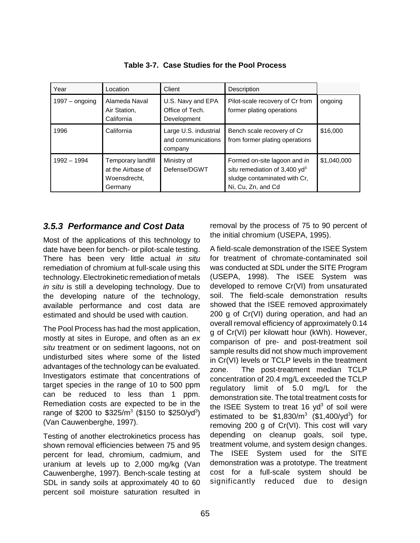| Year             | Location                                                           | Client                                                 | Description                                                                                                            |             |
|------------------|--------------------------------------------------------------------|--------------------------------------------------------|------------------------------------------------------------------------------------------------------------------------|-------------|
| $1997 -$ ongoing | Alameda Naval<br>Air Station,<br>California                        | U.S. Navy and EPA<br>Office of Tech.<br>Development    | Pilot-scale recovery of Cr from<br>former plating operations                                                           | ongoing     |
| 1996             | California                                                         | Large U.S. industrial<br>and communications<br>company | Bench scale recovery of Cr<br>from former plating operations                                                           | \$16,000    |
| $1992 - 1994$    | Temporary landfill<br>at the Airbase of<br>Woensdrecht.<br>Germany | Ministry of<br>Defense/DGWT                            | Formed on-site lagoon and in<br>situ remediation of 3,400 $yd^3$<br>sludge contaminated with Cr,<br>Ni, Cu, Zn, and Cd | \$1,040,000 |

**Table 3-7. Case Studies for the Pool Process** 

## **3.5.3 Performance and Cost Data**

Most of the applications of this technology to date have been for bench- or pilot-scale testing. There has been very little actual in situ remediation of chromium at full-scale using this technology. Electrokinetic remediation of metals in situ is still a developing technology. Due to the developing nature of the technology, available performance and cost data are estimated and should be used with caution.

The Pool Process has had the most application, mostly at sites in Europe, and often as an ex situ treatment or on sediment lagoons, not on undisturbed sites where some of the listed advantages of the technology can be evaluated. Investigators estimate that concentrations of target species in the range of 10 to 500 ppm can be reduced to less than 1 ppm. Remediation costs are expected to be in the range of \$200 to \$325/m<sup>3</sup> (\$150 to \$250/yd<sup>3</sup>) (Van Cauwenberghe, 1997).

Testing of another electrokinetics process has shown removal efficiencies between 75 and 95 percent for lead, chromium, cadmium, and uranium at levels up to 2,000 mg/kg (Van Cauwenberghe, 1997). Bench-scale testing at SDL in sandy soils at approximately 40 to 60 percent soil moisture saturation resulted in removal by the process of 75 to 90 percent of the initial chromium (USEPA, 1995).

A field-scale demonstration of the ISEE System for treatment of chromate-contaminated soil was conducted at SDL under the SITE Program (USEPA, 1998). The ISEE System was developed to remove Cr(VI) from unsaturated soil. The field-scale demonstration results showed that the ISEE removed approximately 200 g of Cr(VI) during operation, and had an overall removal efficiency of approximately 0.14 g of Cr(VI) per kilowatt hour (kWh). However, comparison of pre- and post-treatment soil sample results did not show much improvement in Cr(VI) levels or TCLP levels in the treatment zone. The post-treatment median TCLP concentration of 20.4 mg/L exceeded the TCLP regulatory limit of 5.0 mg/L for the demonstration site. The total treatment costs for the ISEE System to treat 16  $yd^3$  of soil were estimated to be  $$1,830/m<sup>3</sup>$  (\$1,400/yd<sup>3</sup>) for removing 200 g of Cr(VI). This cost will vary depending on cleanup goals, soil type, treatment volume, and system design changes. The ISEE System used for the SITE demonstration was a prototype. The treatment cost for a full-scale system should be significantly reduced due to design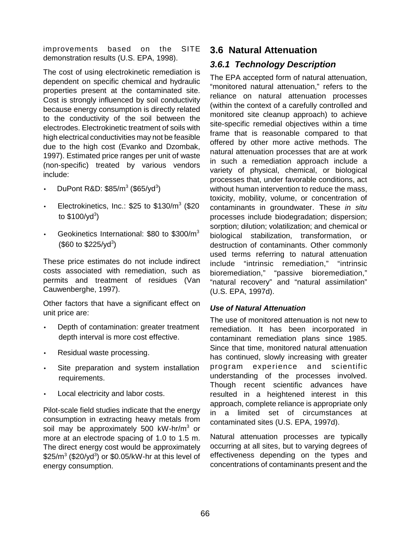improvements based on the SITE demonstration results (U.S. EPA, 1998).

The cost of using electrokinetic remediation is dependent on specific chemical and hydraulic properties present at the contaminated site. Cost is strongly influenced by soil conductivity because energy consumption is directly related to the conductivity of the soil between the electrodes. Electrokinetic treatment of soils with high electrical conductivities may not be feasible due to the high cost (Evanko and Dzombak, 1997). Estimated price ranges per unit of waste (non-specific) treated by various vendors include:

- DuPont R&D:  $$85/m^3$  (\$65/yd<sup>3</sup>)
- Electrokinetics, Inc.:  $$25$  to  $$130/m<sup>3</sup>$  (\$20 to \$100/yd<sup>3</sup>)
- Geokinetics International: \$80 to \$300/m3  $($60 to $225/yd^3$)$

These price estimates do not include indirect costs associated with remediation, such as permits and treatment of residues (Van Cauwenberghe, 1997).

Other factors that have a significant effect on unit price are:

- Depth of contamination: greater treatment depth interval is more cost effective.
- Residual waste processing.
- Site preparation and system installation requirements.
- Local electricity and labor costs.

Pilot-scale field studies indicate that the energy consumption in extracting heavy metals from soil may be approximately 500 kW-hr/m<sup>3</sup> or more at an electrode spacing of 1.0 to 1.5 m. The direct energy cost would be approximately  $$25/m<sup>3</sup>$  (\$20/yd<sup>3</sup>) or \$0.05/kW-hr at this level of energy consumption.

## **3.6 Natural Attenuation**

## **3.6.1 Technology Description**

The EPA accepted form of natural attenuation, "monitored natural attenuation," refers to the reliance on natural attenuation processes (within the context of a carefully controlled and monitored site cleanup approach) to achieve site-specific remedial objectives within a time frame that is reasonable compared to that offered by other more active methods. The natural attenuation processes that are at work in such a remediation approach include a variety of physical, chemical, or biological processes that, under favorable conditions, act without human intervention to reduce the mass, toxicity, mobility, volume, or concentration of contaminants in groundwater. These in situ processes include biodegradation; dispersion; sorption; dilution; volatilization; and chemical or biological stabilization, transformation, or destruction of contaminants. Other commonly used terms referring to natural attenuation include "intrinsic remediation," "intrinsic bioremediation," "passive bioremediation," "natural recovery" and "natural assimilation" (U.S. EPA, 1997d).

#### **Use of Natural Attenuation**

The use of monitored attenuation is not new to remediation. It has been incorporated in contaminant remediation plans since 1985. Since that time, monitored natural attenuation has continued, slowly increasing with greater program experience and scientific understanding of the processes involved. Though recent scientific advances have resulted in a heightened interest in this approach, complete reliance is appropriate only in a limited set of circumstances at contaminated sites (U.S. EPA, 1997d).

Natural attenuation processes are typically occurring at all sites, but to varying degrees of effectiveness depending on the types and concentrations of contaminants present and the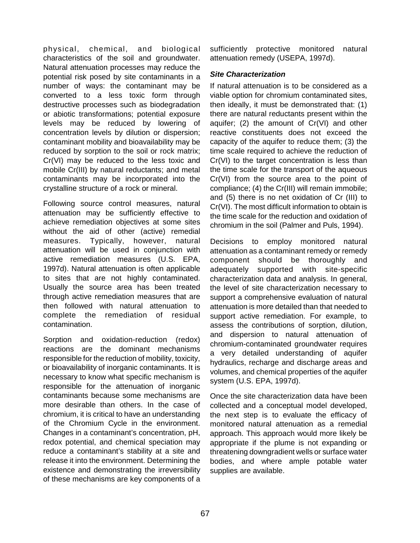physical, chemical, and biological characteristics of the soil and groundwater. Natural attenuation processes may reduce the potential risk posed by site contaminants in a number of ways: the contaminant may be converted to a less toxic form through destructive processes such as biodegradation or abiotic transformations; potential exposure levels may be reduced by lowering of concentration levels by dilution or dispersion; contaminant mobility and bioavailability may be reduced by sorption to the soil or rock matrix; Cr(VI) may be reduced to the less toxic and mobile Cr(III) by natural reductants; and metal contaminants may be incorporated into the crystalline structure of a rock or mineral.

Following source control measures, natural attenuation may be sufficiently effective to achieve remediation objectives at some sites without the aid of other (active) remedial measures. Typically, however, natural attenuation will be used in conjunction with active remediation measures (U.S. EPA, 1997d). Natural attenuation is often applicable to sites that are not highly contaminated. Usually the source area has been treated through active remediation measures that are then followed with natural attenuation to complete the remediation of residual contamination.

Sorption and oxidation-reduction (redox) reactions are the dominant mechanisms responsible for the reduction of mobility, toxicity, or bioavailability of inorganic contaminants. It is necessary to know what specific mechanism is responsible for the attenuation of inorganic contaminants because some mechanisms are more desirable than others. In the case of chromium, it is critical to have an understanding of the Chromium Cycle in the environment. Changes in a contaminant's concentration, pH, redox potential, and chemical speciation may reduce a contaminant's stability at a site and release it into the environment. Determining the existence and demonstrating the irreversibility of these mechanisms are key components of a sufficiently protective monitored natural attenuation remedy (USEPA, 1997d).

#### **Site Characterization**

If natural attenuation is to be considered as a viable option for chromium contaminated sites, then ideally, it must be demonstrated that: (1) there are natural reductants present within the aquifer; (2) the amount of Cr(VI) and other reactive constituents does not exceed the capacity of the aquifer to reduce them; (3) the time scale required to achieve the reduction of Cr(VI) to the target concentration is less than the time scale for the transport of the aqueous Cr(VI) from the source area to the point of compliance; (4) the Cr(III) will remain immobile; and (5) there is no net oxidation of Cr (III) to Cr(VI). The most difficult information to obtain is the time scale for the reduction and oxidation of chromium in the soil (Palmer and Puls, 1994).

Decisions to employ monitored natural attenuation as a contaminant remedy or remedy component should be thoroughly and adequately supported with site-specific characterization data and analysis. In general, the level of site characterization necessary to support a comprehensive evaluation of natural attenuation is more detailed than that needed to support active remediation. For example, to assess the contributions of sorption, dilution, and dispersion to natural attenuation of chromium-contaminated groundwater requires a very detailed understanding of aquifer hydraulics, recharge and discharge areas and volumes, and chemical properties of the aquifer system (U.S. EPA, 1997d).

Once the site characterization data have been collected and a conceptual model developed, the next step is to evaluate the efficacy of monitored natural attenuation as a remedial approach. This approach would more likely be appropriate if the plume is not expanding or threatening downgradient wells or surface water bodies, and where ample potable water supplies are available.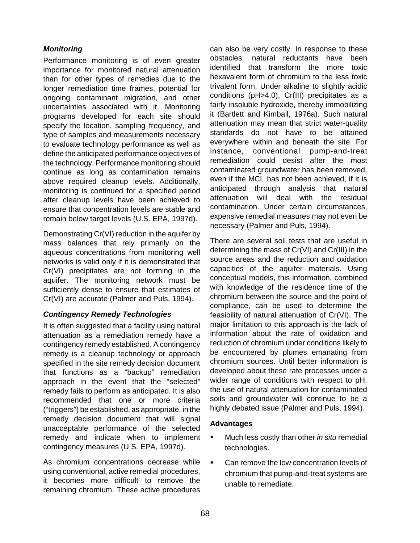#### **Monitoring**

Performance monitoring is of even greater importance for monitored natural attenuation than for other types of remedies due to the longer remediation time frames, potential for ongoing contaminant migration, and other uncertainties associated with it. Monitoring programs developed for each site should specify the location, sampling frequency, and type of samples and measurements necessary to evaluate technology performance as well as define the anticipated performance objectives of the technology. Performance monitoring should continue as long as contamination remains above required cleanup levels. Additionally, monitoring is continued for a specified period after cleanup levels have been achieved to ensure that concentration levels are stable and remain below target levels (U.S. EPA, 1997d).

Demonstrating Cr(VI) reduction in the aquifer by mass balances that rely primarily on the aqueous concentrations from monitoring well networks is valid only if it is demonstrated that Cr(VI) precipitates are not forming in the aquifer. The monitoring network must be sufficiently dense to ensure that estimates of Cr(VI) are accurate (Palmer and Puls, 1994).

#### **Contingency Remedy Technologies**

It is often suggested that a facility using natural attenuation as a remediation remedy have a contingency remedy established. A contingency remedy is a cleanup technology or approach specified in the site remedy decision document that functions as a "backup" remediation approach in the event that the "selected" remedy fails to perform as anticipated. It is also recommended that one or more criteria ("triggers") be established, as appropriate, in the remedy decision document that will signal unacceptable performance of the selected remedy and indicate when to implement contingency measures (U.S. EPA, 1997d).

As chromium concentrations decrease while using conventional, active remedial procedures, it becomes more difficult to remove the remaining chromium. These active procedures can also be very costly. In response to these obstacles, natural reductants have been identified that transform the more toxic hexavalent form of chromium to the less toxic trivalent form. Under alkaline to slightly acidic conditions (pH>4.0), Cr(III) precipitates as a fairly insoluble hydroxide, thereby immobilizing it (Bartlett and Kimball, 1976a). Such natural attenuation may mean that strict water-quality standards do not have to be attained everywhere within and beneath the site. For instance, conventional pump-and-treat remediation could desist after the most contaminated groundwater has been removed, even if the MCL has not been achieved, if it is anticipated through analysis that natural attenuation will deal with the residual contamination. Under certain circumstances, expensive remedial measures may not even be necessary (Palmer and Puls, 1994).

There are several soil tests that are useful in determining the mass of Cr(VI) and Cr(III) in the source areas and the reduction and oxidation capacities of the aquifer materials. Using conceptual models, this information, combined with knowledge of the residence time of the chromium between the source and the point of compliance, can be used to determine the feasibility of natural attenuation of Cr(VI). The major limitation to this approach is the lack of information about the rate of oxidation and reduction of chromium under conditions likely to be encountered by plumes emanating from chromium sources. Until better information is developed about these rate processes under a wider range of conditions with respect to pH, the use of natural attenuation for contaminated soils and groundwater will continue to be a highly debated issue (Palmer and Puls, 1994).

#### **Advantages**

- Much less costly than other in situ remedial technologies.
- **EXECT** Can remove the low concentration levels of chromium that pump-and-treat systems are unable to remediate.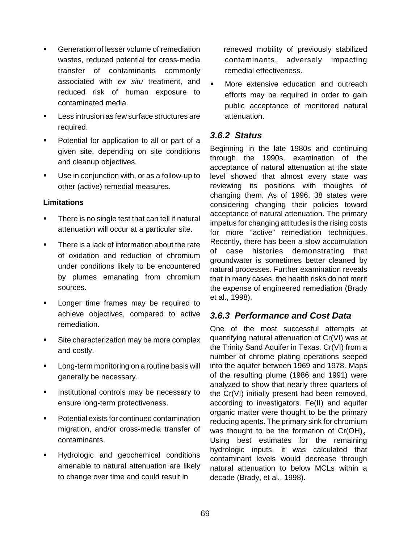- Generation of lesser volume of remediation wastes, reduced potential for cross-media transfer of contaminants commonly associated with ex situ treatment, and reduced risk of human exposure to contaminated media.
- ! Less intrusion as few surface structures are required.
- ! Potential for application to all or part of a given site, depending on site conditions and cleanup objectives.
- Use in conjunction with, or as a follow-up to other (active) remedial measures.

#### **Limitations**

- **There is no single test that can tell if natural** attenuation will occur at a particular site.
- **There is a lack of information about the rate** of oxidation and reduction of chromium under conditions likely to be encountered by plumes emanating from chromium sources.
- Longer time frames may be required to achieve objectives, compared to active remediation.
- **EXEC** Site characterization may be more complex and costly.
- Long-term monitoring on a routine basis will generally be necessary.
- **I.** Institutional controls may be necessary to ensure long-term protectiveness.
- Potential exists for continued contamination migration, and/or cross-media transfer of contaminants.
- ! Hydrologic and geochemical conditions amenable to natural attenuation are likely to change over time and could result in

renewed mobility of previously stabilized contaminants, adversely impacting remedial effectiveness.

More extensive education and outreach efforts may be required in order to gain public acceptance of monitored natural attenuation.

### **3.6.2 Status**

Beginning in the late 1980s and continuing through the 1990s, examination of the acceptance of natural attenuation at the state level showed that almost every state was reviewing its positions with thoughts of changing them. As of 1996, 38 states were considering changing their policies toward acceptance of natural attenuation. The primary impetus for changing attitudes is the rising costs for more "active" remediation techniques. Recently, there has been a slow accumulation of case histories demonstrating that groundwater is sometimes better cleaned by natural processes. Further examination reveals that in many cases, the health risks do not merit the expense of engineered remediation (Brady et al., 1998).

## **3.6.3 Performance and Cost Data**

One of the most successful attempts at quantifying natural attenuation of Cr(VI) was at the Trinity Sand Aquifer in Texas. Cr(VI) from a number of chrome plating operations seeped into the aquifer between 1969 and 1978. Maps of the resulting plume (1986 and 1991) were analyzed to show that nearly three quarters of the Cr(VI) initially present had been removed, according to investigators. Fe(II) and aquifer organic matter were thought to be the primary reducing agents. The primary sink for chromium was thought to be the formation of  $Cr(OH)_{3}$ . Using best estimates for the remaining hydrologic inputs, it was calculated that contaminant levels would decrease through natural attenuation to below MCLs within a decade (Brady, et al., 1998).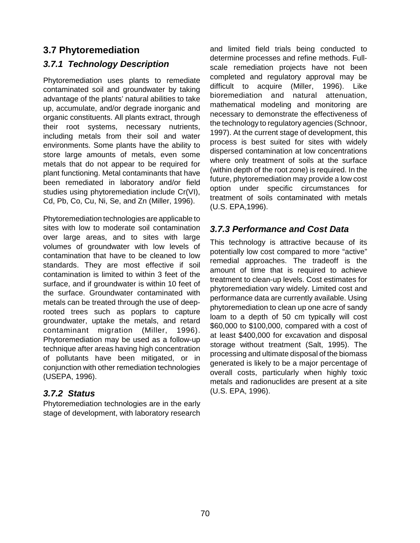## **3.7 Phytoremediation**

## **3.7.1 Technology Description**

Phytoremediation uses plants to remediate contaminated soil and groundwater by taking advantage of the plants' natural abilities to take up, accumulate, and/or degrade inorganic and organic constituents. All plants extract, through their root systems, necessary nutrients, including metals from their soil and water environments. Some plants have the ability to store large amounts of metals, even some metals that do not appear to be required for plant functioning. Metal contaminants that have been remediated in laboratory and/or field studies using phytoremediation include Cr(VI), Cd, Pb, Co, Cu, Ni, Se, and Zn (Miller, 1996).

Phytoremediation technologies are applicable to sites with low to moderate soil contamination over large areas, and to sites with large volumes of groundwater with low levels of contamination that have to be cleaned to low standards. They are most effective if soil contamination is limited to within 3 feet of the surface, and if groundwater is within 10 feet of the surface. Groundwater contaminated with metals can be treated through the use of deeprooted trees such as poplars to capture groundwater, uptake the metals, and retard contaminant migration (Miller, 1996). Phytoremediation may be used as a follow-up technique after areas having high concentration of pollutants have been mitigated, or in conjunction with other remediation technologies (USEPA, 1996).

## **3.7.2 Status**

Phytoremediation technologies are in the early stage of development, with laboratory research and limited field trials being conducted to determine processes and refine methods. Fullscale remediation projects have not been completed and regulatory approval may be difficult to acquire (Miller, 1996). Like bioremediation and natural attenuation, mathematical modeling and monitoring are necessary to demonstrate the effectiveness of the technology to regulatory agencies (Schnoor, 1997). At the current stage of development, this process is best suited for sites with widely dispersed contamination at low concentrations where only treatment of soils at the surface (within depth of the root zone) is required. In the future, phytoremediation may provide a low cost option under specific circumstances for treatment of soils contaminated with metals (U.S. EPA,1996).

## **3.7.3 Performance and Cost Data**

This technology is attractive because of its potentially low cost compared to more "active" remedial approaches. The tradeoff is the amount of time that is required to achieve treatment to clean-up levels. Cost estimates for phytoremediation vary widely. Limited cost and performance data are currently available. Using phytoremediation to clean up one acre of sandy loam to a depth of 50 cm typically will cost \$60,000 to \$100,000, compared with a cost of at least \$400,000 for excavation and disposal storage without treatment (Salt, 1995). The processing and ultimate disposal of the biomass generated is likely to be a major percentage of overall costs, particularly when highly toxic metals and radionuclides are present at a site (U.S. EPA, 1996).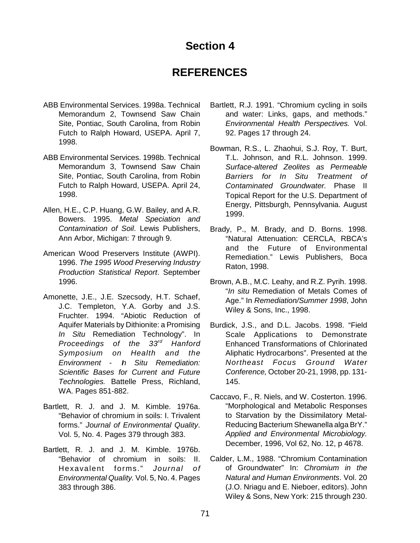# **Section 4**

# **REFERENCES**

- ABB Environmental Services. 1998a. Technical Memorandum 2, Townsend Saw Chain Site, Pontiac, South Carolina, from Robin Futch to Ralph Howard, USEPA. April 7, 1998.
- ABB Environmental Services. 1998b. Technical Memorandum 3, Townsend Saw Chain Site, Pontiac, South Carolina, from Robin Futch to Ralph Howard, USEPA. April 24, 1998.
- Allen, H.E., C.P. Huang, G.W. Bailey, and A.R. Bowers. 1995. Metal Speciation and Contamination of Soil. Lewis Publishers, Ann Arbor, Michigan: 7 through 9.
- American Wood Preservers Institute (AWPI). 1996. The 1995 Wood Preserving Industry Production Statistical Report. September 1996.
- Amonette, J.E., J.E. Szecsody, H.T. Schaef, J.C. Templeton, Y.A. Gorby and J.S. Fruchter. 1994. "Abiotic Reduction of Aquifer Materials by Dithionite: a Promising In Situ Remediation Technology". In Proceedings of the 33rd Hanford Symposium on Health and the Environment - In Situ Remediation: Scientific Bases for Current and Future Technologies. Battelle Press, Richland, WA. Pages 851-882.
- Bartlett, R. J. and J. M. Kimble. 1976a. "Behavior of chromium in soils: I. Trivalent forms." Journal of Environmental Quality. Vol. 5, No. 4. Pages 379 through 383.
- Bartlett, R. J. and J. M. Kimble. 1976b. "Behavior of chromium in soils: II. Hexavalent forms." Journal of Environmental Quality. Vol. 5, No. 4. Pages 383 through 386.
- Bartlett, R.J. 1991. "Chromium cycling in soils and water: Links, gaps, and methods." Environmental Health Perspectives. Vol. 92. Pages 17 through 24.
- Bowman, R.S., L. Zhaohui, S.J. Roy, T. Burt, T.L. Johnson, and R.L. Johnson. 1999. Surface-altered Zeolites as Permeable Barriers for In Situ Treatment of Contaminated Groundwater. Phase II Topical Report for the U.S. Department of Energy, Pittsburgh, Pennsylvania. August 1999.
- Brady, P., M. Brady, and D. Borns. 1998. "Natural Attenuation: CERCLA, RBCA's and the Future of Environmental Remediation." Lewis Publishers, Boca Raton, 1998.
- Brown, A.B., M.C. Leahy, and R.Z. Pyrih. 1998. "In situ Remediation of Metals Comes of Age." In Remediation/Summer 1998, John Wiley & Sons, Inc., 1998.
- Burdick, J.S., and D.L. Jacobs. 1998. "Field Scale Applications to Demonstrate Enhanced Transformations of Chlorinated Aliphatic Hydrocarbons". Presented at the Northeast Focus Ground Water Conference, October 20-21, 1998, pp. 131- 145.
- Caccavo, F., R. Niels, and W. Costerton. 1996. "Morphological and Metabolic Responses to Starvation by the Dissimilatory Metal-Reducing Bacterium Shewanella alga BrY." Applied and Environmental Microbiology. December, 1996, Vol 62, No. 12, p 4678.
- Calder, L.M., 1988. "Chromium Contamination of Groundwater" In: Chromium in the Natural and Human Environments. Vol. 20 (J.O. Nriagu and E. Nieboer, editors). John Wiley & Sons, New York: 215 through 230.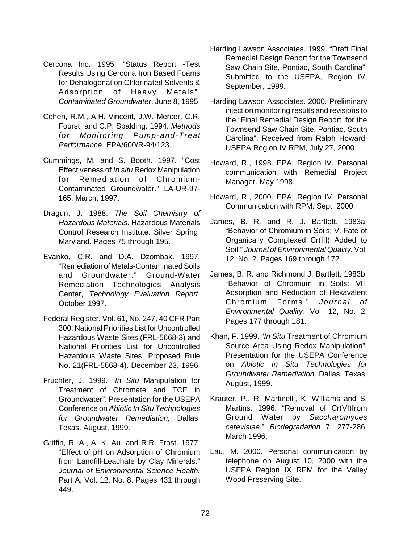- Cercona Inc. 1995. "Status Report -Test Results Using Cercona Iron Based Foams for Dehalogenation Chlorinated Solvents & Adsorption of Heavy Metals". Contaminated Groundwater. June 8, 1995.
- Cohen, R.M., A.H. Vincent, J.W. Mercer, C.R. Fourst, and C.P. Spalding. 1994. Methods for Monitoring Pump-and-Treat Performance. EPA/600/R-94/123.
- Cummings, M. and S. Booth. 1997. "Cost Effectiveness of In situ Redox Manipulation for Remediation of Chromium-Contaminated Groundwater." LA-UR-97- 165. March, 1997.
- Dragun, J. 1988. The Soil Chemistry of Hazardous Materials. Hazardous Materials Control Research Institute. Silver Spring, Maryland. Pages 75 through 195.
- Evanko, C.R. and D.A. Dzombak. 1997. "Remediation of Metals-Contaminated Soils and Groundwater." Ground-Water Remediation Technologies Analysis Center, Technology Evaluation Report. October 1997.
- Federal Register. Vol. 61, No. 247, 40 CFR Part 300. National Priorities List for Uncontrolled Hazardous Waste Sites (FRL-5668-3) and National Priorities List for Uncontrolled Hazardous Waste Sites, Proposed Rule No. 21(FRL-5668-4). December 23, 1996.
- Fruchter, J. 1999. "In Situ Manipulation for Treatment of Chromate and TCE in Groundwater". Presentation for the USEPA Conference on Abiotic In Situ Technologies for Groundwater Remediation, Dallas, Texas. August, 1999.
- Griffin, R. A., A. K. Au, and R.R. Frost. 1977. "Effect of pH on Adsorption of Chromium from Landfill-Leachate by Clay Minerals." Journal of Environmental Science Health. Part A, Vol. 12, No. 8. Pages 431 through 449.
- Harding Lawson Associates. 1999. "Draft Final Remedial Design Report for the Townsend Saw Chain Site, Pontiac, South Carolina". Submitted to the USEPA, Region IV, September, 1999.
- Harding Lawson Associates. 2000. Preliminary injection monitoring results and revisions to the "Final Remedial Design Report for the Townsend Saw Chain Site, Pontiac, South Carolina". Received from Ralph Howard, USEPA Region IV RPM, July 27, 2000.
- Howard, R., 1998. EPA, Region IV. Personal communication with Remedial Project Manager. May 1998.
- Howard, R., 2000. EPA, Region IV. Personal Communication with RPM. Sept. 2000.
- James, B. R. and R. J. Bartlett. 1983a. "Behavior of Chromium in Soils: V. Fate of Organically Complexed Cr(III) Added to Soil." Journal of Environmental Quality. Vol. 12, No. 2. Pages 169 through 172.
- James, B. R. and Richmond J. Bartlett. 1983b. "Behavior of Chromium in Soils: VII. Adsorption and Reduction of Hexavalent Chromium Forms." Journal of Environmental Quality. Vol. 12, No. 2. Pages 177 through 181.
- Khan, F. 1999. "In Situ Treatment of Chromium Source Area Using Redox Manipulation". Presentation for the USEPA Conference on Abiotic In Situ Technologies for Groundwater Remediation, Dallas, Texas. August, 1999.
- Krauter, P., R. Martinelli, K. Williams and S. Martins. 1996. "Removal of Cr(VI)from Ground Water by Saccharomyces cerevisiae." Biodegradation 7: 277-286. March 1996.
- Lau, M. 2000. Personal communication by telephone on August 10, 2000 with the USEPA Region IX RPM for the Valley Wood Preserving Site.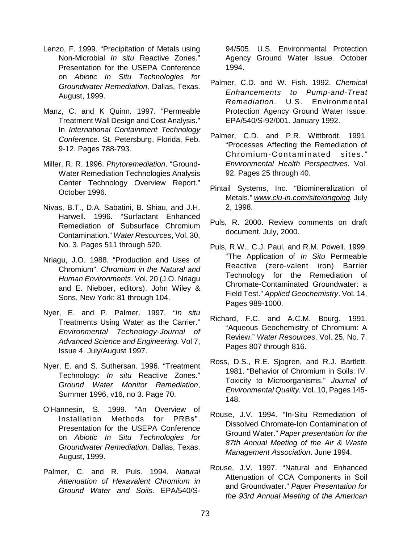- Lenzo, F. 1999. "Precipitation of Metals using Non-Microbial In situ Reactive Zones." Presentation for the USEPA Conference on Abiotic In Situ Technologies for Groundwater Remediation, Dallas, Texas. August, 1999.
- Manz, C. and K Quinn. 1997. "Permeable Treatment Wall Design and Cost Analysis." In International Containment Technology Conference. St. Petersburg, Florida, Feb. 9-12. Pages 788-793.
- Miller, R. R. 1996. Phytoremediation. "Ground-Water Remediation Technologies Analysis Center Technology Overview Report." October 1996.
- Nivas, B.T., D.A. Sabatini, B. Shiau, and J.H. Harwell. 1996. "Surfactant Enhanced Remediation of Subsurface Chromium Contamination." Water Resources, Vol. 30, No. 3. Pages 511 through 520.
- Nriagu, J.O. 1988. "Production and Uses of Chromium". Chromium in the Natural and Human Environments. Vol. 20 (J.O. Nriagu and E. Nieboer, editors). John Wiley & Sons, New York: 81 through 104.
- Nyer, E. and P. Palmer. 1997. "In situ Treatments Using Water as the Carrier." Environmental Technology-Journal of Advanced Science and Engineering. Vol 7, Issue 4. July/August 1997.
- Nyer, E. and S. Suthersan. 1996. "Treatment Technology: *In situ* Reactive Zones." Ground Water Monitor Remediation, Summer 1996, v16, no 3. Page 70.
- O'Hannesin, S. 1999. "An Overview of Installation Methods for PRBs". Presentation for the USEPA Conference on Abiotic In Situ Technologies for Groundwater Remediation, Dallas, Texas. August, 1999.
- Palmer, C. and R. Puls. 1994. Natural Attenuation of Hexavalent Chromium in Ground Water and Soils. EPA/540/S-

94/505. U.S. Environmental Protection Agency Ground Water Issue. October 1994.

- Palmer, C.D. and W. Fish. 1992. Chemical Enhancements to Pump-and-Treat Remediation. U.S. Environmental Protection Agency Ground Water Issue: EPA/540/S-92/001. January 1992.
- Palmer, C.D. and P.R. Wittbrodt. 1991. "Processes Affecting the Remediation of Chromium-Contaminated sites." Environmental Health Perspectives. Vol. 92. Pages 25 through 40.
- Pintail Systems, Inc. "Biomineralization of Metals." www.clu-in.com/site/ongoing. July 2, 1998.
- Puls, R. 2000. Review comments on draft document. July, 2000.
- Puls, R.W., C.J. Paul, and R.M. Powell. 1999. "The Application of In Situ Permeable Reactive (zero-valent iron) Barrier Technology for the Remediation of Chromate-Contaminated Groundwater: a Field Test." Applied Geochemistry. Vol. 14, Pages 989-1000.
- Richard, F.C. and A.C.M. Bourg. 1991. "Aqueous Geochemistry of Chromium: A Review." Water Resources. Vol. 25, No. 7. Pages 807 through 816.
- Ross, D.S., R.E. Sjogren, and R.J. Bartlett. 1981. "Behavior of Chromium in Soils: IV. Toxicity to Microorganisms." Journal of Environmental Quality. Vol. 10, Pages 145- 148.
- Rouse, J.V. 1994. "In-Situ Remediation of Dissolved Chromate-Ion Contamination of Ground Water." Paper presentation for the 87th Annual Meeting of the Air & Waste Management Association. June 1994.
- Rouse, J.V. 1997. "Natural and Enhanced Attenuation of CCA Components in Soil and Groundwater." Paper Presentation for the 93rd Annual Meeting of the American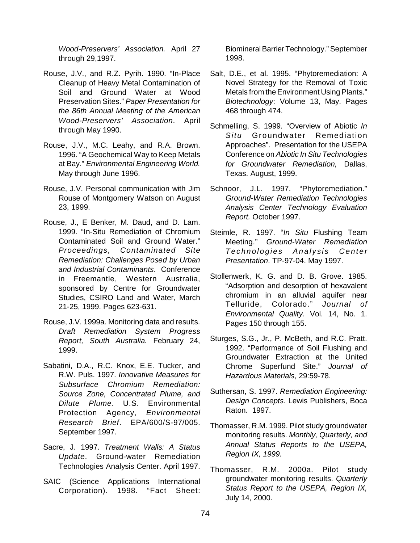Wood-Preservers' Association. April 27 through 29,1997.

- Rouse, J.V., and R.Z. Pyrih. 1990. "In-Place Cleanup of Heavy Metal Contamination of Soil and Ground Water at Wood Preservation Sites." Paper Presentation for the 86th Annual Meeting of the American Wood-Preservers' Association. April through May 1990.
- Rouse, J.V., M.C. Leahy, and R.A. Brown. 1996. "A Geochemical Way to Keep Metals at Bay." Environmental Engineering World. May through June 1996.
- Rouse, J.V. Personal communication with Jim Rouse of Montgomery Watson on August 23, 1999.
- Rouse, J., E Benker, M. Daud, and D. Lam. 1999. "In-Situ Remediation of Chromium Contaminated Soil and Ground Water." Proceedings, Contaminated Site Remediation: Challenges Posed by Urban and Industrial Contaminants. Conference in Freemantle, Western Australia, sponsored by Centre for Groundwater Studies, CSIRO Land and Water, March 21-25, 1999. Pages 623-631.
- Rouse, J.V. 1999a. Monitoring data and results. Draft Remediation System Progress Report, South Australia. February 24, 1999.
- Sabatini, D.A., R.C. Knox, E.E. Tucker, and R.W. Puls. 1997. Innovative Measures for Subsurface Chromium Remediation: Source Zone, Concentrated Plume, and Dilute Plume. U.S. Environmental Protection Agency, Environmental Research Brief. EPA/600/S-97/005. September 1997.
- Sacre, J. 1997. Treatment Walls: A Status Update. Ground-water Remediation Technologies Analysis Center. April 1997.
- SAIC (Science Applications International Corporation). 1998. "Fact Sheet:

Biomineral Barrier Technology." September 1998.

- Salt, D.E., et al. 1995. "Phytoremediation: A Novel Strategy for the Removal of Toxic Metals from the Environment Using Plants." Biotechnology: Volume 13, May. Pages 468 through 474.
- Schmelling, S. 1999. "Overview of Abiotic In Situ Groundwater Remediation Approaches". Presentation for the USEPA Conference on Abiotic In Situ Technologies for Groundwater Remediation, Dallas, Texas. August, 1999.
- Schnoor, J.L. 1997. "Phytoremediation." Ground-Water Remediation Technologies Analysis Center Technology Evaluation Report. October 1997.
- Steimle, R. 1997. "In Situ Flushing Team Meeting." Ground-Water Remediation Technologies Analysis Center Presentation. TP-97-04. May 1997.
- Stollenwerk, K. G. and D. B. Grove. 1985. "Adsorption and desorption of hexavalent chromium in an alluvial aquifer near Telluride, Colorado." Journal of Environmental Quality. Vol. 14, No. 1. Pages 150 through 155.
- Sturges, S.G., Jr., P. McBeth, and R.C. Pratt. 1992. "Performance of Soil Flushing and Groundwater Extraction at the United Chrome Superfund Site." Journal of Hazardous Materials, 29:59-78.
- Suthersan, S. 1997. Remediation Engineering: Design Concepts. Lewis Publishers, Boca Raton. 1997.
- Thomasser, R.M. 1999. Pilot study groundwater monitoring results. Monthly, Quarterly, and Annual Status Reports to the USEPA, Region IX, 1999.
- Thomasser, R.M. 2000a. Pilot study groundwater monitoring results. Quarterly Status Report to the USEPA, Region IX, July 14, 2000.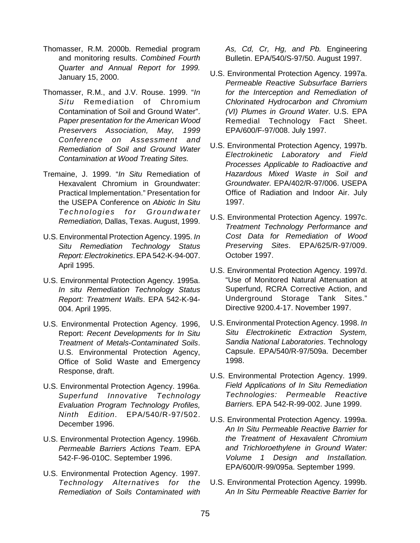- Thomasser, R.M. 2000b. Remedial program and monitoring results. Combined Fourth Quarter and Annual Report for 1999. January 15, 2000.
- Thomasser, R.M., and J.V. Rouse. 1999. "In Situ Remediation of Chromium Contamination of Soil and Ground Water". Paper presentation for the American Wood Preservers Association, May, 1999 Conference on Assessment and Remediation of Soil and Ground Water Contamination at Wood Treating Sites.
- Tremaine, J. 1999. "In Situ Remediation of Hexavalent Chromium in Groundwater: Practical Implementation." Presentation for the USEPA Conference on Abiotic In Situ Technologies for Groundwater Remediation, Dallas, Texas. August, 1999.
- U.S. Environmental Protection Agency. 1995. In Situ Remediation Technology Status Report: Electrokinetics. EPA 542-K-94-007. April 1995.
- U.S. Environmental Protection Agency. 1995a. In situ Remediation Technology Status Report: Treatment Walls. EPA 542-K-94- 004. April 1995.
- U.S. Environmental Protection Agency. 1996, Report: Recent Developments for In Situ Treatment of Metals-Contaminated Soils. U.S. Environmental Protection Agency, Office of Solid Waste and Emergency Response, draft.
- U.S. Environmental Protection Agency. 1996a. Superfund Innovative Technology Evaluation Program Technology Profiles, Ninth Edition. EPA/540/R-97/502. December 1996.
- U.S. Environmental Protection Agency. 1996b. Permeable Barriers Actions Team. EPA 542-F-96-010C. September 1996.
- U.S. Environmental Protection Agency. 1997. Technology Alternatives for the Remediation of Soils Contaminated with

As, Cd, Cr, Hg, and Pb. Engineering Bulletin. EPA/540/S-97/50. August 1997.

- U.S. Environmental Protection Agency. 1997a. Permeable Reactive Subsurface Barriers for the Interception and Remediation of Chlorinated Hydrocarbon and Chromium (VI) Plumes in Ground Water. U.S. EPA Remedial Technology Fact Sheet. EPA/600/F-97/008. July 1997.
- U.S. Environmental Protection Agency, 1997b. Electrokinetic Laboratory and Field Processes Applicable to Radioactive and Hazardous Mixed Waste in Soil and Groundwater. EPA/402/R-97/006. USEPA Office of Radiation and Indoor Air. July 1997.
- U.S. Environmental Protection Agency. 1997c. Treatment Technology Performance and Cost Data for Remediation of Wood Preserving Sites. EPA/625/R-97/009. October 1997.
- U.S. Environmental Protection Agency. 1997d. "Use of Monitored Natural Attenuation at Superfund, RCRA Corrective Action, and Underground Storage Tank Sites." Directive 9200.4-17. November 1997.
- U.S. Environmental Protection Agency. 1998. In Situ Electrokinetic Extraction System, Sandia National Laboratories. Technology Capsule. EPA/540/R-97/509a. December 1998.
- U.S. Environmental Protection Agency. 1999. Field Applications of In Situ Remediation Technologies: Permeable Reactive Barriers. EPA 542-R-99-002. June 1999.
- U.S. Environmental Protection Agency. 1999a. An In Situ Permeable Reactive Barrier for the Treatment of Hexavalent Chromium and Trichloroethylene in Ground Water: Volume 1 Design and Installation. EPA/600/R-99/095a. September 1999.
- U.S. Environmental Protection Agency. 1999b. An In Situ Permeable Reactive Barrier for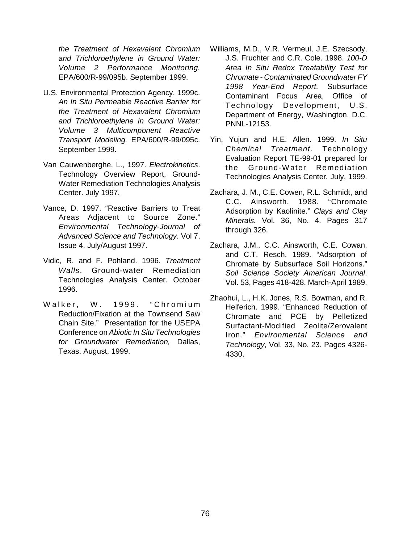the Treatment of Hexavalent Chromium and Trichloroethylene in Ground Water: Volume 2 Performance Monitoring. EPA/600/R-99/095b. September 1999.

- U.S. Environmental Protection Agency. 1999c. An In Situ Permeable Reactive Barrier for the Treatment of Hexavalent Chromium and Trichloroethylene in Ground Water: Volume 3 Multicomponent Reactive Transport Modeling. EPA/600/R-99/095c. September 1999.
- Van Cauwenberghe, L., 1997. Electrokinetics. Technology Overview Report, Ground-Water Remediation Technologies Analysis Center. July 1997.
- Vance, D. 1997. "Reactive Barriers to Treat Areas Adjacent to Source Zone." Environmental Technology-Journal of Advanced Science and Technology. Vol 7, Issue 4. July/August 1997.
- Vidic, R. and F. Pohland. 1996. Treatment Walls. Ground-water Remediation Technologies Analysis Center. October 1996.
- Walker, W. 1999. "Chromium Reduction/Fixation at the Townsend Saw Chain Site." Presentation for the USEPA Conference on Abiotic In Situ Technologies for Groundwater Remediation, Dallas, Texas. August, 1999.
- Williams, M.D., V.R. Vermeul, J.E. Szecsody, J.S. Fruchter and C.R. Cole. 1998. 100-D Area In Situ Redox Treatability Test for Chromate - Contaminated Groundwater FY 1998 Year-End Report. Subsurface Contaminant Focus Area, Office of Technology Development, U.S. Department of Energy, Washington. D.C. PNNL-12153.
- Yin, Yujun and H.E. Allen. 1999. In Situ Chemical Treatment. Technology Evaluation Report TE-99-01 prepared for the Ground-W ater Remediation Technologies Analysis Center. July, 1999.
- Zachara, J. M., C.E. Cowen, R.L. Schmidt, and C.C. Ainsworth. 1988. "Chromate Adsorption by Kaolinite." Clays and Clay Minerals. Vol. 36, No. 4. Pages 317 through 326.
- Zachara, J.M., C.C. Ainsworth, C.E. Cowan, and C.T. Resch. 1989. "Adsorption of Chromate by Subsurface Soil Horizons." Soil Science Society American Journal. Vol. 53, Pages 418-428. March-April 1989.
- Zhaohui, L., H.K. Jones, R.S. Bowman, and R. Helferich. 1999. "Enhanced Reduction of Chromate and PCE by Pelletized Surfactant-Modified Zeolite/Zerovalent Iron." Environmental Science and Technology, Vol. 33, No. 23. Pages 4326- 4330.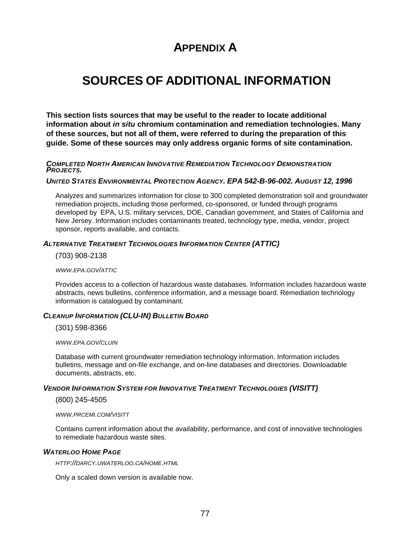# **APPENDIX A**

# **SOURCES OF ADDITIONAL INFORMATION**

**This section lists sources that may be useful to the reader to locate additional information about in situ chromium contamination and remediation technologies. Many of these sources, but not all of them, were referred to during the preparation of this guide. Some of these sources may only address organic forms of site contamination.** 

**COMPLETED NORTH AMERICAN INNOVATIVE REMEDIATION TECHNOLOGY DEMONSTRATION PROJECTS.** 

#### **UNITED STATES ENVIRONMENTAL PROTECTION AGENCY. EPA 542-B-96-002. AUGUST 12, 1996**

Analyzes and summarizes information for close to 300 completed demonstration soil and groundwater remediation projects, including those performed, co-sponsored, or funded through programs developed by EPA, U.S. military services, DOE, Canadian government, and States of California and New Jersey. Information includes contaminants treated, technology type, media, vendor, project sponsor, reports available, and contacts.

#### **ALTERNATIVE TREATMENT TECHNOLOGIES INFORMATION CENTER (ATTIC)**

(703) 908-2138

WWW.EPA.GOV/ATTIC

Provides access to a collection of hazardous waste databases. Information includes hazardous waste abstracts, news bulletins, conference information, and a message board. Remediation technology information is catalogued by contaminant.

#### **CLEANUP INFORMATION (CLU-IN) BULLETIN BOARD**

(301) 598-8366

WWW.EPA.GOV/CLUIN

Database with current groundwater remediation technology information. Information includes bulletins, message and on-file exchange, and on-line databases and directories. Downloadable documents, abstracts, etc.

#### **VENDOR INFORMATION SYSTEM FOR INNOVATIVE TREATMENT TECHNOLOGIES (VISITT)**

(800) 245-4505

WWW.PRCEMI.COM/VISITT

Contains current information about the availability, performance, and cost of innovative technologies to remediate hazardous waste sites.

#### **WATERLOO HOME PAGE**

<HTTP://DARCY.UWATERLOO.CA/HOME.HTML>

Only a scaled down version is available now.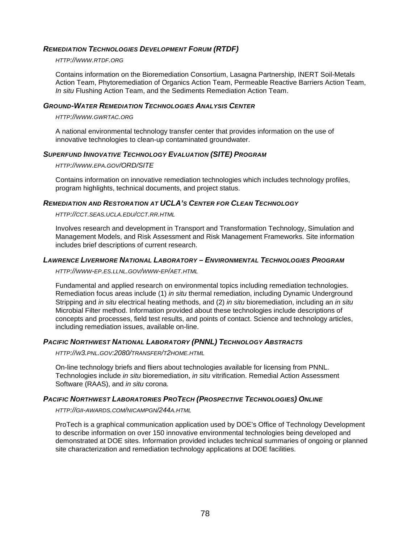#### **REMEDIATION TECHNOLOGIES DEVELOPMENT FORUM (RTDF)**

<HTTP://WWW.RTDF.ORG>

Contains information on the Bioremediation Consortium, Lasagna Partnership, INERT Soil-Metals Action Team, Phytoremediation of Organics Action Team, Permeable Reactive Barriers Action Team, In situ Flushing Action Team, and the Sediments Remediation Action Team.

#### **GROUND-WATER REMEDIATION TECHNOLOGIES ANALYSIS CENTER**

<HTTP://WWW.GWRTAC.ORG>

A national environmental technology transfer center that provides information on the use of innovative technologies to clean-up contaminated groundwater.

#### **SUPERFUND INNOVATIVE TECHNOLOGY EVALUATION (SITE) PROGRAM**

<HTTP://WWW.EPA.GOV/ORD/SITE>

Contains information on innovative remediation technologies which includes technology profiles, program highlights, technical documents, and project status.

#### **REMEDIATION AND RESTORATION AT UCLA'S CENTER FOR CLEAN TECHNOLOGY**

<HTTP://CCT.SEAS.UCLA.EDU/CCT.RR.HTML>

Involves research and development in Transport and Transformation Technology, Simulation and Management Models, and Risk Assessment and Risk Management Frameworks. Site information includes brief descriptions of current research.

#### **LAWRENCE LIVERMORE NATIONAL LABORATORY – ENVIRONMENTAL TECHNOLOGIES PROGRAM**

<HTTP://WWW-EP.ES.LLNL.GOV/WWW-EP/AET.HTML>

Fundamental and applied research on environmental topics including remediation technologies. Remediation focus areas include (1) in situ thermal remediation, including Dynamic Underground Stripping and in situ electrical heating methods, and (2) in situ bioremediation, including an in situ Microbial Filter method. Information provided about these technologies include descriptions of concepts and processes, field test results, and points of contact. Science and technology articles, including remediation issues, available on-line.

#### **PACIFIC NORTHWEST NATIONAL LABORATORY (PNNL) TECHNOLOGY ABSTRACTS**

<HTTP://W3.PNL.GOV:2080/TRANSFER/T2HOME.HTML>

On-line technology briefs and fliers about technologies available for licensing from PNNL. Technologies include in situ bioremediation, in situ vitrification. Remedial Action Assessment Software (RAAS), and in situ corona.

#### **PACIFIC NORTHWEST LABORATORIES PROTECH (PROSPECTIVE TECHNOLOGIES) ONLINE**

<HTTP://GII-AWARDS.COM/NICAMPGN/244A.HTML>

ProTech is a graphical communication application used by DOE's Office of Technology Development to describe information on over 150 innovative environmental technologies being developed and demonstrated at DOE sites. Information provided includes technical summaries of ongoing or planned site characterization and remediation technology applications at DOE facilities.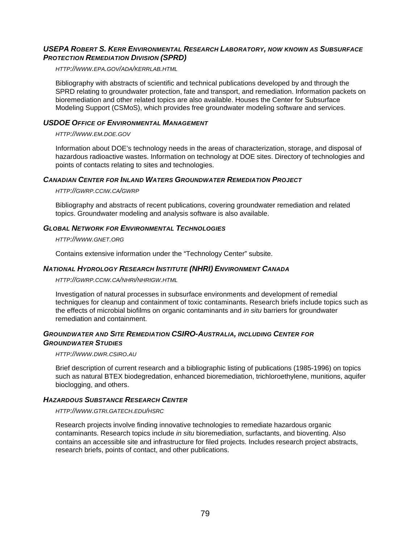#### **USEPA ROBERT S. KERR ENVIRONMENTAL RESEARCH LABORATORY, NOW KNOWN AS SUBSURFACE PROTECTION REMEDIATION DIVISION (SPRD)**

<HTTP://WWW.EPA.GOV/ADA/KERRLAB.HTML>

Bibliography with abstracts of scientific and technical publications developed by and through the SPRD relating to groundwater protection, fate and transport, and remediation. Information packets on bioremediation and other related topics are also available. Houses the Center for Subsurface Modeling Support (CSMoS), which provides free groundwater modeling software and services.

#### **USDOE OFFICE OF ENVIRONMENTAL MANAGEMENT**

#### <HTTP://WWW.EM.DOE.GOV>

Information about DOE's technology needs in the areas of characterization, storage, and disposal of hazardous radioactive wastes. Information on technology at DOE sites. Directory of technologies and points of contacts relating to sites and technologies.

#### **CANADIAN CENTER FOR INLAND WATERS GROUNDWATER REMEDIATION PROJECT**

#### <HTTP://GWRP.CCIW.CA/GWRP>

Bibliography and abstracts of recent publications, covering groundwater remediation and related topics. Groundwater modeling and analysis software is also available.

#### **GLOBAL NETWORK FOR ENVIRONMENTAL TECHNOLOGIES**

#### <HTTP://WWW.GNET.ORG>

Contains extensive information under the "Technology Center" subsite.

#### **NATIONAL HYDROLOGY RESEARCH INSTITUTE (NHRI) ENVIRONMENT CANADA**

<HTTP://GWRP.CCIW.CA/NHRI/NHRIGW.HTML>

Investigation of natural processes in subsurface environments and development of remedial techniques for cleanup and containment of toxic contaminants. Research briefs include topics such as the effects of microbial biofilms on organic contaminants and *in situ* barriers for groundwater remediation and containment.

#### **GROUNDWATER AND SITE REMEDIATION CSIRO-AUSTRALIA, INCLUDING CENTER FOR GROUNDWATER STUDIES**

#### <HTTP://WWW.DWR.CSIRO.AU>

Brief description of current research and a bibliographic listing of publications (1985-1996) on topics such as natural BTEX biodegredation, enhanced bioremediation, trichloroethylene, munitions, aquifer bioclogging, and others.

#### **HAZARDOUS SUBSTANCE RESEARCH CENTER**

<HTTP://WWW.GTRI.GATECH.EDU/HSRC>

Research projects involve finding innovative technologies to remediate hazardous organic contaminants. Research topics include in situ bioremediation, surfactants, and bioventing. Also contains an accessible site and infrastructure for filed projects. Includes research project abstracts, research briefs, points of contact, and other publications.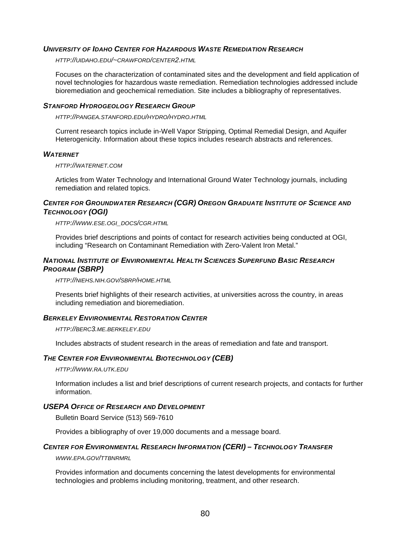#### **UNIVERSITY OF IDAHO CENTER FOR HAZARDOUS WASTE REMEDIATION RESEARCH**

<HTTP://UIDAHO.EDU/~CRAWFORD/CENTER2.HTML>

Focuses on the characterization of contaminated sites and the development and field application of novel technologies for hazardous waste remediation. Remediation technologies addressed include bioremediation and geochemical remediation. Site includes a bibliography of representatives.

#### **STANFORD HYDROGEOLOGY RESEARCH GROUP**

<HTTP://PANGEA.STANFORD.EDU/HYDRO/HYDRO.HTML>

Current research topics include in-Well Vapor Stripping, Optimal Remedial Design, and Aquifer Heterogenicity. Information about these topics includes research abstracts and references.

#### **WATERNET**

<HTTP://WATERNET.COM>

Articles from Water Technology and International Ground Water Technology journals, including remediation and related topics.

#### **CENTER FOR GROUNDWATER RESEARCH (CGR) OREGON GRADUATE INSTITUTE OF SCIENCE AND TECHNOLOGY (OGI)**

[HTTP://WWW.ESE.OGI\\_DOCS/CGR.HTML](HTTP://WWW.ESE.OGI_DOCS/CGR.HTML) 

Provides brief descriptions and points of contact for research activities being conducted at OGI, including "Research on Contaminant Remediation with Zero-Valent Iron Metal."

#### **NATIONAL INSTITUTE OF ENVIRONMENTAL HEALTH SCIENCES SUPERFUND BASIC RESEARCH PROGRAM (SBRP)**

<HTTP://NIEHS.NIH.GOV/SBRP/HOME.HTML>

Presents brief highlights of their research activities, at universities across the country, in areas including remediation and bioremediation.

#### **BERKELEY ENVIRONMENTAL RESTORATION CENTER**

<HTTP://BERC3.ME.BERKELEY.EDU>

Includes abstracts of student research in the areas of remediation and fate and transport.

#### **THE CENTER FOR ENVIRONMENTAL BIOTECHNOLOGY (CEB)**

<HTTP://WWW.RA.UTK.EDU>

Information includes a list and brief descriptions of current research projects, and contacts for further information.

#### **USEPA OFFICE OF RESEARCH AND DEVELOPMENT**

Bulletin Board Service (513) 569-7610

Provides a bibliography of over 19,000 documents and a message board.

#### **CENTER FOR ENVIRONMENTAL RESEARCH INFORMATION (CERI) – TECHNOLOGY TRANSFER**

WWW.EPA.GOV/TTBNRMRL

Provides information and documents concerning the latest developments for environmental technologies and problems including monitoring, treatment, and other research.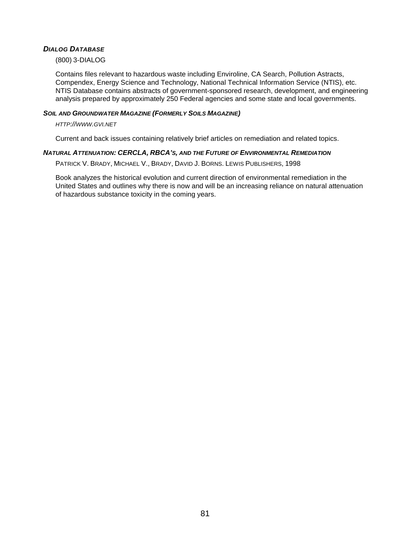#### **DIALOG DATABASE**

(800) 3-DIALOG

Contains files relevant to hazardous waste including Enviroline, CA Search, Pollution Astracts, Compendex, Energy Science and Technology, National Technical Information Service (NTIS), etc. NTIS Database contains abstracts of government-sponsored research, development, and engineering analysis prepared by approximately 250 Federal agencies and some state and local governments.

#### **SOIL AND GROUNDWATER MAGAZINE (FORMERLY SOILS MAGAZINE)**

#### <HTTP://WWW.GVI.NET>

Current and back issues containing relatively brief articles on remediation and related topics.

#### **NATURAL ATTENUATION: CERCLA, RBCA'S, AND THE FUTURE OF ENVIRONMENTAL REMEDIATION**

PATRICK V. BRADY, MICHAEL V., BRADY, DAVID J. BORNS. LEWIS PUBLISHERS, 1998

Book analyzes the historical evolution and current direction of environmental remediation in the United States and outlines why there is now and will be an increasing reliance on natural attenuation of hazardous substance toxicity in the coming years.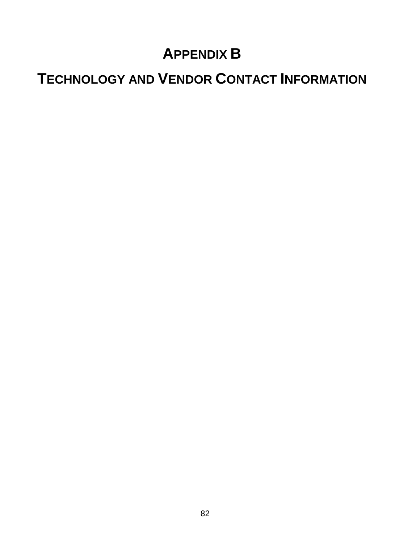# **APPENDIX B**

# **TECHNOLOGY AND VENDOR CONTACT INFORMATION**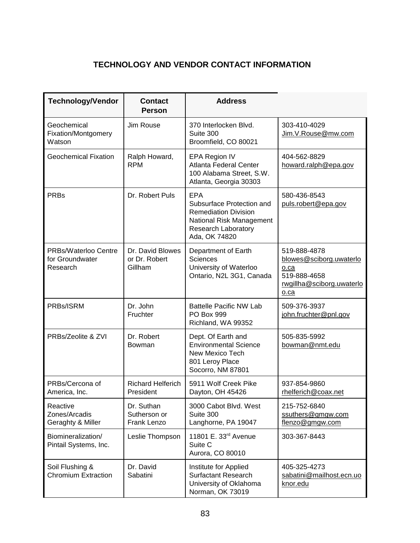## **TECHNOLOGY AND VENDOR CONTACT INFORMATION**

| <b>Technology/Vendor</b>                            | <b>Contact</b><br><b>Person</b>              | <b>Address</b>                                                                                                                                    |                                                                                                      |
|-----------------------------------------------------|----------------------------------------------|---------------------------------------------------------------------------------------------------------------------------------------------------|------------------------------------------------------------------------------------------------------|
| Geochemical<br>Fixation/Montgomery<br>Watson        | Jim Rouse                                    | 370 Interlocken Blvd.<br>Suite 300<br>Broomfield, CO 80021                                                                                        | 303-410-4029<br>Jim.V.Rouse@mw.com                                                                   |
| <b>Geochemical Fixation</b>                         | Ralph Howard,<br><b>RPM</b>                  | EPA Region IV<br><b>Atlanta Federal Center</b><br>100 Alabama Street, S.W.<br>Atlanta, Georgia 30303                                              | 404-562-8829<br>howard.ralph@epa.gov                                                                 |
| <b>PRBs</b>                                         | Dr. Robert Puls                              | <b>EPA</b><br>Subsurface Protection and<br><b>Remediation Division</b><br>National Risk Management<br><b>Research Laboratory</b><br>Ada, OK 74820 | 580-436-8543<br>puls.robert@epa.gov                                                                  |
| PRBs/Waterloo Centre<br>for Groundwater<br>Research | Dr. David Blowes<br>or Dr. Robert<br>Gillham | Department of Earth<br><b>Sciences</b><br>University of Waterloo<br>Ontario, N2L 3G1, Canada                                                      | 519-888-4878<br>blowes@sciborg.uwaterlo<br>o.ca<br>519-888-4658<br>rwgillha@sciborg.uwaterlo<br>o.ca |
| PRBs/ISRM                                           | Dr. John<br>Fruchter                         | <b>Battelle Pacific NW Lab</b><br>PO Box 999<br>Richland, WA 99352                                                                                | 509-376-3937<br>john.fruchter@pnl.gov                                                                |
| PRBs/Zeolite & ZVI                                  | Dr. Robert<br>Bowman                         | Dept. Of Earth and<br><b>Environmental Science</b><br>New Mexico Tech<br>801 Leroy Place<br>Socorro, NM 87801                                     | 505-835-5992<br>bowman@nmt.edu                                                                       |
| PRBs/Cercona of<br>America, Inc.                    | <b>Richard Helferich</b><br>President        | 5911 Wolf Creek Pike<br>Dayton, OH 45426                                                                                                          | 937-854-9860<br>rhelferich@coax.net                                                                  |
| Reactive<br>Zones/Arcadis<br>Geraghty & Miller      | Dr. Suthan<br>Sutherson or<br>Frank Lenzo    | 3000 Cabot Blvd. West<br>Suite 300<br>Langhorne, PA 19047                                                                                         | 215-752-6840<br>ssuthers@gmgw.com<br>flenzo@gmgw.com                                                 |
| Biomineralization/<br>Pintail Systems, Inc.         | Leslie Thompson                              | 11801 E. 33rd Avenue<br>Suite C<br>Aurora, CO 80010                                                                                               | 303-367-8443                                                                                         |
| Soil Flushing &<br><b>Chromium Extraction</b>       | Dr. David<br>Sabatini                        | Institute for Applied<br><b>Surfactant Research</b><br>University of Oklahoma<br>Norman, OK 73019                                                 | 405-325-4273<br>sabatini@mailhost.ecn.uo<br>knor.edu                                                 |